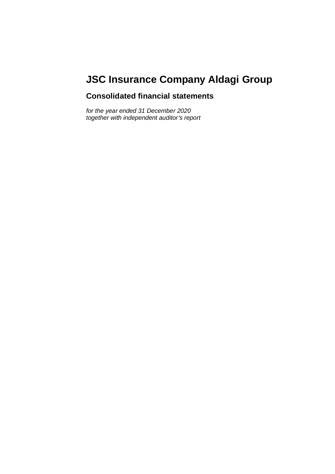# **JSC Insurance Company Aldagi Group**

# **Consolidated financial statements**

*for the year ended 31 December 2020 together with independent auditor s report*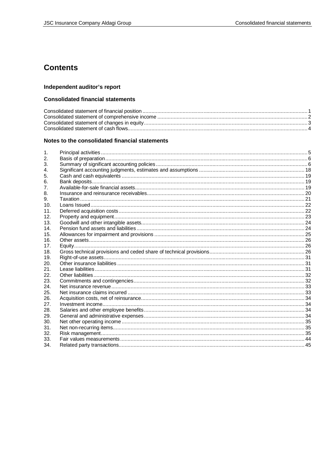# **Contents**

# Independent auditor's report

### **Consolidated financial statements**

### Notes to the consolidated financial statements

| 1.  |  |
|-----|--|
| 2.  |  |
| 3.  |  |
|     |  |
| 5.  |  |
| 6.  |  |
|     |  |
| 8.  |  |
| 9.  |  |
| 10. |  |
| 11. |  |
| 12. |  |
| 13. |  |
| 14. |  |
| 15. |  |
| 16. |  |
| 17. |  |
| 18. |  |
| 19. |  |
| 20. |  |
| 21. |  |
| 22. |  |
| 23. |  |
| 24. |  |
| 25. |  |
| 26. |  |
| 27. |  |
| 28. |  |
| 29. |  |
| 30. |  |
| 31. |  |
| 32. |  |
| 33. |  |
| 34. |  |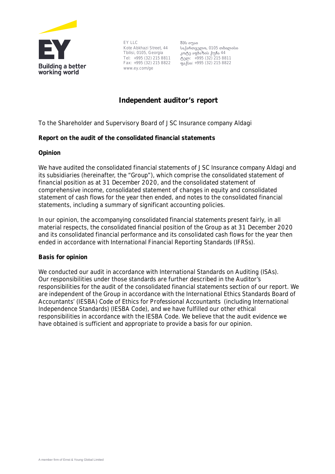

EY LLC Kote Abkhazi Street, 44 Tbilisi, 0105, Georgia Tel: +995 (32) 215 8811 Fax: +995 (32) 215 8822 www.ey.com/ge

შპს იუაი , 0105 44 : +995 (32) 215 8811 : +995 (32) 215 8822

# **Independent auditor's report**

To the Shareholder and Supervisory Board of JSC Insurance company Aldagi

**Report on the audit of the consolidated financial statements**

# *Opinion*

We have audited the consolidated financial statements of JSC Insurance company Aldagi and its subsidiaries (hereinafter, the "Group"), which comprise the consolidated statement of financial position as at 31 December 2020, and the consolidated statement of comprehensive income, consolidated statement of changes in equity and consolidated statement of cash flows for the year then ended, and notes to the consolidated financial statements, including a summary of significant accounting policies.

In our opinion, the accompanying consolidated financial statements present fairly, in all material respects, the consolidated financial position of the Group as at 31 December 2020 and its consolidated financial performance and its consolidated cash flows for the year then ended in accordance with International Financial Reporting Standards (IFRSs).

# *Basis for opinion*

We conducted our audit in accordance with International Standards on Auditing (ISAs). Our responsibilities under those standards are further described in the *Auditor's responsibilities for the audit of the consolidated financial statements* section of our report. We are independent of the Group in accordance with the International Ethics Standards Board of Accountants' (IESBA) Code of Ethics for Professional Accountants (including International Independence Standards) (IESBA Code), and we have fulfilled our other ethical responsibilities in accordance with the IESBA Code. We believe that the audit evidence we have obtained is sufficient and appropriate to provide a basis for our opinion.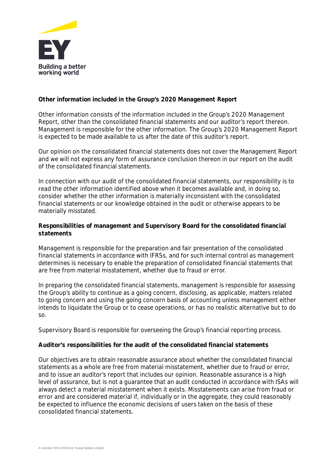

# *Other information included in the Group's 2020 Management Report*

Other information consists of the information included in the Group's 2020 Management Report, other than the consolidated financial statements and our auditor's report thereon. Management is responsible for the other information. The Group's 2020 Management Report is expected to be made available to us after the date of this auditor's report.

Our opinion on the consolidated financial statements does not cover the Management Report and we will not express any form of assurance conclusion thereon in our report on the audit of the consolidated financial statements.

In connection with our audit of the consolidated financial statements, our responsibility is to read the other information identified above when it becomes available and, in doing so, consider whether the other information is materially inconsistent with the consolidated financial statements or our knowledge obtained in the audit or otherwise appears to be materially misstated.

# *Responsibilities of management and Supervisory Board for the consolidated financial statements*

Management is responsible for the preparation and fair presentation of the consolidated financial statements in accordance with IFRSs, and for such internal control as management determines is necessary to enable the preparation of consolidated financial statements that are free from material misstatement, whether due to fraud or error.

In preparing the consolidated financial statements, management is responsible for assessing the Group's ability to continue as a going concern, disclosing, as applicable, matters related to going concern and using the going concern basis of accounting unless management either intends to liquidate the Group or to cease operations, or has no realistic alternative but to do so.

Supervisory Board is responsible for overseeing the Group's financial reporting process.

# *Auditor's responsibilities for the audit of the consolidated financial statements*

Our objectives are to obtain reasonable assurance about whether the consolidated financial statements as a whole are free from material misstatement, whether due to fraud or error, and to issue an auditor's report that includes our opinion. Reasonable assurance is a high level of assurance, but is not a guarantee that an audit conducted in accordance with ISAs will always detect a material misstatement when it exists. Misstatements can arise from fraud or error and are considered material if, individually or in the aggregate, they could reasonably be expected to influence the economic decisions of users taken on the basis of these consolidated financial statements.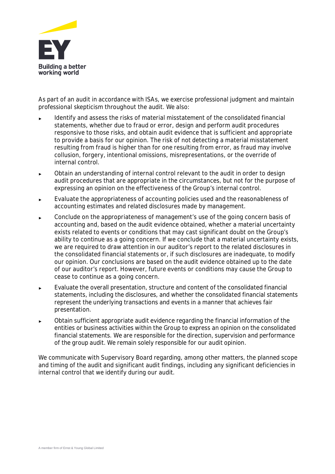

As part of an audit in accordance with ISAs, we exercise professional judgment and maintain professional skepticism throughout the audit. We also:

- Identify and assess the risks of material misstatement of the consolidated financial statements, whether due to fraud or error, design and perform audit procedures responsive to those risks, and obtain audit evidence that is sufficient and appropriate to provide a basis for our opinion. The risk of not detecting a material misstatement resulting from fraud is higher than for one resulting from error, as fraud may involve collusion, forgery, intentional omissions, misrepresentations, or the override of internal control.
- Obtain an understanding of internal control relevant to the audit in order to design  $\ddot{\phantom{1}}$ audit procedures that are appropriate in the circumstances, but not for the purpose of expressing an opinion on the effectiveness of the Group's internal control.
- Evaluate the appropriateness of accounting policies used and the reasonableness of accounting estimates and related disclosures made by management.
- Conclude on the appropriateness of management's use of the going concern basis of accounting and, based on the audit evidence obtained, whether a material uncertainty exists related to events or conditions that may cast significant doubt on the Group's ability to continue as a going concern. If we conclude that a material uncertainty exists, we are required to draw attention in our auditor's report to the related disclosures in the consolidated financial statements or, if such disclosures are inadequate, to modify our opinion. Our conclusions are based on the audit evidence obtained up to the date of our auditor's report. However, future events or conditions may cause the Group to cease to continue as a going concern.
- Evaluate the overall presentation, structure and content of the consolidated financial  $\blacksquare$ statements, including the disclosures, and whether the consolidated financial statements represent the underlying transactions and events in a manner that achieves fair presentation.
- Obtain sufficient appropriate audit evidence regarding the financial information of the entities or business activities within the Group to express an opinion on the consolidated financial statements. We are responsible for the direction, supervision and performance of the group audit. We remain solely responsible for our audit opinion.

We communicate with Supervisory Board regarding, among other matters, the planned scope and timing of the audit and significant audit findings, including any significant deficiencies in internal control that we identify during our audit.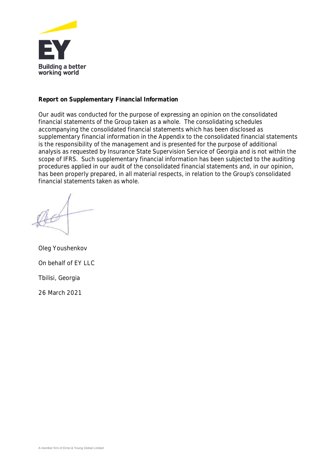

**Report on Supplementary Financial Information**

Our audit was conducted for the purpose of expressing an opinion on the consolidated financial statements of the Group taken as a whole. The consolidating schedules accompanying the consolidated financial statements which has been disclosed as supplementary financial information in the Appendix to the consolidated financial statements is the responsibility of the management and is presented for the purpose of additional analysis as requested by Insurance State Supervision Service of Georgia and is not within the scope of IFRS. Such supplementary financial information has been subjected to the auditing procedures applied in our audit of the consolidated financial statements and, in our opinion, has been properly prepared, in all material respects, in relation to the Group's consolidated financial statements taken as whole.

Oleg Youshenkov On behalf of FY LLC. Tbilisi, Georgia 26 March 2021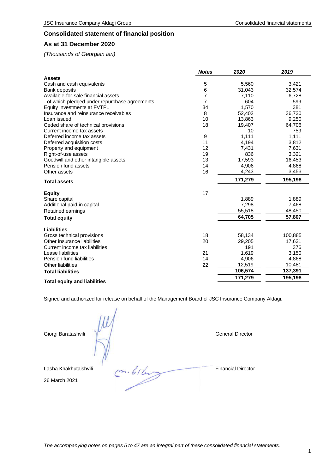# **Consolidated statement of financial position**

# **As at 31 December 2020**

*(Thousands of Georgian lari)*

|                                                | <b>Notes</b> | 2020    | 2019    |
|------------------------------------------------|--------------|---------|---------|
| <b>Assets</b>                                  |              |         |         |
| Cash and cash equivalents                      | 5            | 5,560   | 3,421   |
| <b>Bank deposits</b>                           | 6            | 31,043  | 32,574  |
| Available-for-sale financial assets            | 7            | 7,110   | 6,728   |
| - of which pledged under repurchase agreements | 7            | 604     | 599     |
| Equity investments at FVTPL                    | 34           | 1,570   | 381     |
| Insurance and reinsurance receivables          | 8            | 52,402  | 36,730  |
| Loan issued                                    | 10           | 13,863  | 9,250   |
| Ceded share of technical provisions            | 18           | 19,407  | 64,706  |
| Current income tax assets                      |              | 10      | 759     |
| Deferred income tax assets                     | 9            | 1,111   | 1,111   |
| Deferred acquisition costs                     | 11           | 4,194   | 3,812   |
| Property and equipment                         | 12           | 7,431   | 7,631   |
| Right-of-use assets                            | 19           | 836     | 3,321   |
| Goodwill and other intangible assets           | 13           | 17,593  | 16,453  |
| Pension fund assets                            | 14           | 4,906   | 4,868   |
| Other assets                                   | 16           | 4,243   | 3,453   |
| <b>Total assets</b>                            |              | 171,279 | 195,198 |
| <b>Equity</b>                                  | 17           |         |         |
| Share capital                                  |              | 1,889   | 1,889   |
| Additional paid-in capital                     |              | 7,298   | 7,468   |
| Retained earnings                              |              | 55,518  | 48,450  |
| <b>Total equity</b>                            |              | 64,705  | 57,807  |
| <b>Liabilities</b>                             |              |         |         |
| Gross technical provisions                     | 18           | 58,134  | 100,885 |
| Other insurance liabilities                    | 20           | 29,205  | 17,631  |
| Current income tax liabilities                 |              | 191     | 376     |
| Lease liabilities                              | 21           | 1,619   | 3,150   |
| Pension fund liabilities                       | 14           | 4,906   | 4,868   |
| Other liabilities                              | 22           | 12,519  | 10,481  |
| <b>Total liabilities</b>                       |              | 106,574 | 137,391 |
|                                                |              | 171,279 | 195,198 |
| <b>Total equity and liabilities</b>            |              |         |         |

Signed and authorized for release on behalf of the Management Board of JSC Insurance Company Aldagi:

| Giorgi Baratashvili   |        | <b>General Director</b>   |
|-----------------------|--------|---------------------------|
| Lasha Khakhutaishvili | $\sim$ | <b>Financial Director</b> |
| 26 March 2021         |        |                           |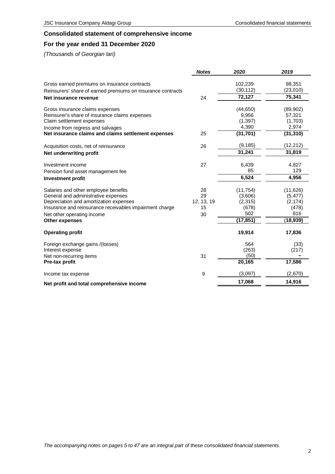# **Consolidated statement of comprehensive income**

# **For the year ended 31 December 2020**

*(Thousands of Georgian lari)*

|                                                                             | <b>Notes</b> | 2020              | 2019              |
|-----------------------------------------------------------------------------|--------------|-------------------|-------------------|
| Gross earned premiums on insurance contracts                                |              | 102,239           | 98,351            |
| Reinsurers' share of earned premiums on insurance contracts                 |              | (30, 112)         | (23,010)          |
| Net insurance revenue                                                       | 24           | 72,127            | 75,341            |
| Gross insurance claims expenses                                             |              | (44, 650)         | (89,902)          |
| Reinsurer's share of insurance claims expenses<br>Claim settlement expenses |              | 9,956<br>(1, 397) | 57,321<br>(1,703) |
| Income from regress and salvages                                            |              | 4,390             | 2,974             |
| Net insurance claims and claims settlement expenses                         | 25           | (31, 701)         | (31, 310)         |
| Acquisition costs, net of reinsurance                                       | 26           | (9, 185)          | (12, 212)         |
| Net underwriting profit                                                     |              | 31,241            | 31,819            |
| Investment income                                                           | 27           | 6,439             | 4,827             |
| Pension fund asset management fee                                           |              | 85                | 129               |
| <b>Investment profit</b>                                                    |              | 6,524             | 4,956             |
| Salaries and other employee benefits                                        | 28           | (11, 754)         | (11,626)          |
| General and administrative expenses                                         | 29           | (3,606)           | (5, 477)          |
| Depreciation and amortization expenses                                      | 12, 13, 19   | (2,315)           | (2, 174)          |
| Insurance and reinsurance receivables impairment charge                     | 15           | (678)             | (478)             |
| Net other operating income                                                  | 30           | 502               | 816               |
| <b>Other expenses</b>                                                       |              | (17, 851)         | (18, 939)         |
| <b>Operating profit</b>                                                     |              | 19,914            | 17,836            |
| Foreign exchange gains /(losses)                                            |              | 564               | (33)              |
| Interest expense                                                            |              | (263)             | (217)             |
| Net non-recurring items                                                     | 31           | (50)              |                   |
| Pre-tax profit                                                              |              | 20,165            | 17,586            |
| Income tax expense                                                          | 9            | (3,097)           | (2,670)           |
| Net profit and total comprehensive income                                   |              | 17,068            | 14,916            |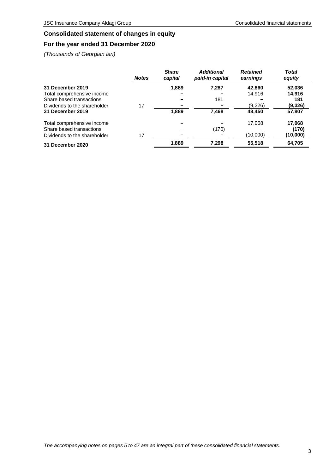# **Consolidated statement of changes in equity**

# **For the year ended 31 December 2020**

*(Thousands of Georgian lari)*

|                              | <b>Notes</b> | <b>Share</b><br>capital | <b>Additional</b><br>paid-in capital | <b>Retained</b><br>earnings | <b>Total</b><br>equity |
|------------------------------|--------------|-------------------------|--------------------------------------|-----------------------------|------------------------|
| 31 December 2019             |              | 1,889                   | 7,287                                | 42,860                      | 52,036                 |
| Total comprehensive income   |              |                         |                                      | 14,916                      | 14,916                 |
| Share based transactions     |              |                         | 181                                  |                             | 181                    |
| Dividends to the shareholder | 17           |                         |                                      | (9,326)                     | (9, 326)               |
| 31 December 2019             |              | 1.889                   | 7,468                                | 48,450                      | 57,807                 |
| Total comprehensive income   |              |                         |                                      | 17,068                      | 17,068                 |
| Share based transactions     |              |                         | (170)                                |                             | (170)                  |
| Dividends to the shareholder | 17           |                         |                                      | (10,000)                    | (10,000)               |
| 31 December 2020             |              | 1,889                   | 7,298                                | 55,518                      | 64,705                 |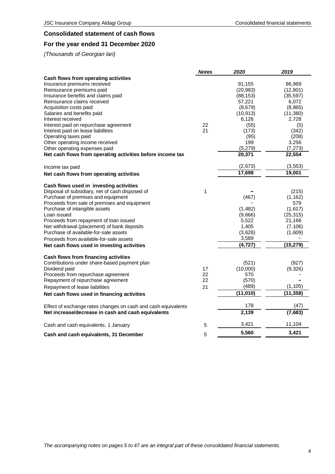# **Consolidated statement of cash flows**

# **For the year ended 31 December 2020**

*(Thousands of Georgian lari)*

|                                                                                       | <b>Notes</b> | 2020             | 2019      |
|---------------------------------------------------------------------------------------|--------------|------------------|-----------|
| Cash flows from operating activities                                                  |              |                  |           |
| Insurance premiums received                                                           |              | 91,155           | 86,969    |
| Reinsurance premiums paid                                                             |              | (20, 983)        | (12, 801) |
| Insurance benefits and claims paid                                                    |              | (88, 153)        | (35, 597) |
| Reinsurance claims received                                                           |              | 57,221           | 6,072     |
| Acquisition costs paid                                                                |              | (8,679)          | (8,865)   |
| Salaries and benefits paid                                                            |              | (10, 913)        | (11,380)  |
| Interest received                                                                     |              | 6,126            | 2,728     |
| Interest paid on repurchase agreement                                                 | 22           | (55)             | (5)       |
| Interest paid on lease liabilities                                                    | 21           | (173)            | (342)     |
| Operating taxes paid                                                                  |              | (95)             | (208)     |
| Other operating income received                                                       |              | 199              | 3,256     |
| Other operating expenses paid                                                         |              | (5,279)          | (7, 273)  |
| Net cash flows from operating activities before income tax                            |              | 20,371           | 22,554    |
| Income tax paid                                                                       |              | (2,673)          | (3, 553)  |
| Net cash flows from operating activities                                              |              | 17,698           | 19,001    |
|                                                                                       |              |                  |           |
| Cash flows used in investing activities                                               |              |                  |           |
| Disposal of subsidiary, net of cash disposed of                                       | 1            |                  | (215)     |
| Purchase of premises and equipment                                                    |              | (467)            | (1, 162)  |
| Proceeds from sale of premises and equipment                                          |              |                  | 579       |
| Purchase of intangible assets<br>Loan issued                                          |              | (1,482)          | (1,617)   |
|                                                                                       |              | (9,666)          | (25, 315) |
| Proceeds from repayment of loan issued<br>Net withdrawal (placement) of bank deposits |              | 5,522            | 21,166    |
| Purchase of available-for-sale assets                                                 |              | 1,405            | (7, 106)  |
|                                                                                       |              | (3,628)<br>3,589 | (1,609)   |
| Proceeds from available-for-sale assets                                               |              |                  |           |
| Net cash flows used in investing activities                                           |              | (4, 727)         | (15, 279) |
| Cash flows from financing activities                                                  |              |                  |           |
| Contributions under share-based payment plan                                          |              | (521)            | (927)     |
| Dividend paid                                                                         | 17           | (10,000)         | (9, 326)  |
| Proceeds from repurchase agreement                                                    | 22           | 570              |           |
| Repayment of repurchase agreement                                                     | 22           | (570)            |           |
| Repayment of lease liabilities                                                        | 21           | (489)            | (1, 105)  |
| Net cash flows used in financing activities                                           |              | (11,010)         | (11, 358) |
| Effect of exchange rates changes on cash and cash equivalents                         |              | 178              | (47)      |
| Net increase/decrease in cash and cash equivalents                                    |              | 2,139            | (7,683)   |
|                                                                                       |              | 3,421            |           |
| Cash and cash equivalents, 1 January                                                  | 5            |                  | 11,104    |
| Cash and cash equivalents, 31 December                                                | 5            | 5,560            | 3,421     |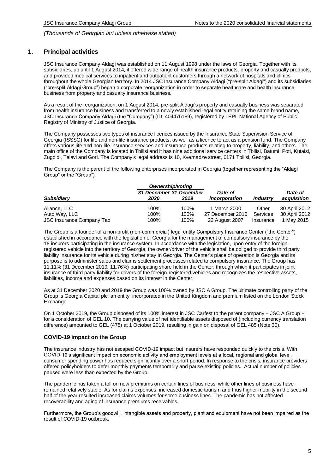### **1. Principal activities**

JSC Insurance Company Aldagi was established on 11 August 1998 under the laws of Georgia. Together with its subsidiaries, up until 1 August 2014, it offered wide range of health insurance products, property and casualty products, and provided medical services to inpatient and outpatient customers through a network of hospitals and clinics throughout the whole Georgian territory. In 2014 JSC Insurance Company Aldagi ("pre-split Aldagi") and its subsidiaries ("pre-split Aldagi Group") began a corporate reorganization in order to separate healthcare and health insurance business from property and casualty insurance business.

As a result of the reorganization, on 1 August 2014, pre-split Aldagi's property and casualty business was separated from health insurance business and transferred to a newly established legal entity retaining the same brand name, JSC Insurance Company Aldagi (the "Company") (ID: 404476189), registered by LEPL National Agency of Public Registry of Ministry of Justice of Georgia.

The Company possesses two types of insurance licences issued by the Insurance State Supervision Service of Georgia (ISSSG) for life and non-life insurance products, as well as a licence to act as a pension fund. The Company offers various life and non-life insurance services and insurance products relating to property, liability, and others. The main office of the Company is located in Tbilisi and it has nine additional service centers in Tbilisi, Batumi, Poti, Kutaisi, Zugdidi, Telavi and Gori. The Company's legal address is 10, Kvernadze street, 0171 Tbilisi, Georgia.

The Company is the parent of the following enterprises incorporated in Georgia (together representing the "Aldagi<br>Group" or the "Group").

|                                                   | Ownership/voting                |              |                                    |                       |                             |
|---------------------------------------------------|---------------------------------|--------------|------------------------------------|-----------------------|-----------------------------|
| <b>Subsidiary</b>                                 | 31 December 31 December<br>2020 | 2019         | Date of<br>incorporation           | <b>Industry</b>       | Date of<br>acquisition      |
| Aliance, LLC                                      | 100%                            | 100%         | 1 March 2000                       | Other                 | 30 April 2012               |
| Auto Way, LLC<br><b>JSC Insurance Company Tao</b> | 100%<br>100%                    | 100%<br>100% | 27 December 2010<br>22 August 2007 | Services<br>Insurance | 30 April 2012<br>1 May 2015 |

The Group is a founder of a non-profit (non-commercial) legal entity Compulsory Insurance Center ("the Center") established in accordance with the legislation of Georgia for the management of compulsory insurance by the 18 insurers participating in the insurance system. In accordance with the legislation, upon entry of the foreignregistered vehicle into the territory of Georgia, the owner/driver of the vehicle shall be obliged to provide third party liability insurance for its vehicle during his/her stay in Georgia. The Center's place of operation is Georgia and its purpose is to administer sales and claims settlement processes related to compulsory insurance. The Group has 11.11% (31 December 2019: 11.76%) participating share held in the Center, through which it participates in joint insurance of third party liability for drivers of the foreign-registered vehicles and recognizes the respective assets, liabilities, income and expenses based on its interest in the Center.

As at 31 December 2020 and 2019 the Group was 100% owned by JSC A Group. The ultimate controlling party of the Group is Georgia Capital plc, an entity incorporated in the United Kingdom and premium listed on the London Stock Exchange.

On 1 October 2019, the Group disposed of its 100% interest in JSC Carfest to the parent company - JSC A Group for a consideration of GEL 10. The carrying value of net identifiable assets disposed of (including currency translation difference) amounted to GEL (475) at 1 October 2019, resulting in gain on disposal of GEL 485 (Note 30).

### **COVID-19 impact on the Group**

The insurance industry has not escaped COVID-19 impact but insurers have responded quickly to the crisis. With COVID-19's significant impact on economic activity and employment levels at a local, regional and global level, consumer spending power has reduced significantly over a short period. In response to the crisis, insurance providers offered policyholders to defer monthly payments temporarily and pause existing policies. Actual number of policies paused were less than expected by the Group.

The pandemic has taken a toll on new premiums on certain lines of business, while other lines of business have remained relatively stable. As for claims expenses, increased domestic tourism and thus higher mobility in the second half of the year resulted increased claims volumes for some business lines. The pandemic has not affected recoverability and aging of insurance premiums receivables.

Furthermore, the Group's goodwill, intangible assets and property, plant and equipment have not been impaired as the result of COVID-19 outbreak.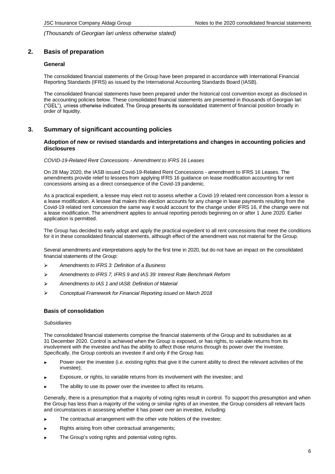# **2. Basis of preparation**

### **General**

The consolidated financial statements of the Group have been prepared in accordance with International Financial Reporting Standards (IFRS) as issued by the International Accounting Standards Board (IASB).

The consolidated financial statements have been prepared under the historical cost convention except as disclosed in the accounting policies below. These consolidated financial statements are presented in thousands of Georgian lari ("GEL"), unless otherwise indicated. The Group presents its consolidated statement of financial position broadly in order of liquidity.

# **3. Summary of significant accounting policies**

### **Adoption of new or revised standards and interpretations and changes in accounting policies and disclosures**

### *COVID-19-Related Rent Concessions - Amendment to IFRS 16 Leases*

On 28 May 2020, the IASB issued Covid-19-Related Rent Concessions - amendment to IFRS 16 Leases. The amendments provide relief to lessees from applying IFRS 16 guidance on lease modification accounting for rent concessions arising as a direct consequence of the Covid-19 pandemic.

As a practical expedient, a lessee may elect not to assess whether a Covid-19 related rent concession from a lessor is a lease modification. A lessee that makes this election accounts for any change in lease payments resulting from the Covid-19 related rent concession the same way it would account for the change under IFRS 16, if the change were not a lease modification. The amendment applies to annual reporting periods beginning on or after 1 June 2020. Earlier application is permitted.

The Group has decided to early adopt and apply the practical expedient to all rent concessions that meet the conditions for it in these consolidated financial statements, although effect of the amendment was not material for the Group.

Several amendments and interpretations apply for the first time in 2020, but do not have an impact on the consolidated financial statements of the Group:

- *Amendments to IFRS 3: Definition of a Business* N
- $\blacktriangleright$ *Amendments to IFRS 7, IFRS 9 and IAS 39: Interest Rate Benchmark Reform*
- $\triangleright$ *Amendments to IAS 1 and IAS8: Definition of Material*
- $\blacktriangleright$ *Conceptual Framework for Financial Reporting issued on March 2018*

### **Basis of consolidation**

#### *Subsidiaries*

The consolidated financial statements comprise the financial statements of the Group and its subsidiaries as at 31 December 2020. Control is achieved when the Group is exposed, or has rights, to variable returns from its involvement with the investee and has the ability to affect those returns through its power over the investee. Specifically, the Group controls an investee if and only if the Group has:

- Power over the investee (i.e. existing rights that give it the current ability to direct the relevant activities of the investee);
- Exposure, or rights, to variable returns from its involvement with the investee; and
- The ability to use its power over the investee to affect its returns.

Generally, there is a presumption that a majority of voting rights result in control. To support this presumption and when the Group has less than a majority of the voting or similar rights of an investee, the Group considers all relevant facts and circumstances in assessing whether it has power over an investee, including:

- The contractual arrangement with the other vote holders of the investee;
- Rights arising from other contractual arrangements;
- The Group's voting rights and potential voting rights.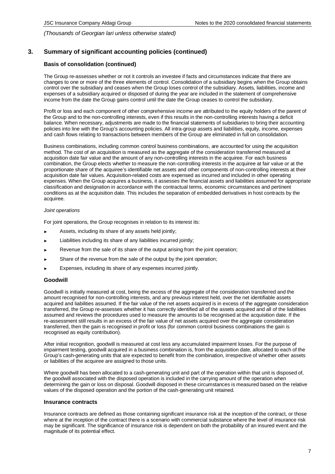# **3. Summary of significant accounting policies (continued)**

### **Basis of consolidation (continued)**

The Group re-assesses whether or not it controls an investee if facts and circumstances indicate that there are changes to one or more of the three elements of control. Consolidation of a subsidiary begins when the Group obtains control over the subsidiary and ceases when the Group loses control of the subsidiary. Assets, liabilities, income and expenses of a subsidiary acquired or disposed of during the year are included in the statement of comprehensive income from the date the Group gains control until the date the Group ceases to control the subsidiary.

Profit or loss and each component of other comprehensive income are attributed to the equity holders of the parent of the Group and to the non-controlling interests, even if this results in the non-controlling interests having a deficit balance. When necessary, adjustments are made to the financial statements of subsidiaries to bring their accounting policies into line with the Group's accounting policies. All intra-group assets and liabilities, equity, income, expenses and cash flows relating to transactions between members of the Group are eliminated in full on consolidation.

Business combinations, including common control business combinations, are accounted for using the acquisition method. The cost of an acquisition is measured as the aggregate of the consideration transferred measured at acquisition date fair value and the amount of any non-controlling interests in the acquiree. For each business combination, the Group elects whether to measure the non-controlling interests in the acquiree at fair value or at the proportionate share of the acquiree's identifiable net assets and other components of non-controlling interests at their acquisition date fair values. Acquisition-related costs are expensed as incurred and included in other operating expenses. When the Group acquires a business, it assesses the financial assets and liabilities assumed for appropriate classification and designation in accordance with the contractual terms, economic circumstances and pertinent conditions as at the acquisition date. This includes the separation of embedded derivatives in host contracts by the acquiree.

### *Joint operations*

For joint operations, the Group recognises in relation to its interest its:

- Assets, including its share of any assets held jointly;
- Liabilities including its share of any liabilities incurred jointly;
- Revenue from the sale of its share of the output arising from the joint operation;
- Share of the revenue from the sale of the output by the joint operation;
- Expenses, including its share of any expenses incurred jointly.

### **Goodwill**

Goodwill is initially measured at cost, being the excess of the aggregate of the consideration transferred and the amount recognised for non-controlling interests, and any previous interest held, over the net identifiable assets acquired and liabilities assumed. If the fair value of the net assets acquired is in excess of the aggregate consideration transferred, the Group re-assesses whether it has correctly identified all of the assets acquired and all of the liabilities assumed and reviews the procedures used to measure the amounts to be recognised at the acquisition date. If the re-assessment still results in an excess of the fair value of net assets acquired over the aggregate consideration transferred, then the gain is recognised in profit or loss (for common control business combinations the gain is recognised as equity contribution).

After initial recognition, goodwill is measured at cost less any accumulated impairment losses. For the purpose of impairment testing, goodwill acquired in a business combination is, from the acquisition date, allocated to each of the Group's cash-generating units that are expected to benefit from the combination, irrespective of whether other assets or liabilities of the acquiree are assigned to those units.

Where goodwill has been allocated to a cash-generating unit and part of the operation within that unit is disposed of, the goodwill associated with the disposed operation is included in the carrying amount of the operation when determining the gain or loss on disposal. Goodwill disposed in these circumstances is measured based on the relative values of the disposed operation and the portion of the cash-generating unit retained.

### **Insurance contracts**

Insurance contracts are defined as those containing significant insurance risk at the inception of the contract, or those where at the inception of the contract there is a scenario with commercial substance where the level of insurance risk may be significant. The significance of insurance risk is dependent on both the probability of an insured event and the magnitude of its potential effect.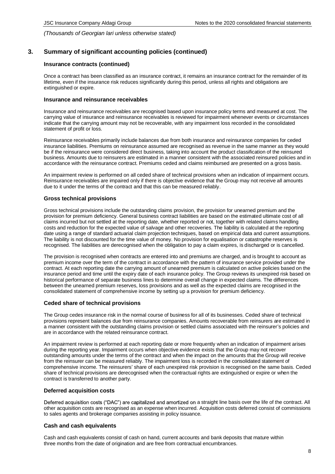### **3. Summary of significant accounting policies (continued)**

### **Insurance contracts (continued)**

Once a contract has been classified as an insurance contract, it remains an insurance contract for the remainder of its lifetime, even if the insurance risk reduces significantly during this period, unless all rights and obligations are extinguished or expire.

#### **Insurance and reinsurance receivables**

Insurance and reinsurance receivables are recognised based upon insurance policy terms and measured at cost. The carrying value of insurance and reinsurance receivables is reviewed for impairment whenever events or circumstances indicate that the carrying amount may not be recoverable, with any impairment loss recorded in the consolidated statement of profit or loss.

Reinsurance receivables primarily include balances due from both insurance and reinsurance companies for ceded insurance liabilities. Premiums on reinsurance assumed are recognised as revenue in the same manner as they would be if the reinsurance were considered direct business, taking into account the product classification of the reinsured business. Amounts due to reinsurers are estimated in a manner consistent with the associated reinsured policies and in accordance with the reinsurance contract. Premiums ceded and claims reimbursed are presented on a gross basis.

An impairment review is performed on all ceded share of technical provisions when an indication of impairment occurs. Reinsurance receivables are impaired only if there is objective evidence that the Group may not receive all amounts due to it under the terms of the contract and that this can be measured reliably.

### **Gross technical provisions**

Gross technical provisions include the outstanding claims provision, the provision for unearned premium and the provision for premium deficiency. General business contract liabilities are based on the estimated ultimate cost of all claims incurred but not settled at the reporting date, whether reported or not, together with related claims handling costs and reduction for the expected value of salvage and other recoveries. The liability is calculated at the reporting date using a range of standard actuarial claim projection techniques, based on empirical data and current assumptions. The liability is not discounted for the time value of money. No provision for equalisation or catastrophe reserves is recognised. The liabilities are derecognised when the obligation to pay a claim expires, is discharged or is cancelled.

The provision is recognised when contracts are entered into and premiums are charged, and is brought to account as premium income over the term of the contract in accordance with the pattern of insurance service provided under the contract. At each reporting date the carrying amount of unearned premium is calculated on active policies based on the insurance period and time until the expiry date of each insurance policy. The Group reviews its unexpired risk based on historical performance of separate business lines to determine overall change in expected claims. The differences between the unearned premium reserves, loss provisions and as well as the expected claims are recognised in the consolidated statement of comprehensive income by setting up a provision for premium deficiency.

### **Ceded share of technical provisions**

The Group cedes insurance risk in the normal course of business for all of its businesses. Ceded share of technical provisions represent balances due from reinsurance companies. Amounts recoverable from reinsurers are estimated in a manner consistent with the outstanding claims provision or settled claims associated with the reinsurer's policies and are in accordance with the related reinsurance contract.

An impairment review is performed at each reporting date or more frequently when an indication of impairment arises during the reporting year. Impairment occurs when objective evidence exists that the Group may not recover outstanding amounts under the terms of the contract and when the impact on the amounts that the Group will receive from the reinsurer can be measured reliably. The impairment loss is recorded in the consolidated statement of comprehensive income. The reinsurers' share of each unexpired risk provision is recognised on the same basis. Ceded share of technical provisions are derecognised when the contractual rights are extinguished or expire or when the contract is transferred to another party.

### **Deferred acquisition costs**

Deferred acquisition costs ("DAC") are capitalized and amortized on a straight line basis over the life of the contract. All other acquisition costs are recognised as an expense when incurred. Acquisition costs deferred consist of commissions to sales agents and brokerage companies assisting in policy issuance.

### **Cash and cash equivalents**

Cash and cash equivalents consist of cash on hand, current accounts and bank deposits that mature within three months from the date of origination and are free from contractual encumbrances.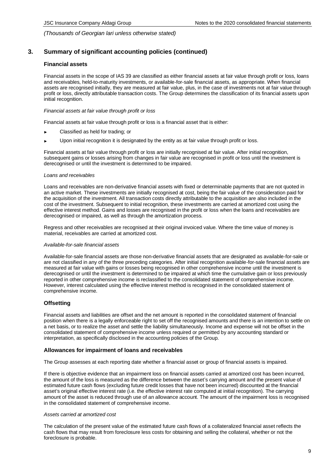# **3. Summary of significant accounting policies (continued)**

### **Financial assets**

Financial assets in the scope of IAS 39 are classified as either financial assets at fair value through profit or loss, loans and receivables, held-to-maturity investments, or available-for-sale financial assets, as appropriate. When financial assets are recognised initially, they are measured at fair value, plus, in the case of investments not at fair value through profit or loss, directly attributable transaction costs. The Group determines the classification of its financial assets upon initial recognition.

### *Financial assets at fair value through profit or loss*

Financial assets at fair value through profit or loss is a financial asset that is either:

- Classified as held for trading; or Й
- Upon initial recognition it is designated by the entity as at fair value through profit or loss.

Financial assets at fair value through profit or loss are initially recognised at fair value. After initial recognition, subsequent gains or losses arising from changes in fair value are recognised in profit or loss until the investment is derecognised or until the investment is determined to be impaired.

#### *Loans and receivables*

Loans and receivables are non-derivative financial assets with fixed or determinable payments that are not quoted in an active market. These investments are initially recognised at cost, being the fair value of the consideration paid for the acquisition of the investment. All transaction costs directly attributable to the acquisition are also included in the cost of the investment. Subsequent to initial recognition, these investments are carried at amortized cost using the effective interest method. Gains and losses are recognised in the profit or loss when the loans and receivables are derecognised or impaired, as well as through the amortization process.

Regress and other receivables are recognised at their original invoiced value. Where the time value of money is material, receivables are carried at amortized cost.

#### *Available-for-sale financial assets*

Available-for-sale financial assets are those non-derivative financial assets that are designated as available-for-sale or are not classified in any of the three preceding categories. After initial recognition available-for-sale financial assets are measured at fair value with gains or losses being recognised in other comprehensive income until the investment is derecognised or until the investment is determined to be impaired at which time the cumulative gain or loss previously reported in other comprehensive income is reclassified to the consolidated statement of comprehensive income. However, interest calculated using the effective interest method is recognised in the consolidated statement of comprehensive income.

### **Offsetting**

Financial assets and liabilities are offset and the net amount is reported in the consolidated statement of financial position when there is a legally enforceable right to set off the recognised amounts and there is an intention to settle on a net basis, or to realize the asset and settle the liability simultaneously. Income and expense will not be offset in the consolidated statement of comprehensive income unless required or permitted by any accounting standard or interpretation, as specifically disclosed in the accounting policies of the Group.

### **Allowances for impairment of loans and receivables**

The Group assesses at each reporting date whether a financial asset or group of financial assets is impaired.

If there is objective evidence that an impairment loss on financial assets carried at amortized cost has been incurred, the amount of the loss is measured as the difference between the asset's carrying amount and the present value of estimated future cash flows (excluding future credit losses that have not been incurred) discounted at the financial asset's original effective interest rate (i.e. the effective interest rate computed at initial recognition). The carrying amount of the asset is reduced through use of an allowance account. The amount of the impairment loss is recognised in the consolidated statement of comprehensive income.

#### *Assets carried at amortized cost*

The calculation of the present value of the estimated future cash flows of a collateralized financial asset reflects the cash flows that may result from foreclosure less costs for obtaining and selling the collateral, whether or not the foreclosure is probable.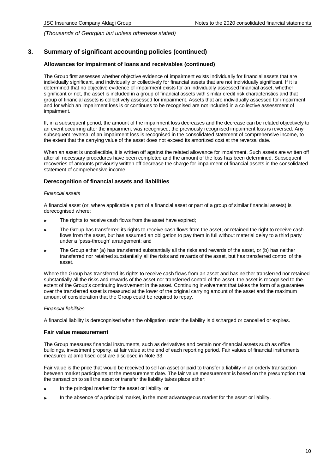# **3. Summary of significant accounting policies (continued)**

### **Allowances for impairment of loans and receivables (continued)**

The Group first assesses whether objective evidence of impairment exists individually for financial assets that are individually significant, and individually or collectively for financial assets that are not individually significant. If it is determined that no objective evidence of impairment exists for an individually assessed financial asset, whether significant or not, the asset is included in a group of financial assets with similar credit risk characteristics and that group of financial assets is collectively assessed for impairment. Assets that are individually assessed for impairment and for which an impairment loss is or continues to be recognised are not included in a collective assessment of impairment.

If, in a subsequent period, the amount of the impairment loss decreases and the decrease can be related objectively to an event occurring after the impairment was recognised, the previously recognised impairment loss is reversed. Any subsequent reversal of an impairment loss is recognised in the consolidated statement of comprehensive income, to the extent that the carrying value of the asset does not exceed its amortized cost at the reversal date.

When an asset is uncollectible, it is written off against the related allowance for impairment. Such assets are written off after all necessary procedures have been completed and the amount of the loss has been determined. Subsequent recoveries of amounts previously written off decrease the charge for impairment of financial assets in the consolidated statement of comprehensive income.

### **Derecognition of financial assets and liabilities**

#### *Financial assets*

A financial asset (or, where applicable a part of a financial asset or part of a group of similar financial assets) is derecognised where:

- The rights to receive cash flows from the asset have expired;
- The Group has transferred its rights to receive cash flows from the asset, or retained the right to receive cash flows from the asset, but has assumed an obligation to pay them in full without material delay to a third party under a 'pass-through' arrangement; and
- The Group either (a) has transferred substantially all the risks and rewards of the asset, or (b) has neither Ы transferred nor retained substantially all the risks and rewards of the asset, but has transferred control of the asset.

Where the Group has transferred its rights to receive cash flows from an asset and has neither transferred nor retained substantially all the risks and rewards of the asset nor transferred control of the asset, the asset is recognised to the extent of the Group's continuing involvement in the asset. Continuing involvement that takes the form of a guarantee over the transferred asset is measured at the lower of the original carrying amount of the asset and the maximum amount of consideration that the Group could be required to repay.

### *Financial liabilities*

A financial liability is derecognised when the obligation under the liability is discharged or cancelled or expires.

### **Fair value measurement**

The Group measures financial instruments, such as derivatives and certain non-financial assets such as office buildings, investment property, at fair value at the end of each reporting period. Fair values of financial instruments measured at amortised cost are disclosed in Note 33.

Fair value is the price that would be received to sell an asset or paid to transfer a liability in an orderly transaction between market participants at the measurement date. The fair value measurement is based on the presumption that the transaction to sell the asset or transfer the liability takes place either:

- In the principal market for the asset or liability; or
- In the absence of a principal market, in the most advantageous market for the asset or liability.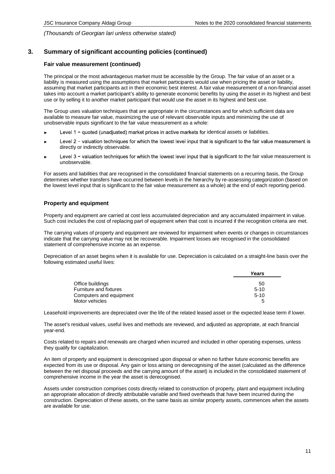# **3. Summary of significant accounting policies (continued)**

### **Fair value measurement (continued)**

The principal or the most advantageous market must be accessible by the Group. The fair value of an asset or a liability is measured using the assumptions that market participants would use when pricing the asset or liability, assuming that market participants act in their economic best interest. A fair value measurement of a non-financial asset takes into account a market participant's ability to generate economic benefits by using the asset in its highest and best use or by selling it to another market participant that would use the asset in its highest and best use.

The Group uses valuation techniques that are appropriate in the circumstances and for which sufficient data are available to measure fair value, maximizing the use of relevant observable inputs and minimizing the use of unobservable inputs significant to the fair value measurement as a whole:

- Level 1 quoted (unadjusted) market prices in active markets for identical assets or liabilities.
- Level 2 valuation techniques for which the lowest level input that is significant to the fair value measurement is directly or indirectly observable.
- Level 3 valuation techniques for which the lowest level input that is significant to the fair value measurement is unobservable.

For assets and liabilities that are recognised in the consolidated financial statements on a recurring basis, the Group determines whether transfers have occurred between levels in the hierarchy by re-assessing categorization (based on the lowest level input that is significant to the fair value measurement as a whole) at the end of each reporting period.

### **Property and equipment**

Property and equipment are carried at cost less accumulated depreciation and any accumulated impairment in value. Such cost includes the cost of replacing part of equipment when that cost is incurred if the recognition criteria are met.

The carrying values of property and equipment are reviewed for impairment when events or changes in circumstances indicate that the carrying value may not be recoverable. Impairment losses are recognised in the consolidated statement of comprehensive income as an expense.

Depreciation of an asset begins when it is available for use. Depreciation is calculated on a straight-line basis over the following estimated useful lives:

|                         | Years    |
|-------------------------|----------|
| Office buildings        | 50       |
| Furniture and fixtures  | $5 - 10$ |
| Computers and equipment | $5 - 10$ |
| Motor vehicles          | 5        |

Leasehold improvements are depreciated over the life of the related leased asset or the expected lease term if lower.

The asset's residual values, useful lives and methods are reviewed, and adjusted as appropriate, at each financial year-end.

Costs related to repairs and renewals are charged when incurred and included in other operating expenses, unless they qualify for capitalization.

An item of property and equipment is derecognised upon disposal or when no further future economic benefits are expected from its use or disposal. Any gain or loss arising on derecognising of the asset (calculated as the difference between the net disposal proceeds and the carrying amount of the asset) is included in the consolidated statement of comprehensive income in the year the asset is derecognised.

Assets under construction comprises costs directly related to construction of property, plant and equipment including an appropriate allocation of directly attributable variable and fixed overheads that have been incurred during the construction. Depreciation of these assets, on the same basis as similar property assets, commences when the assets are available for use.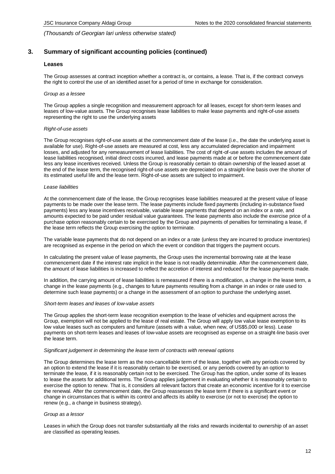## **3. Summary of significant accounting policies (continued)**

#### **Leases**

The Group assesses at contract inception whether a contract is, or contains, a lease. That is, if the contract conveys the right to control the use of an identified asset for a period of time in exchange for consideration.

#### *Group as a lessee*

The Group applies a single recognition and measurement approach for all leases, except for short-term leases and leases of low-value assets. The Group recognises lease liabilities to make lease payments and right-of-use assets representing the right to use the underlying assets

#### *Right-of-use assets*

The Group recognises right-of-use assets at the commencement date of the lease (i.e., the date the underlying asset is available for use). Right-of-use assets are measured at cost, less any accumulated depreciation and impairment losses, and adjusted for any remeasurement of lease liabilities. The cost of right-of-use assets includes the amount of lease liabilities recognised, initial direct costs incurred, and lease payments made at or before the commencement date less any lease incentives received. Unless the Group is reasonably certain to obtain ownership of the leased asset at the end of the lease term, the recognised right-of-use assets are depreciated on a straight-line basis over the shorter of its estimated useful life and the lease term. Right-of-use assets are subject to impairment.

#### *Lease liabilities*

At the commencement date of the lease, the Group recognises lease liabilities measured at the present value of lease payments to be made over the lease term. The lease payments include fixed payments (including in-substance fixed payments) less any lease incentives receivable, variable lease payments that depend on an index or a rate, and amounts expected to be paid under residual value guarantees. The lease payments also include the exercise price of a purchase option reasonably certain to be exercised by the Group and payments of penalties for terminating a lease, if the lease term reflects the Group exercising the option to terminate.

The variable lease payments that do not depend on an index or a rate (unless they are incurred to produce inventories) are recognised as expense in the period on which the event or condition that triggers the payment occurs.

In calculating the present value of lease payments, the Group uses the incremental borrowing rate at the lease commencement date if the interest rate implicit in the lease is not readily determinable. After the commencement date, the amount of lease liabilities is increased to reflect the accretion of interest and reduced for the lease payments made.

In addition, the carrying amount of lease liabilities is remeasured if there is a modification, a change in the lease term, a change in the lease payments (e.g., changes to future payments resulting from a change in an index or rate used to determine such lease payments) or a change in the assessment of an option to purchase the underlying asset.

#### *Short-term leases and leases of low-value assets*

The Group applies the short-term lease recognition exemption to the lease of vehicles and equipment across the Group, exemption will not be applied to the lease of real estate. The Group will apply low value lease exemption to its low value leases such as computers and furniture (assets with a value, when new, of US\$5,000 or less). Lease payments on short-term leases and leases of low-value assets are recognised as expense on a straight-line basis over the lease term.

#### *Significant judgement in determining the lease term of contracts with renewal options*

The Group determines the lease term as the non-cancellable term of the lease, together with any periods covered by an option to extend the lease if it is reasonably certain to be exercised, or any periods covered by an option to terminate the lease, if it is reasonably certain not to be exercised. The Group has the option, under some of its leases to lease the assets for additional terms. The Group applies judgement in evaluating whether it is reasonably certain to exercise the option to renew. That is, it considers all relevant factors that create an economic incentive for it to exercise the renewal. After the commencement date, the Group reassesses the lease term if there is a significant event or change in circumstances that is within its control and affects its ability to exercise (or not to exercise) the option to renew (e.g., a change in business strategy).

#### *Group as a lessor*

Leases in which the Group does not transfer substantially all the risks and rewards incidental to ownership of an asset are classified as operating leases.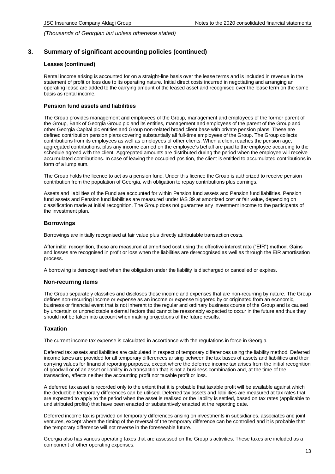# **3. Summary of significant accounting policies (continued)**

### **Leases (continued)**

Rental income arising is accounted for on a straight-line basis over the lease terms and is included in revenue in the statement of profit or loss due to its operating nature. Initial direct costs incurred in negotiating and arranging an operating lease are added to the carrying amount of the leased asset and recognised over the lease term on the same basis as rental income.

### **Pension fund assets and liabilities**

The Group provides management and employees of the Group, management and employees of the former parent of the Group, Bank of Georgia Group plc and its entities, management and employees of the parent of the Group and other Georgia Capital plc entities and Group non-related broad client base with private pension plans. These are defined contribution pension plans covering substantially all full-time employees of the Group. The Group collects contributions from its employees as well as employees of other clients. When a client reaches the pension age, aggregated contributions, plus any income earned on the employee's behalf are paid to the employee according to the schedule agreed with the client. Aggregated amounts are distributed during the period when the employee will receive accumulated contributions. In case of leaving the occupied position, the client is entitled to accumulated contributions in form of a lump sum.

The Group holds the licence to act as a pension fund. Under this licence the Group is authorized to receive pension contribution from the population of Georgia, with obligation to repay contributions plus earnings.

Assets and liabilities of the Fund are accounted for within Pension fund assets and Pension fund liabilities. Pension fund assets and Pension fund liabilities are measured under IAS 39 at amortized cost or fair value, depending on classification made at initial recognition. The Group does not guarantee any investment income to the participants of the investment plan.

### **Borrowings**

Borrowings are initially recognised at fair value plus directly attributable transaction costs.

After initial recognition, these are measured at amortised cost using the effective interest rate ("EIR") method. Gains and losses are recognised in profit or loss when the liabilities are derecognised as well as through the EIR amortisation process.

A borrowing is derecognised when the obligation under the liability is discharged or cancelled or expires.

#### **Non-recurring items**

The Group separately classifies and discloses those income and expenses that are non-recurring by nature. The Group defines non-recurring income or expense as an income or expense triggered by or originated from an economic, business or financial event that is not inherent to the regular and ordinary business course of the Group and is caused by uncertain or unpredictable external factors that cannot be reasonably expected to occur in the future and thus they should not be taken into account when making projections of the future results.

#### **Taxation**

The current income tax expense is calculated in accordance with the regulations in force in Georgia.

Deferred tax assets and liabilities are calculated in respect of temporary differences using the liability method. Deferred income taxes are provided for all temporary differences arising between the tax bases of assets and liabilities and their carrying values for financial reporting purposes, except where the deferred income tax arises from the initial recognition of goodwill or of an asset or liability in a transaction that is not a business combination and, at the time of the transaction, affects neither the accounting profit nor taxable profit or loss.

A deferred tax asset is recorded only to the extent that it is probable that taxable profit will be available against which the deductible temporary differences can be utilised. Deferred tax assets and liabilities are measured at tax rates that are expected to apply to the period when the asset is realised or the liability is settled, based on tax rates (applicable to undistributed profits) that have been enacted or substantively enacted at the reporting date.

Deferred income tax is provided on temporary differences arising on investments in subsidiaries, associates and joint ventures, except where the timing of the reversal of the temporary difference can be controlled and it is probable that the temporary difference will not reverse in the foreseeable future.

Georgia also has various operating taxes that are assessed on the Group's activities. These taxes are included as a component of other operating expenses.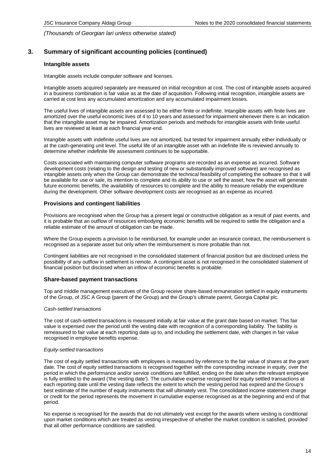# **3. Summary of significant accounting policies (continued)**

### **Intangible assets**

Intangible assets include computer software and licenses.

Intangible assets acquired separately are measured on initial recognition at cost. The cost of intangible assets acquired in a business combination is fair value as at the date of acquisition. Following initial recognition, intangible assets are carried at cost less any accumulated amortization and any accumulated impairment losses.

The useful lives of intangible assets are assessed to be either finite or indefinite. Intangible assets with finite lives are amortized over the useful economic lives of 4 to 10 years and assessed for impairment whenever there is an indication that the intangible asset may be impaired. Amortization periods and methods for intangible assets with finite useful lives are reviewed at least at each financial year-end.

Intangible assets with indefinite useful lives are not amortized, but tested for impairment annually either individually or at the cash-generating unit level. The useful life of an intangible asset with an indefinite life is reviewed annually to determine whether indefinite life assessment continues to be supportable.

Costs associated with maintaining computer software programs are recorded as an expense as incurred. Software development costs (relating to the design and testing of new or substantially improved software) are recognised as intangible assets only when the Group can demonstrate the technical feasibility of completing the software so that it will be available for use or sale, its intention to complete and its ability to use or sell the asset, how the asset will generate future economic benefits, the availability of resources to complete and the ability to measure reliably the expenditure during the development. Other software development costs are recognised as an expense as incurred.

### **Provisions and contingent liabilities**

Provisions are recognised when the Group has a present legal or constructive obligation as a result of past events, and it is probable that an outflow of resources embodying economic benefits will be required to settle the obligation and a reliable estimate of the amount of obligation can be made.

Where the Group expects a provision to be reimbursed, for example under an insurance contract, the reimbursement is recognised as a separate asset but only when the reimbursement is more probable than not.

Contingent liabilities are not recognised in the consolidated statement of financial position but are disclosed unless the possibility of any outflow in settlement is remote. A contingent asset is not recognised in the consolidated statement of financial position but disclosed when an inflow of economic benefits is probable.

#### **Share-based payment transactions**

Top and middle management executives of the Group receive share-based remuneration settled in equity instruments of the Group, of JSC A Group (parent of the Group) and the Group's ultimate parent, Georgia Capital plc.

#### *Cash-settled transactions*

The cost of cash-settled transactions is measured initially at fair value at the grant date based on market. This fair value is expensed over the period until the vesting date with recognition of a corresponding liability. The liability is remeasured to fair value at each reporting date up to, and including the settlement date, with changes in fair value recognised in employee benefits expense.

#### *Equity-settled transactions*

The cost of equity settled transactions with employees is measured by reference to the fair value of shares at the grant date. The cost of equity settled transactions is recognised together with the corresponding increase in equity, over the period in which the performance and/or service conditions are fulfilled, ending on the date when the relevant employee is fully entitled to the award ( the vesting date ). The cumulative expense recognised for equity settled transactions at each reporting date until the vesting date reflects the extent to which the vesting period has expired and the Group's best estimate of the number of equity instruments that will ultimately vest. The consolidated income statement charge or credit for the period represents the movement in cumulative expense recognised as at the beginning and end of that period.

No expense is recognised for the awards that do not ultimately vest except for the awards where vesting is conditional upon market conditions which are treated as vesting irrespective of whether the market condition is satisfied, provided that all other performance conditions are satisfied.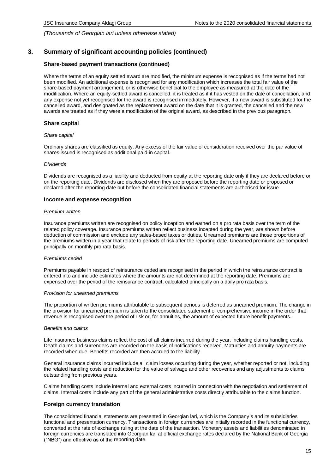# **3. Summary of significant accounting policies (continued)**

### **Share-based payment transactions (continued)**

Where the terms of an equity settled award are modified, the minimum expense is recognised as if the terms had not been modified. An additional expense is recognised for any modification which increases the total fair value of the share-based payment arrangement, or is otherwise beneficial to the employee as measured at the date of the modification. Where an equity-settled award is cancelled, it is treated as if it has vested on the date of cancellation, and any expense not yet recognised for the award is recognised immediately. However, if a new award is substituted for the cancelled award, and designated as the replacement award on the date that it is granted, the cancelled and the new awards are treated as if they were a modification of the original award, as described in the previous paragraph.

### **Share capital**

#### *Share capital*

Ordinary shares are classified as equity. Any excess of the fair value of consideration received over the par value of shares issued is recognised as additional paid-in capital.

#### *Dividends*

Dividends are recognised as a liability and deducted from equity at the reporting date only if they are declared before or on the reporting date. Dividends are disclosed when they are proposed before the reporting date or proposed or declared after the reporting date but before the consolidated financial statements are authorised for issue.

#### **Income and expense recognition**

#### *Premium written*

Insurance premiums written are recognised on policy inception and earned on a pro rata basis over the term of the related policy coverage. Insurance premiums written reflect business incepted during the year, are shown before deduction of commission and exclude any sales-based taxes or duties. Unearned premiums are those proportions of the premiums written in a year that relate to periods of risk after the reporting date. Unearned premiums are computed principally on monthly pro rata basis.

#### *Premiums ceded*

Premiums payable in respect of reinsurance ceded are recognised in the period in which the reinsurance contract is entered into and include estimates where the amounts are not determined at the reporting date. Premiums are expensed over the period of the reinsurance contract, calculated principally on a daily pro rata basis.

#### *Provision for unearned premiums*

The proportion of written premiums attributable to subsequent periods is deferred as unearned premium. The change in the provision for unearned premium is taken to the consolidated statement of comprehensive income in the order that revenue is recognised over the period of risk or, for annuities, the amount of expected future benefit payments.

#### *Benefits and claims*

Life insurance business claims reflect the cost of all claims incurred during the year, including claims handling costs. Death claims and surrenders are recorded on the basis of notifications received. Maturities and annuity payments are recorded when due. Benefits recorded are then accrued to the liability.

General insurance claims incurred include all claim losses occurring during the year, whether reported or not, including the related handling costs and reduction for the value of salvage and other recoveries and any adjustments to claims outstanding from previous years.

Claims handling costs include internal and external costs incurred in connection with the negotiation and settlement of claims. Internal costs include any part of the general administrative costs directly attributable to the claims function.

### **Foreign currency translation**

The consolidated financial statements are presented in Georgian lari, which is the Company's and its subsidiaries functional and presentation currency. Transactions in foreign currencies are initially recorded in the functional currency, converted at the rate of exchange ruling at the date of the transaction. Monetary assets and liabilities denominated in foreign currencies are translated into Georgian lari at official exchange rates declared by the National Bank of Georgia ("NBG") and effective as of the reporting date.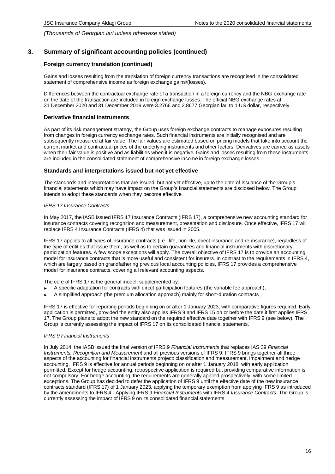# **3. Summary of significant accounting policies (continued)**

### **Foreign currency translation (continued)**

Gains and losses resulting from the translation of foreign currency transactions are recognised in the consolidated statement of comprehensive income as foreign exchange gains/(losses).

Differences between the contractual exchange rate of a transaction in a foreign currency and the NBG exchange rate on the date of the transaction are included in foreign exchange losses. The official NBG exchange rates at 31 December 2020 and 31 December 2019 were 3.2766 and 2.8677 Georgian lari to 1 US dollar, respectively.

### **Derivative financial instruments**

As part of its risk management strategy, the Group uses foreign exchange contracts to manage exposures resulting from changes in foreign currency exchange rates. Such financial instruments are initially recognised and are subsequently measured at fair value. The fair values are estimated based on pricing models that take into account the current market and contractual prices of the underlying instruments and other factors. Derivatives are carried as assets when their fair value is positive and as liabilities when it is negative. Gains and losses resulting from these instruments are included in the consolidated statement of comprehensive income in foreign exchange losses.

### **Standards and interpretations issued but not yet effective**

The standards and interpretations that are issued, but not yet effective, up to the date of issuance of the Group's financial statements which may have impact on the Group's financial statements are disclosed below. The Group intends to adopt these standards when they become effective.

### *IFRS 17 Insurance Contracts*

In May 2017, the IASB issued IFRS 17 Insurance Contracts (IFRS 17), a comprehensive new accounting standard for insurance contracts covering recognition and measurement, presentation and disclosure. Once effective, IFRS 17 will replace IFRS 4 Insurance Contracts (IFRS 4) that was issued in 2005.

IFRS 17 applies to all types of insurance contracts (i.e., life, non-life, direct insurance and re-insurance), regardless of the type of entities that issue them, as well as to certain guarantees and financial instruments with discretionary participation features. A few scope exceptions will apply. The overall objective of IFRS 17 is to provide an accounting model for insurance contracts that is more useful and consistent for insurers. In contrast to the requirements in IFRS 4, which are largely based on grandfathering previous local accounting policies, IFRS 17 provides a comprehensive model for insurance contracts, covering all relevant accounting aspects.

The core of IFRS 17 is the general model, supplemented by:

- A specific adaptation for contracts with direct participation features (the variable fee approach)
- A simplified approach (the premium allocation approach) mainly for short-duration contracts

IFRS 17 is effective for reporting periods beginning on or after 1 January 2023, with comparative figures required. Early application is permitted, provided the entity also applies IFRS 9 and IFRS 15 on or before the date it first applies IFRS 17. The Group plans to adopt the new standard on the required effective date together with IFRS 9 (see below). The Group is currently assessing the impact of IFRS 17 on its consolidated financial statements.

#### *IFRS 9 Financial Instruments*

In July 2014, the IASB issued the final version of IFRS 9 *Financial Instruments* that replaces IAS 39 *Financial Instruments: Recognition and Measurement* and all previous versions of IFRS 9. IFRS 9 brings together all three aspects of the accounting for financial instruments project: classification and measurement, impairment and hedge accounting. IFRS 9 is effective for annual periods beginning on or after 1 January 2018, with early application permitted. Except for hedge accounting, retrospective application is required but providing comparative information is not compulsory. For hedge accounting, the requirements are generally applied prospectively, with some limited exceptions. The Group has decided to defer the application of IFRS 9 until the effective date of the new insurance contracts standard (IFRS 17) of 1 January 2023, applying the temporary exemption from applying IFRS 9 as introduced by the amendments to IFRS 4 - Applying IFRS 9 *Financial Instruments* with IFRS 4 *Insurance Contracts*. The Group is currently assessing the impact of IFRS 9 on its consolidated financial statements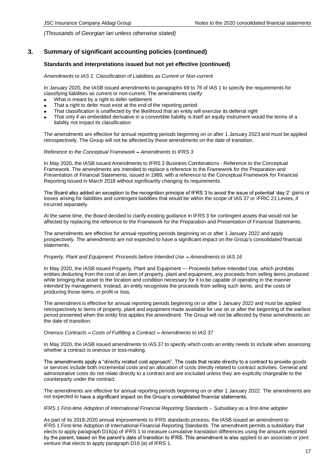# **3. Summary of significant accounting policies (continued)**

### **Standards and interpretations issued but not yet effective (continued)**

*Amendments to IAS 1: Classification of Liabilities as Current or Non-current*

In January 2020, the IASB issued amendments to paragraphs 69 to 76 of IAS 1 to specify the requirements for classifying liabilities as current or non-current. The amendments clarify:

- What is meant by a right to defer settlement
- That a right to defer must exist at the end of the reporting period
- That classification is unaffected by the likelihood that an entity will exercise its deferral right
- That only if an embedded derivative in a convertible liability is itself an equity instrument would the terms of a liability not impact its classification

The amendments are effective for annual reporting periods beginning on or after 1 January 2023 and must be applied retrospectively. The Group will not be affected by these amendments on the date of transition.

#### *Reference to the Conceptual Framework - Amendments to IFRS 3*

In May 2020, the IASB issued Amendments to IFRS 3 Business Combinations - Reference to the Conceptual Framework. The amendments are intended to replace a reference to the Framework for the Preparation and Presentation of Financial Statements, issued in 1989, with a reference to the Conceptual Framework for Financial Reporting issued in March 2018 without significantly changing its requirements.

The Board also added an exception to the recognition principle of IFRS 3 to avoid the issue of potential 'day 2' gains or losses arising for liabilities and contingent liabilities that would be within the scope of IAS 37 or IFRIC 21 Levies, if incurred separately.

At the same time, the Board decided to clarify existing guidance in IFRS 3 for contingent assets that would not be affected by replacing the reference to the Framework for the Preparation and Presentation of Financial Statements.

The amendments are effective for annual reporting periods beginning on or after 1 January 2022 and apply prospectively. The amendments are not expected to have a significant impact on the Group's consolidated financial statements.

#### *Property, Plant and Equipment: Proceeds before Intended Use - Amendments to IAS 16*

In May 2020, the IASB issued Property, Plant and Equipment — Proceeds before Intended Use, which prohibits entities deducting from the cost of an item of property, plant and equipment, any proceeds from selling items produced while bringing that asset to the location and condition necessary for it to be capable of operating in the manner intended by management. Instead, an entity recognises the proceeds from selling such items, and the costs of producing those items, in profit or loss.

The amendment is effective for annual reporting periods beginning on or after 1 January 2022 and must be applied retrospectively to items of property, plant and equipment made available for use on or after the beginning of the earliest period presented when the entity first applies the amendment. The Group will not be affected by these amendments on the date of transition.

#### *Onerous Contracts Costs of Fulfilling a Contract Amendments to IAS 37*

In May 2020, the IASB issued amendments to IAS 37 to specify which costs an entity needs to include when assessing whether a contract is onerous or loss-making.

The amendments apply a "directly related cost approach". The costs that relate directly to a contract to provide goods or services include both incremental costs and an allocation of costs directly related to contract activities. General and administrative costs do not relate directly to a contract and are excluded unless they are explicitly chargeable to the counterparty under the contract.

The amendments are effective for annual reporting periods beginning on or after 1 January 2022. The amendments are not expected to have a significant impact on the Group's consolidated financial statements.

#### *IFRS 1 First-time Adoption of International Financial Reporting Standards - Subsidiary as a first-time adopter*

As part of its 2018-2020 annual improvements to IFRS standards process, the IASB issued an amendment to IFRS 1 First-time Adoption of International Financial Reporting Standards. The amendment permits a subsidiary that elects to apply paragraph D16(a) of IFRS 1 to measure cumulative translation differences using the amounts reported by the parent, based on the parent's date of transition to IFRS. This amendment is also applied to an associate or joint venture that elects to apply paragraph D16 (a) of IFRS 1.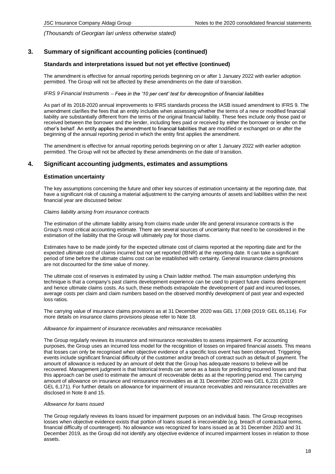# **3. Summary of significant accounting policies (continued)**

### **Standards and interpretations issued but not yet effective (continued)**

The amendment is effective for annual reporting periods beginning on or after 1 January 2022 with earlier adoption permitted. The Group will not be affected by these amendments on the date of transition.

#### *IFRS 9 Financial Instruments*

As part of its 2018-2020 annual improvements to IFRS standards process the IASB issued amendment to IFRS 9. The amendment clarifies the fees that an entity includes when assessing whether the terms of a new or modified financial liability are substantially different from the terms of the original financial liability. These fees include only those paid or received between the borrower and the lender, including fees paid or received by either the borrower or lender on the other's behalf. An entity applies the amendment to financial liabilities that are modified or exchanged on or after the beginning of the annual reporting period in which the entity first applies the amendment.

The amendment is effective for annual reporting periods beginning on or after 1 January 2022 with earlier adoption permitted. The Group will not be affected by these amendments on the date of transition.

### **4. Significant accounting judgments, estimates and assumptions**

### **Estimation uncertainty**

The key assumptions concerning the future and other key sources of estimation uncertainty at the reporting date, that have a significant risk of causing a material adjustment to the carrying amounts of assets and liabilities within the next financial year are discussed below:

### *Claims liability arising from insurance contracts*

The estimation of the ultimate liability arising from claims made under life and general insurance contracts is the Group's most critical accounting estimate. There are several sources of uncertainty that need to be considered in the estimation of the liability that the Group will ultimately pay for those claims.

Estimates have to be made jointly for the expected ultimate cost of claims reported at the reporting date and for the expected ultimate cost of claims incurred but not yet reported (IBNR) at the reporting date. It can take a significant period of time before the ultimate claims cost can be established with certainty. General insurance claims provisions are not discounted for the time value of money.

The ultimate cost of reserves is estimated by using a Chain ladder method. The main assumption underlying this technique is that a company's past claims development experience can be used to project future claims development and hence ultimate claims costs. As such, these methods extrapolate the development of paid and incurred losses, average costs per claim and claim numbers based on the observed monthly development of past year and expected loss ratios.

The carrying value of insurance claims provisions as at 31 December 2020 was GEL 17,069 (2019: GEL 65,114). For more details on insurance claims provisions please refer to Note 18.

### *Allowance for impairment of insurance receivables and reinsurance receivables*

The Group regularly reviews its insurance and reinsurance receivables to assess impairment. For accounting purposes, the Group uses an incurred loss model for the recognition of losses on impaired financial assets. This means that losses can only be recognised when objective evidence of a specific loss event has been observed. Triggering events include significant financial difficulty of the customer and/or breach of contract such as default of payment. The amount of allowance is reduced by an amount of debt that the Group has adequate reasons to believe will be recovered. Management judgment is that historical trends can serve as a basis for predicting incurred losses and that this approach can be used to estimate the amount of recoverable debts as at the reporting period end. The carrying amount of allowance on insurance and reinsurance receivables as at 31 December 2020 was GEL 6,231 (2019: GEL 6,171). For further details on allowance for impairment of insurance receivables and reinsurance receivables are disclosed in Note 8 and 15.

#### *Allowance for loans issued*

The Group regularly reviews its loans issued for impairment purposes on an individual basis. The Group recognises losses when objective evidence exists that portion of loans issued is irrecoverable (e.g. breach of contractual terms, financial difficulty of counteragent). No allowance was recognized for loans issued as at 31 December 2020 and 31 December 2019, as the Group did not identify any objective evidence of incurred impairment losses in relation to those assets.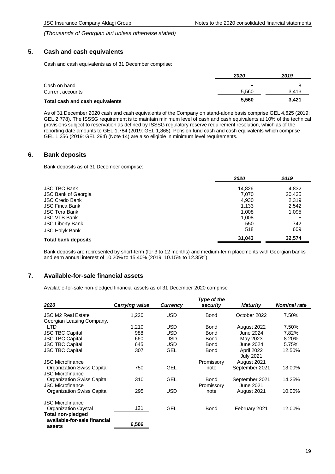### **5. Cash and cash equivalents**

Cash and cash equivalents as of 31 December comprise:

|                                 | 2020            | 2019  |
|---------------------------------|-----------------|-------|
| Cash on hand                    | $\qquad \qquad$ |       |
| Current accounts                | 5,560           | 3,413 |
| Total cash and cash equivalents | 5.560           | 3.421 |

As of 31 December 2020 cash and cash equivalents of the Company on stand-alone basis comprise GEL 4,625 (2019: GEL 2,778). The ISSSG requirement is to maintain minimum level of cash and cash equivalents at 10% of the technical provisions subject to reservation as defined by ISSSG regulatory reserve requirement resolution, which as of the reporting date amounts to GEL 1,784 (2019: GEL 1,868). Pension fund cash and cash equivalents which comprise GEL 1,356 (2019: GEL 294) (Note 14) are also eligible in minimum level requirements.

### **6. Bank deposits**

Bank deposits as of 31 December comprise:

|                            | 2020   | 2019   |
|----------------------------|--------|--------|
| <b>JSC TBC Bank</b>        | 14,826 | 4,832  |
| <b>JSC Bank of Georgia</b> | 7,070  | 20,435 |
| <b>JSC Credo Bank</b>      | 4,930  | 2,319  |
| <b>JSC Finca Bank</b>      | 1,133  | 2,542  |
| <b>JSC Tera Bank</b>       | 1,008  | 1,095  |
| <b>JSC VTB Bank</b>        | 1,008  |        |
| <b>JSC Liberty Bank</b>    | 550    | 742    |
| <b>JSC Halyk Bank</b>      | 518    | 609    |
| <b>Total bank deposits</b> | 31,043 | 32,574 |

Bank deposits are represented by short-term (for 3 to 12 months) and medium-term placements with Georgian banks and earn annual interest of 10.20% to 15.40% (2019: 10.15% to 12.35%)

# **7. Available-for-sale financial assets**

Available-for-sale non-pledged financial assets as of 31 December 2020 comprise:

|                                                              |                |                 | Type of the        |                                |                     |
|--------------------------------------------------------------|----------------|-----------------|--------------------|--------------------------------|---------------------|
| 2020                                                         | Carrying value | <b>Currency</b> | security           | <b>Maturity</b>                | <b>Nominal rate</b> |
| <b>JSC M2 Real Estate</b>                                    | 1,220          | <b>USD</b>      | <b>Bond</b>        | October 2022                   | 7.50%               |
| Georgian Leasing Company,                                    |                |                 |                    |                                |                     |
| LTD                                                          | 1,210          | <b>USD</b>      | Bond               | August 2022                    | 7.50%               |
| <b>JSC TBC Capital</b>                                       | 988            | USD             | Bond               | June 2024                      | 7.82%               |
| <b>JSC TBC Capital</b>                                       | 660            | <b>USD</b>      | Bond               | May 2023                       | 8.20%               |
| <b>JSC TBC Capital</b>                                       | 645            | USD             | Bond               | June 2024                      | 5.75%               |
| <b>JSC TBC Capital</b>                                       | 307            | GEL             | Bond               | April 2022<br><b>July 2021</b> | 12.50%              |
| <b>JSC Microfinance</b>                                      |                |                 | Promissory         | August 2021                    |                     |
| <b>Organization Swiss Capital</b>                            | 750            | GEL             | note               | September 2021                 | 13.00%              |
| <b>JSC Microfinance</b>                                      |                |                 |                    |                                |                     |
| <b>Organization Swiss Capital</b><br><b>JSC Microfinance</b> | 310            | GEL             | Bond<br>Promissory | September 2021<br>June 2021    | 14.25%              |
| <b>Organization Swiss Capital</b>                            | 295            | <b>USD</b>      | note               | August 2021                    | 10.00%              |
| <b>JSC Microfinance</b>                                      |                |                 |                    |                                |                     |
| <b>Organization Crystal</b>                                  | 121            | GEL             | Bond               | February 2021                  | 12.00%              |
| <b>Total non-pledged</b>                                     |                |                 |                    |                                |                     |
| available-for-sale financial<br>assets                       | 6,506          |                 |                    |                                |                     |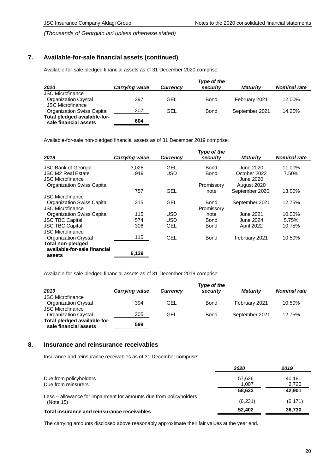# **7. Available-for-sale financial assets (continued)**

Available-for-sale pledged financial assets as of 31 December 2020 comprise:

| 2020                                                   | <b>Carrying value</b> | <b>Currency</b> | Type of the<br>security | <b>Maturity</b> | <b>Nominal rate</b> |
|--------------------------------------------------------|-----------------------|-----------------|-------------------------|-----------------|---------------------|
| <b>JSC Microfinance</b>                                |                       |                 |                         |                 |                     |
| <b>Organization Crystal</b><br><b>JSC Microfinance</b> | 397                   | GEL             | <b>Bond</b>             | February 2021   | 12.00%              |
| <b>Organization Swiss Capital</b>                      | 207                   | GEL             | <b>Bond</b>             | September 2021  | 14.25%              |
| Total pledged available-for-<br>sale financial assets  | 604                   |                 |                         |                 |                     |

Available-for-sale non-pledged financial assets as of 31 December 2019 comprise:

| 2019                                                     | <b>Carrying value</b> | <b>Currency</b> | security    | <b>Maturity</b>           | <b>Nominal rate</b> |
|----------------------------------------------------------|-----------------------|-----------------|-------------|---------------------------|---------------------|
| <b>JSC Bank of Georgia</b>                               | 3.028                 | GEL             | Bond        | June 2020                 | 11.00%              |
| <b>JSC M2 Real Estate</b><br><b>JSC Microfinance</b>     | 919                   | <b>USD</b>      | Bond        | October 2022<br>June 2020 | 7.50%               |
| <b>Organization Swiss Capital</b>                        |                       |                 | Promissory  | August 2020               |                     |
|                                                          | 757                   | GEL             | note        | September 2020;           | 13.00%              |
| <b>JSC Microfinance</b>                                  |                       |                 |             |                           |                     |
| <b>Organization Swiss Capital</b>                        | 315                   | <b>GEL</b>      | <b>Bond</b> | September 2021            | 12.75%              |
| <b>JSC Microfinance</b>                                  |                       |                 | Promissory  |                           |                     |
| <b>Organization Swiss Capital</b>                        | 115                   | <b>USD</b>      | note        | June 2021                 | 10.00%              |
| <b>JSC TBC Capital</b>                                   | 574                   | <b>USD</b>      | Bond        | June 2024                 | 5.75%               |
| <b>JSC TBC Capital</b>                                   | 306                   | <b>GEL</b>      | Bond        | April 2022                | 10.75%              |
| <b>JSC Microfinance</b>                                  |                       |                 |             |                           |                     |
| <b>Organization Crystal</b>                              | 115                   | <b>GEL</b>      | Bond        | February 2021             | 10.50%              |
| <b>Total non-pledged</b><br>available-for-sale financial |                       |                 |             |                           |                     |
| assets                                                   | 6,129                 |                 |             |                           |                     |

Available-for-sale pledged financial assets as of 31 December 2019 comprise:

|                                                       |                       |                 | Type of the |                 |                     |
|-------------------------------------------------------|-----------------------|-----------------|-------------|-----------------|---------------------|
| 2019                                                  | <b>Carrying value</b> | <b>Currency</b> | security    | <b>Maturity</b> | <b>Nominal rate</b> |
| <b>JSC Microfinance</b>                               |                       |                 |             |                 |                     |
| Organization Crystal                                  | 394                   | GEL             | <b>Bond</b> | February 2021   | 10.50%              |
| <b>JSC Microfinance</b>                               |                       |                 |             |                 |                     |
| Organization Crystal                                  | 205                   | GEL             | <b>Bond</b> | September 2021  | 12.75%              |
| Total pledged available-for-<br>sale financial assets | 599                   |                 |             |                 |                     |

# **8. Insurance and reinsurance receivables**

Insurance and reinsurance receivables as of 31 December comprise:

|                                                                                 | 2020    | 2019     |
|---------------------------------------------------------------------------------|---------|----------|
| Due from policyholders                                                          | 57,626  | 40.181   |
| Due from reinsurers                                                             | 1.007   | 2,720    |
|                                                                                 | 58.633  | 42.901   |
| Less – allowance for impairment for amounts due from policyholders<br>(Note 15) | (6,231) | (6, 171) |
| Total insurance and reinsurance receivables                                     | 52.402  | 36,730   |

The carrying amounts disclosed above reasonably approximate their fair values at the year end.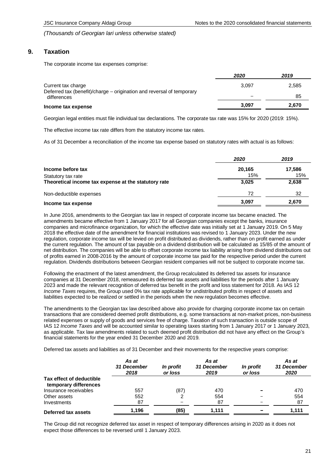### **9. Taxation**

The corporate income tax expenses comprise:

|                                                                                             | 2020     | 2019  |
|---------------------------------------------------------------------------------------------|----------|-------|
| Current tax charge<br>Deferred tax (benefit)/charge – origination and reversal of temporary | 3.097    | 2,585 |
| differences                                                                                 | $\equiv$ | 85    |
| Income tax expense                                                                          | 3.097    | 2.670 |

Georgian legal entities must file individual tax declarations. The corporate tax rate was 15% for 2020 (2019: 15%).

The effective income tax rate differs from the statutory income tax rates.

As of 31 December a reconciliation of the income tax expense based on statutory rates with actual is as follows:

|                                                      | 2020   | 2019   |
|------------------------------------------------------|--------|--------|
| Income before tax                                    | 20,165 | 17,586 |
| Statutory tax rate                                   | 15%    | 15%    |
| Theoretical income tax expense at the statutory rate | 3.025  | 2,638  |
| Non-deductible expenses                              | 72     | 32     |
| Income tax expense                                   | 3,097  | 2,670  |

In June 2016, amendments to the Georgian tax law in respect of corporate income tax became enacted. The amendments became effective from 1 January 2017 for all Georgian companies except the banks, insurance companies and microfinance organization, for which the effective date was initially set at 1 January 2019. On 5 May 2018 the effective date of the amendment for financial institutions was revised to 1 January 2023. Under the new regulation, corporate income tax will be levied on profit distributed as dividends, rather than on profit earned as under the current regulation. The amount of tax payable on a dividend distribution will be calculated as 15/85 of the amount of net distribution. The companies will be able to offset corporate income tax liability arising from dividend distributions out of profits earned in 2008-2016 by the amount of corporate income tax paid for the respective period under the current regulation. Dividends distributions between Georgian resident companies will not be subject to corporate income tax.

Following the enactment of the latest amendment, the Group recalculated its deferred tax assets for insurance companies at 31 December 2018, remeasured its deferred tax assets and liabilities for the periods after 1 January 2023 and made the relevant recognition of deferred tax benefit in the profit and loss statement for 2018. As IAS 12 *Income Taxes* requires, the Group used 0% tax rate applicable for undistributed profits in respect of assets and liabilities expected to be realized or settled in the periods when the new regulation becomes effective.

The amendments to the Georgian tax law described above also provide for charging corporate income tax on certain transactions that are considered deemed profit distributions, e.g. some transactions at non-market prices, non-business related expenses or supply of goods and services free of charge. Taxation of such transaction is outside scope of IAS 12 *Income Taxes* and will be accounted similar to operating taxes starting from 1 January 2017 or 1 January 2023, as applicable. Tax law amendments related to such deemed profit distribution did not have any effect on the Group's financial statements for the year ended 31 December 2020 and 2019.

Deferred tax assets and liabilities as of 31 December and their movements for the respective years comprise:

|                                                   | As at<br>31 December<br>2018 | <i>In profit</i><br>or loss | As at<br>31 December<br>2019 | <i>In profit</i><br>or loss | As at<br>31 December<br>2020 |
|---------------------------------------------------|------------------------------|-----------------------------|------------------------------|-----------------------------|------------------------------|
| Tax effect of deductible<br>temporary differences |                              |                             |                              |                             |                              |
| Insurance receivables                             | 557                          | (87)                        | 470                          |                             | 470                          |
| Other assets                                      | 552                          |                             | 554                          |                             | 554                          |
| Investments                                       | 87                           | $\equiv$                    | 87                           |                             | 87                           |
| Deferred tax assets                               | 1,196                        | (85)                        | 1.111                        |                             | 1.111                        |

The Group did not recognize deferred tax asset in respect of temporary differences arising in 2020 as it does not expect those differences to be reversed until 1 January 2023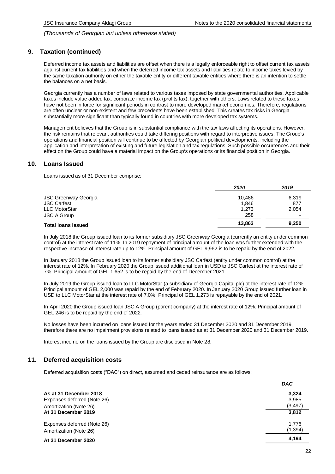# **9. Taxation (continued)**

Deferred income tax assets and liabilities are offset when there is a legally enforceable right to offset current tax assets against current tax liabilities and when the deferred income tax assets and liabilities relate to income taxes levied by the same taxation authority on either the taxable entity or different taxable entities where there is an intention to settle the balances on a net basis.

Georgia currently has a number of laws related to various taxes imposed by state governmental authorities. Applicable taxes include value added tax, corporate income tax (profits tax), together with others. Laws related to these taxes have not been in force for significant periods in contrast to more developed market economies. Therefore, regulations are often unclear or non-existent and few precedents have been established. This creates tax risks in Georgia substantially more significant than typically found in countries with more developed tax systems.

Management believes that the Group is in substantial compliance with the tax laws affecting its operations. However, the risk remains that relevant authorities could take differing positions with regard to interpretive issues. The Group's operations and financial position will continue to be affected by Georgian political developments, including the application and interpretation of existing and future legislation and tax regulations. Such possible occurrences and their effect on the Group could have a material impact on the Group's operations or its financial position in Georgia.

### **10. Loans Issued**

Loans issued as of 31 December comprise:

|                             | 2020   | 2019  |
|-----------------------------|--------|-------|
| <b>JSC Greenway Georgia</b> | 10.486 | 6,319 |
| <b>JSC Carfest</b>          | 1,846  | 877   |
| <b>LLC MotorStar</b>        | 1,273  | 2,054 |
| <b>JSC A Group</b>          | 258    |       |
| <b>Total loans issued</b>   | 13,863 | 9,250 |

In July 2018 the Group issued loan to its former subsidiary JSC Greenway Georgia (currently an entity under common control) at the interest rate of 11%. In 2019 repayment of principal amount of the loan was further extended with the respective increase of interest rate up to 12%. Principal amount of GEL 9,962 is to be repaid by the end of 2022.

In January 2018 the Group issued loan to its former subsidiary JSC Carfest (entity under common control) at the interest rate of 12%. In February 2020 the Group issued additional loan in USD to JSC Carfest at the interest rate of 7%. Principal amount of GEL 1,652 is to be repaid by the end of December 2021.

In July 2019 the Group issued loan to LLC MotorStar (a subsidiary of Georgia Capital plc) at the interest rate of 12%. Principal amount of GEL 2,000 was repaid by the end of February 2020. In January 2020 Group issued further loan in USD to LLC MotorStar at the interest rate of 7.0%. Principal of GEL 1,273 is repayable by the end of 2021.

In April 2020 the Group issued loan JSC A Group (parent company) at the interest rate of 12%. Principal amount of GEL 246 is to be repaid by the end of 2022.

No losses have been incurred on loans issued for the years ended 31 December 2020 and 31 December 2019, therefore there are no impairment provisions related to loans issued as at 31 December 2020 and 31 December 2019.

Interest income on the loans issued by the Group are disclosed in Note 28.

### **11. Deferred acquisition costs**

Deferred acquisition costs ("DAC") on direct, assumed and ceded reinsurance are as follows:

|                                                       | <b>DAC</b>     |
|-------------------------------------------------------|----------------|
| As at 31 December 2018<br>Expenses deferred (Note 26) | 3.324<br>3,985 |
| Amortization (Note 26)                                | (3, 497)       |
| At 31 December 2019                                   | 3,812          |
| Expenses deferred (Note 26)                           | 1.776          |
| Amortization (Note 26)                                | (1, 394)       |
| At 31 December 2020                                   | 4,194          |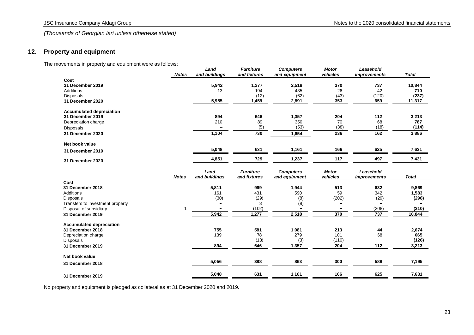# **12. Property and equipment**

The movements in property and equipment were as follows:

|                                      | <b>Notes</b> | Land<br>and buildings | <b>Furniture</b><br>and fixtures | <b>Computers</b><br>and equipment | <b>Motor</b><br>vehicles | Leasehold<br><i>improvements</i> | <b>Total</b> |
|--------------------------------------|--------------|-----------------------|----------------------------------|-----------------------------------|--------------------------|----------------------------------|--------------|
| Cost                                 |              |                       |                                  |                                   |                          |                                  |              |
| 31 December 2019                     |              | 5,942                 | 1,277                            | 2,518                             | 370                      | 737                              | 10,844       |
| Additions                            |              | 13<br>Ē,              | 194<br>(12)                      | 435<br>(62)                       | 26                       | 42<br>(120)                      | 710<br>(237) |
| <b>Disposals</b><br>31 December 2020 |              | 5,955                 | 1,459                            | 2,891                             | (43)<br>353              | 659                              | 11,317       |
|                                      |              |                       |                                  |                                   |                          |                                  |              |
| <b>Accumulated depreciation</b>      |              |                       |                                  |                                   |                          |                                  |              |
| 31 December 2019                     |              | 894                   | 646                              | 1,357                             | 204                      | 112                              | 3,213        |
| Depreciation charge                  |              | 210                   | 89                               | 350                               | 70                       | 68                               | 787          |
| <b>Disposals</b>                     |              |                       | (5)                              | (53)                              | (38)                     | (18)                             | (114)        |
| 31 December 2020                     |              | 1,104                 | 730                              | 1,654                             | 236                      | 162                              | 3,886        |
|                                      |              |                       |                                  |                                   |                          |                                  |              |
| Net book value                       |              |                       |                                  |                                   |                          |                                  |              |
| 31 December 2019                     |              | 5,048                 | 631                              | 1,161                             | 166                      | 625                              | 7,631        |
| 31 December 2020                     |              | 4,851                 | 729                              | 1,237                             | 117                      | 497                              | 7,431        |
|                                      |              | Land                  | <b>Furniture</b>                 | <b>Computers</b>                  | <b>Motor</b>             | Leasehold                        |              |
|                                      | <b>Notes</b> | and buildings         | and fixtures                     | and equipment                     | vehicles                 | improvements                     | <b>Total</b> |
| Cost                                 |              |                       |                                  |                                   |                          |                                  |              |
| 31 December 2018                     |              | 5,811                 | 969                              | 1,944                             | 513                      | 632                              | 9,869        |
| Additions                            |              | 161                   | 431                              | 590                               | 59                       | 342                              | 1,583        |
| Disposals                            |              | (30)                  | (29)                             | (8)                               | (202)                    | (29)                             | (298)        |
| Transfers to investment property     |              | $\sim$                | 8                                | (8)                               | $\equiv$                 |                                  |              |
| Disposal of subsidiary               |              |                       | (102)                            |                                   |                          | (208)                            | (310)        |
| 31 December 2019                     |              | 5,942                 | 1,277                            | 2,518                             | 370                      | 737                              | 10,844       |
| <b>Accumulated depreciation</b>      |              |                       |                                  |                                   |                          |                                  |              |
| 31 December 2018                     |              | 755                   | 581                              | 1,081                             | 213                      | 44                               | 2,674        |
| Depreciation charge                  |              | 139                   | 78                               | 279                               | 101                      | 68                               | 665          |
| <b>Disposals</b>                     |              |                       | (13)                             | (3)                               | (110)                    |                                  | (126)        |
| 31 December 2019                     |              | 894                   | 646                              | 1,357                             | 204                      | 112                              | 3,213        |
| Net book value                       |              |                       |                                  |                                   |                          |                                  |              |
|                                      |              | 5,056                 | 388                              | 863                               | 300                      | 588                              | 7,195        |
| 31 December 2018                     |              |                       |                                  |                                   |                          |                                  |              |
|                                      |              |                       |                                  |                                   |                          |                                  |              |
| 31 December 2019                     |              | 5,048                 | 631                              | 1,161                             | 166                      | 625                              | 7,631        |

No property and equipment is pledged as collateral as at 31 December 2020 and 2019.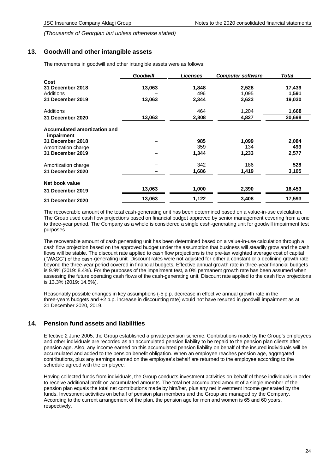# **13. Goodwill and other intangible assets**

The movements in goodwill and other intangible assets were as follows:

|                                            | <b>Goodwill</b> | <b>Licenses</b> | <b>Computer software</b> | <b>Total</b> |
|--------------------------------------------|-----------------|-----------------|--------------------------|--------------|
| Cost                                       |                 |                 |                          |              |
| 31 December 2018                           | 13,063          | 1,848           | 2,528                    | 17,439       |
| Additions                                  |                 | 496             | 1,095                    | 1,591        |
| 31 December 2019                           | 13,063          | 2,344           | 3,623                    | 19,030       |
| Additions                                  |                 | 464             | 1,204                    | 1,668        |
| 31 December 2020                           | 13,063          | 2,808           | 4,827                    | 20,698       |
| Accumulated amortization and<br>impairment |                 |                 |                          |              |
| 31 December 2018                           |                 | 985             | 1,099                    | 2,084        |
| Amortization charge                        |                 | 359             | 134                      | 493          |
| 31 December 2019                           |                 | 1,344           | 1,233                    | 2,577        |
| Amortization charge                        |                 | 342             | 186                      | 528          |
| 31 December 2020                           | -               | 1,686           | 1,419                    | 3,105        |
| Net book value                             |                 |                 |                          |              |
| 31 December 2019                           | 13,063          | 1,000           | 2,390                    | 16,453       |
| 31 December 2020                           | 13,063          | 1,122           | 3,408                    | 17,593       |

The recoverable amount of the total cash-generating unit has been determined based on a value-in-use calculation. The Group used cash flow projections based on financial budget approved by senior management covering from a one to three-year period. The Company as a whole is considered a single cash-generating unit for goodwill impairment test purposes.

The recoverable amount of cash generating unit has been determined based on a value-in-use calculation through a cash flow projection based on the approved budget under the assumption that business will steadily grow and the cash flows will be stable. The discount rate applied to cash flow projections is the pre-tax weighted average cost of capital ("WACC") of the cash-generating unit. Discount rates were not adjusted for either a constant or a declining growth rate beyond the three-year period covered in financial budgets. Effective annual growth rate in three-year financial budgets is 9.9% (2019: 8.4%). For the purposes of the impairment test, a 0% permanent growth rate has been assumed when assessing the future operating cash flows of the cash-generating unit. Discount rate applied to the cash flow projections is 13.3% (2019: 14.5%).

Reasonably possible changes in key assumptions (-5 p.p. decrease in effective annual growth rate in the three-years budgets and +2 p.p. increase in discounting rate) would not have resulted in goodwill impairment as at 31 December 2020, 2019.

### **14. Pension fund assets and liabilities**

Effective 2 June 2005, the Group established a private pension scheme. Contributions made by the Group's employees and other individuals are recorded as an accumulated pension liability to be repaid to the pension plan clients after pension age. Also, any income earned on this accumulated pension liability on behalf of the insured individuals will be accumulated and added to the pension benefit obligation. When an employee reaches pension age, aggregated contributions, plus any earnings earned on the employee's behalf are returned to the employee according to the schedule agreed with the employee.

Having collected funds from individuals, the Group conducts investment activities on behalf of these individuals in order to receive additional profit on accumulated amounts. The total net accumulated amount of a single member of the pension plan equals the total net contributions made by him/her, plus any net investment income generated by the funds. Investment activities on behalf of pension plan members and the Group are managed by the Company. According to the current arrangement of the plan, the pension age for men and women is 65 and 60 years, respectively.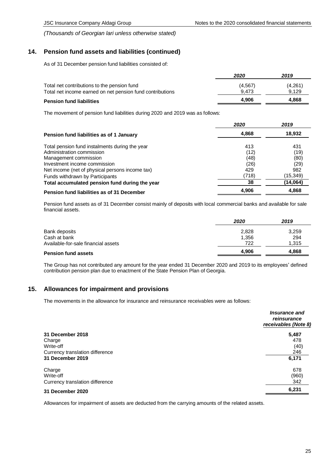## **14. Pension fund assets and liabilities (continued)**

As of 31 December pension fund liabilities consisted of:

|                                                                                                          | 2020             | 2019             |
|----------------------------------------------------------------------------------------------------------|------------------|------------------|
| Total net contributions to the pension fund<br>Total net income earned on net pension fund contributions | (4.567)<br>9.473 | (4,261)<br>9,129 |
| <b>Pension fund liabilities</b>                                                                          | 4.906            | 4.868            |

The movement of pension fund liabilities during 2020 and 2019 was as follows:

|                                                 | 2020  | 2019     |
|-------------------------------------------------|-------|----------|
| Pension fund liabilities as of 1 January        | 4,868 | 18,932   |
| Total pension fund instalments during the year  | 413   | 431      |
| Administration commission                       | (12)  | (19)     |
| Management commission                           | (48)  | (80)     |
| Investment income commission                    | (26)  | (29)     |
| Net income (net of physical persons income tax) | 429   | 982      |
| Funds withdrawn by Participants                 | (718) | (15,349) |
| Total accumulated pension fund during the year  | 38    | (14,064) |
| Pension fund liabilities as of 31 December      | 4,906 | 4,868    |

Pension fund assets as of 31 December consist mainly of deposits with local commercial banks and available for sale financial assets.

|                                     | 2020  | 2019  |
|-------------------------------------|-------|-------|
| Bank deposits                       | 2,828 | 3,259 |
| Cash at bank                        | 1,356 | 294   |
| Available-for-sale financial assets | 722   | 1,315 |
| <b>Pension fund assets</b>          | 4.906 | 4.868 |

The Group has not contributed any amount for the year ended 31 December 2020 and 2019 to its employees' defined contribution pension plan due to enactment of the State Pension Plan of Georgia.

### **15. Allowances for impairment and provisions**

The movements in the allowance for insurance and reinsurance receivables were as follows:

|                                 | Insurance and<br>reinsurance<br>receivables (Note 8) |
|---------------------------------|------------------------------------------------------|
| 31 December 2018                | 5,487                                                |
| Charge                          | 478                                                  |
| Write-off                       | (40)                                                 |
| Currency translation difference | 246                                                  |
| 31 December 2019                | 6,171                                                |
| Charge                          | 678                                                  |
| Write-off                       | (960)                                                |
| Currency translation difference | 342                                                  |
| 31 December 2020                | 6,231                                                |

Allowances for impairment of assets are deducted from the carrying amounts of the related assets.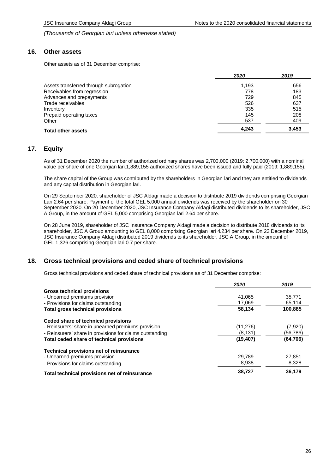### **16. Other assets**

Other assets as of 31 December comprise:

|                                        | 2020  | 2019  |
|----------------------------------------|-------|-------|
| Assets transferred through subrogation | 1,193 | 656   |
| Receivables from regression            | 778   | 183   |
| Advances and prepayments               | 729   | 845   |
| Trade receivables                      | 526   | 637   |
| Inventory                              | 335   | 515   |
| Prepaid operating taxes                | 145   | 208   |
| Other                                  | 537   | 409   |
| <b>Total other assets</b>              | 4.243 | 3,453 |

### **17. Equity**

As of 31 December 2020 the number of authorized ordinary shares was 2,700,000 (2019: 2,700,000) with a nominal value per share of one Georgian lari.1,889,155 authorized shares have been issued and fully paid (2019: 1,889,155).

The share capital of the Group was contributed by the shareholders in Georgian lari and they are entitled to dividends and any capital distribution in Georgian lari.

On 29 September 2020, shareholder of JSC Aldagi made a decision to distribute 2019 dividends comprising Georgian Lari 2.64 per share. Payment of the total GEL 5,000 annual dividends was received by the shareholder on 30 September 2020. On 20 December 2020, JSC Insurance Company Aldagi distributed dividends to its shareholder, JSC A Group, in the amount of GEL 5,000 comprising Georgian lari 2.64 per share.

On 28 June 2019, shareholder of JSC Insurance Company Aldagi made a decision to distribute 2018 dividends to its shareholder, JSC A Group amounting to GEL 8,000 comprising Georgian lari 4.234 per share. On 23 December 2019, JSC Insurance Company Aldagi distributed 2019 dividends to its shareholder, JSC A Group, in the amount of GEL 1,326 comprising Georgian lari 0.7 per share.

### **18. Gross technical provisions and ceded share of technical provisions**

Gross technical provisions and ceded share of technical provisions as of 31 December comprise:

|                                                          | 2020     | 2019     |  |
|----------------------------------------------------------|----------|----------|--|
| <b>Gross technical provisions</b>                        |          |          |  |
| - Unearned premiums provision                            | 41.065   | 35.771   |  |
| - Provisions for claims outstanding                      | 17,069   | 65,114   |  |
| <b>Total gross technical provisions</b>                  | 58,134   | 100,885  |  |
| Ceded share of technical provisions                      |          |          |  |
| - Reinsurers' share in unearned premiums provision       | (11,276) | (7,920)  |  |
| - Reinsurers' share in provisions for claims outstanding | (8, 131) | (56,786) |  |
| Total ceded share of technical provisions                | (19,407) | (64,706) |  |
| Technical provisions net of reinsurance                  |          |          |  |
| - Unearned premiums provision                            | 29.789   | 27,851   |  |
| - Provisions for claims outstanding                      | 8,938    | 8,328    |  |
| Total technical provisions net of reinsurance            | 38,727   | 36,179   |  |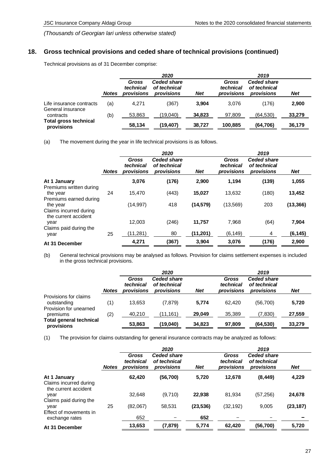# **18. Gross technical provisions and ceded share of technical provisions (continued)**

Technical provisions as of 31 December comprise:

|                                               |              |                                  | 2020                                             |            | 2019                             |                                           |            |  |  |
|-----------------------------------------------|--------------|----------------------------------|--------------------------------------------------|------------|----------------------------------|-------------------------------------------|------------|--|--|
|                                               | <b>Notes</b> | Gross<br>technical<br>provisions | <b>Ceded share</b><br>of technical<br>provisions | <b>Net</b> | Gross<br>technical<br>provisions | Ceded share<br>of technical<br>provisions | <b>Net</b> |  |  |
| Life insurance contracts<br>General insurance | (a)          | 4.271                            | (367)                                            | 3.904      | 3.076                            | (176)                                     | 2,900      |  |  |
| contracts                                     | (b)          | 53,863                           | (19,040)                                         | 34.823     | 97,809                           | (64, 530)                                 | 33,279     |  |  |
| <b>Total gross technical</b><br>provisions    |              | 58,134                           | (19.407)                                         | 38.727     | 100.885                          | (64, 706)                                 | 36,179     |  |  |

(a) The movement during the year in life technical provisions is as follows.

|                                                |              |                                  | 2020                                             |            |                                         | 2019                                             |            |  |  |  |
|------------------------------------------------|--------------|----------------------------------|--------------------------------------------------|------------|-----------------------------------------|--------------------------------------------------|------------|--|--|--|
|                                                | <b>Notes</b> | Gross<br>technical<br>provisions | <b>Ceded share</b><br>of technical<br>provisions | <b>Net</b> | <b>Gross</b><br>technical<br>provisions | <b>Ceded share</b><br>of technical<br>provisions | <b>Net</b> |  |  |  |
| At 1 January                                   |              | 3,076                            | (176)                                            | 2,900      | 1,194                                   | (139)                                            | 1,055      |  |  |  |
| Premiums written during                        |              |                                  |                                                  |            |                                         |                                                  |            |  |  |  |
| the year                                       | 24           | 15.470                           | (443)                                            | 15,027     | 13.632                                  | (180)                                            | 13,452     |  |  |  |
| Premiums earned during                         |              |                                  |                                                  |            |                                         |                                                  |            |  |  |  |
| the year                                       |              | (14, 997)                        | 418                                              | (14, 579)  | (13, 569)                               | 203                                              | (13, 366)  |  |  |  |
| Claims incurred during<br>the current accident |              |                                  |                                                  |            |                                         |                                                  |            |  |  |  |
| year                                           |              | 12.003                           | (246)                                            | 11,757     | 7.968                                   | (64)                                             | 7,904      |  |  |  |
| Claims paid during the                         |              |                                  |                                                  |            |                                         |                                                  |            |  |  |  |
| year                                           | 25           | (11,281)                         | 80                                               | (11,201)   | (6, 149)                                | 4                                                | (6, 145)   |  |  |  |
| At 31 December                                 |              | 4,271                            | (367)                                            | 3,904      | 3,076                                   | (176)                                            | 2,900      |  |  |  |

(b) General technical provisions may be analysed as follows. Provision for claims settlement expenses is included in the gross technical provisions.

|                                              |                   |                                  | 2020                                      |            | 2019                             |                                           |            |  |  |
|----------------------------------------------|-------------------|----------------------------------|-------------------------------------------|------------|----------------------------------|-------------------------------------------|------------|--|--|
|                                              | <b>Notes</b>      | Gross<br>technical<br>provisions | Ceded share<br>of technical<br>provisions | <b>Net</b> | Gross<br>technical<br>provisions | Ceded share<br>of technical<br>provisions | <b>Net</b> |  |  |
| Provisions for claims<br>outstanding         | (1)               | 13,653                           | (7, 879)                                  | 5.774      | 62.420                           | (56,700)                                  | 5,720      |  |  |
| Provision for unearned<br>premiums           | $\left( 2\right)$ | 40.210                           | (11,161)                                  | 29.049     | 35,389                           | (7,830)                                   | 27,559     |  |  |
| <b>Total general technical</b><br>provisions |                   | 53,863                           | (19,040)                                  | 34.823     | 97,809                           | (64, 530)                                 | 33,279     |  |  |

(1) The provision for claims outstanding for general insurance contracts may be analyzed as follows:

|                                                                |              |                                  | 2020                                             |            | 2019                             |                                                  |            |  |  |  |
|----------------------------------------------------------------|--------------|----------------------------------|--------------------------------------------------|------------|----------------------------------|--------------------------------------------------|------------|--|--|--|
|                                                                | <b>Notes</b> | Gross<br>technical<br>provisions | <b>Ceded share</b><br>of technical<br>provisions | <b>Net</b> | Gross<br>technical<br>provisions | <b>Ceded share</b><br>of technical<br>provisions | <b>Net</b> |  |  |  |
| At 1 January<br>Claims incurred during<br>the current accident |              | 62,420                           | (56, 700)                                        | 5,720      | 12.678                           | (8, 449)                                         | 4,229      |  |  |  |
| year                                                           |              | 32.648                           | (9,710)                                          | 22,938     | 81.934                           | (57, 256)                                        | 24,678     |  |  |  |
| Claims paid during the<br>year                                 | 25           | (82,067)                         | 58,531                                           | (23, 536)  | (32,192)                         | 9.005                                            | (23, 187)  |  |  |  |
| Effect of movements in<br>exchange rates                       |              | 652                              |                                                  | 652        |                                  |                                                  | $\equiv$   |  |  |  |
| At 31 December                                                 |              | 13,653                           | (7, 879)                                         | 5,774      | 62.420                           | (56,700)                                         | 5,720      |  |  |  |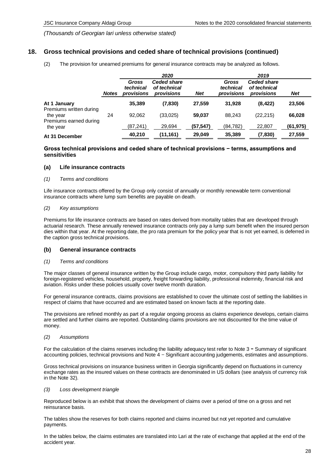# **18. Gross technical provisions and ceded share of technical provisions (continued)**

(2) The provision for unearned premiums for general insurance contracts may be analyzed as follows.

|                                                               |              |                                  | 2020                                      |            | 2019                             |                                           |            |  |  |
|---------------------------------------------------------------|--------------|----------------------------------|-------------------------------------------|------------|----------------------------------|-------------------------------------------|------------|--|--|
|                                                               | <b>Notes</b> | Gross<br>technical<br>provisions | Ceded share<br>of technical<br>provisions | <b>Net</b> | Gross<br>technical<br>provisions | Ceded share<br>of technical<br>provisions | <b>Net</b> |  |  |
| At 1 January                                                  |              | 35,389                           | (7,830)                                   | 27.559     | 31.928                           | (8, 422)                                  | 23,506     |  |  |
| Premiums written during<br>the year<br>Premiums earned during | 24           | 92,062                           | (33,025)                                  | 59,037     | 88.243                           | (22, 215)                                 | 66,028     |  |  |
| the year                                                      |              | (87,241)                         | 29,694                                    | (57,547)   | (84,782)                         | 22,807                                    | (61,975)   |  |  |
| At 31 December                                                |              | 40,210                           | (11, 161)                                 | 29,049     | 35,389                           | (7,830)                                   | 27,559     |  |  |

Gross technical provisions and ceded share of technical provisions - terms, assumptions and **sensitivities**

### **(a) Life insurance contracts**

#### *(1) Terms and conditions*

Life insurance contracts offered by the Group only consist of annually or monthly renewable term conventional insurance contracts where lump sum benefits are payable on death.

### *(2) Key assumptions*

Premiums for life insurance contracts are based on rates derived from mortality tables that are developed through actuarial research. These annually renewed insurance contracts only pay a lump sum benefit when the insured person dies within that year. At the reporting date, the pro rata premium for the policy year that is not yet earned, is deferred in the caption gross technical provisions.

### **(b) General insurance contracts**

#### *(1) Terms and conditions*

The major classes of general insurance written by the Group include cargo, motor, compulsory third party liability for foreign-registered vehicles, household, property, freight forwarding liability, professional indemnity, financial risk and aviation. Risks under these policies usually cover twelve month duration.

For general insurance contracts, claims provisions are established to cover the ultimate cost of settling the liabilities in respect of claims that have occurred and are estimated based on known facts at the reporting date.

The provisions are refined monthly as part of a regular ongoing process as claims experience develops, certain claims are settled and further claims are reported. Outstanding claims provisions are not discounted for the time value of money.

#### *(2) Assumptions*

For the calculation of the claims reserves including the liability adequacy test refer to Note  $3 -$  Summary of significant accounting policies, technical provisions and Note 4 - Significant accounting judgements, estimates and assumptions.

Gross technical provisions on insurance business written in Georgia significantly depend on fluctuations in currency exchange rates as the insured values on these contracts are denominated in US dollars (see analysis of currency risk in the Note 32).

#### *(3) Loss development triangle*

Reproduced below is an exhibit that shows the development of claims over a period of time on a gross and net reinsurance basis.

The tables show the reserves for both claims reported and claims incurred but not yet reported and cumulative payments.

In the tables below, the claims estimates are translated into Lari at the rate of exchange that applied at the end of the accident year.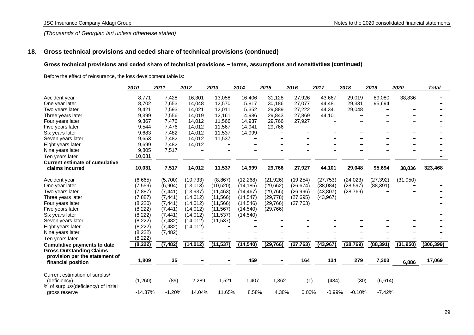# **18. Gross technical provisions and ceded share of technical provisions (continued)**

Gross technical provisions and ceded share of technical provisions - terms, assumptions and sensitivities (continued)

Before the effect of reinsurance, the loss development table is:

|                                                      | 2010      | 2011     | 2012      | 2013      | 2014      | 2015      | 2016      | 2017      | 2018      | 2019      | 2020      | <b>Total</b> |
|------------------------------------------------------|-----------|----------|-----------|-----------|-----------|-----------|-----------|-----------|-----------|-----------|-----------|--------------|
| Accident year                                        | 8,771     | 7,428    | 16,301    | 13,058    | 16,406    | 31,128    | 27,926    | 43,667    | 29,019    | 89,080    | 38,836    |              |
| One year later                                       | 8,702     | 7,653    | 14,048    | 12,570    | 15,817    | 30,186    | 27,077    | 44,481    | 29,331    | 95,694    |           |              |
| Two years later                                      | 9,421     | 7,593    | 14,021    | 12,011    | 15,352    | 29,889    | 27,222    | 44,341    | 29,048    |           |           |              |
| Three years later                                    | 9,399     | 7,556    | 14,019    | 12,161    | 14,986    | 29,843    | 27,869    | 44,101    |           |           |           |              |
| Four years later                                     | 9,367     | 7,476    | 14,012    | 11,566    | 14,937    | 29,766    | 27,927    |           |           |           |           |              |
| Five years later                                     | 9,544     | 7,476    | 14,012    | 11,567    | 14,941    | 29,766    |           |           |           |           |           |              |
| Six years later                                      | 9,683     | 7,482    | 14,012    | 11,537    | 14,999    |           |           |           |           |           |           |              |
| Seven years later                                    | 9,653     | 7,482    | 14,012    | 11,537    |           |           |           |           |           |           |           |              |
| Eight years later                                    | 9,699     | 7,482    | 14,012    |           |           |           |           |           |           |           |           |              |
| Nine years later                                     | 9,805     | 7,517    |           |           |           |           |           |           |           |           |           |              |
| Ten years later                                      | 10,031    |          |           |           |           |           |           |           |           |           |           |              |
| <b>Current estimate of cumulative</b>                |           |          |           |           |           |           |           |           |           |           |           |              |
| claims incurred                                      | 10,031    | 7,517    | 14,012    | 11,537    | 14,999    | 29,766    | 27,927    | 44,101    | 29,048    | 95,694    | 38,836    | 323,468      |
| Accident year                                        | (6,665)   | (5,700)  | (10, 733) | (8, 867)  | (12, 268) | (21, 926) | (19, 254) | (27, 753) | (24, 023) | (27, 392) | (31, 950) |              |
| One year later                                       | (7, 559)  | (6,904)  | (13, 013) | (10, 520) | (14, 185) | (29,662)  | (26, 674) | (38, 084) | (28, 597) | (88, 391) |           |              |
| Two years later                                      | (7, 887)  | (7, 441) | (13, 937) | (11, 463) | (14, 467) | (29, 766) | (26, 996) | (43, 807) | (28, 769) |           |           |              |
| Three years later                                    | (7, 887)  | (7, 441) | (14, 012) | (11, 566) | (14, 547) | (29, 778) | (27, 695) | (43, 967) |           |           |           |              |
| Four years later                                     | (8, 220)  | (7, 441) | (14, 012) | (11, 566) | (14, 546) | (29, 766) | (27, 763) |           |           |           |           |              |
| Five years later                                     | (8, 222)  | (7, 441) | (14, 012) | (11, 567) | (14, 540) | (29,766)  |           |           |           |           |           |              |
| Six years later                                      | (8, 222)  | (7, 441) | (14, 012) | (11, 537) | (14, 540) |           |           |           |           |           |           |              |
| Seven years later                                    | (8, 222)  | (7, 482) | (14, 012) | (11, 537) |           |           |           |           |           |           |           |              |
| Eight years later                                    | (8, 222)  | (7, 482) | (14, 012) |           |           |           |           |           |           |           |           |              |
| Nine years later                                     | (8, 222)  | (7, 482) |           |           |           |           |           |           |           |           |           |              |
| Ten years later                                      | (8, 222)  |          |           |           |           |           |           |           |           |           |           |              |
| <b>Cumulative payments to date</b>                   | (8, 222)  | (7, 482) | (14, 012) | (11, 537) | (14, 540) | (29, 766) | (27, 763) | (43, 967) | (28, 769) | (88, 391) | (31, 950) | (306, 399)   |
| <b>Gross Outstanding Claims</b>                      |           |          |           |           |           |           |           |           |           |           |           |              |
| provision per the statement of                       |           |          |           |           |           |           |           |           |           |           |           |              |
| financial position                                   | 1,809     | 35       |           |           | 459       |           | 164       | 134       | 279       | 7,303     | 6,886     | 17,069       |
| Current estimation of surplus/                       |           |          |           |           |           |           |           |           |           |           |           |              |
| (deficiency)<br>% of surplus/(deficiency) of initial | (1,260)   | (89)     | 2,289     | 1,521     | 1,407     | 1,362     | (1)       | (434)     | (30)      | (6, 614)  |           |              |
| gross reserve                                        | $-14.37%$ | $-1.20%$ | 14.04%    | 11.65%    | 8.58%     | 4.38%     | 0.00%     | $-0.99%$  | $-0.10%$  | $-7.42%$  |           |              |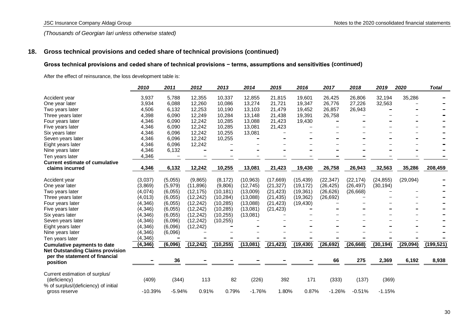# **18. Gross technical provisions and ceded share of technical provisions (continued)**

Gross technical provisions and ceded share of technical provisions - terms, assumptions and sensitivities (continued)

After the effect of reinsurance, the loss development table is:

|                                                                           | 2010      | 2011     | 2012      | 2013      | 2014      | 2015      | 2016      | 2017      | 2018      | 2019      | 2020     | <b>Total</b> |
|---------------------------------------------------------------------------|-----------|----------|-----------|-----------|-----------|-----------|-----------|-----------|-----------|-----------|----------|--------------|
| Accident year                                                             | 3,937     | 5,788    | 12,355    | 10,337    | 12,855    | 21,815    | 19,601    | 26,425    | 26,806    | 32,194    | 35,286   |              |
| One year later                                                            | 3,934     | 6,088    | 12,260    | 10,086    | 13,274    | 21,721    | 19,347    | 26,776    | 27,226    | 32,563    |          |              |
| Two years later                                                           | 4,506     | 6,132    | 12,253    | 10,190    | 13,103    | 21,479    | 19,452    | 26,857    | 26,943    |           |          |              |
| Three years later                                                         | 4,398     | 6,090    | 12,249    | 10,284    | 13,148    | 21,438    | 19,391    | 26,758    |           |           |          |              |
| Four years later                                                          | 4,346     | 6,090    | 12,242    | 10,285    | 13,088    | 21,423    | 19,430    |           |           |           |          |              |
| Five years later                                                          | 4,346     | 6,090    | 12,242    | 10,285    | 13,081    | 21,423    |           |           |           |           |          |              |
| Six years later                                                           | 4,346     | 6,096    | 12,242    | 10,255    | 13,081    |           |           |           |           |           |          |              |
| Seven years later                                                         | 4,346     | 6,096    | 12,242    | 10,255    |           |           |           |           |           |           |          |              |
| Eight years later                                                         | 4,346     | 6,096    | 12,242    |           |           |           |           |           |           |           |          |              |
| Nine years later                                                          | 4,346     | 6,132    |           |           |           |           |           |           |           |           |          |              |
| Ten years later                                                           | 4,346     |          |           |           |           |           |           |           |           |           |          |              |
| <b>Current estimate of cumulative</b>                                     |           |          |           |           |           |           |           |           |           |           |          |              |
| claims incurred                                                           | 4,346     | 6,132    | 12,242    | 10,255    | 13,081    | 21,423    | 19,430    | 26,758    | 26,943    | 32,563    | 35,286   | 208,459      |
| Accident year                                                             | (3,037)   | (5,055)  | (9,865)   | (8, 172)  | (10, 963) | (17,669)  | (15, 439) | (22, 347) | (22, 174) | (24, 855) | (29,094) |              |
| One year later                                                            | (3,869)   | (5,979)  | (11, 896) | (9,806)   | (12, 745) | (21, 327) | (19, 172) | (26, 425) | (26, 497) | (30, 194) |          |              |
| Two years later                                                           | (4,074)   | (6,055)  | (12, 175) | (10, 181) | (13,009)  | (21, 423) | (19, 361) | (26, 626) | (26, 668) |           |          |              |
| Three years later                                                         | (4,013)   | (6,055)  | (12, 242) | (10, 284) | (13,088)  | (21, 435) | (19, 362) | (26, 692) |           |           |          |              |
| Four years later                                                          | (4, 346)  | (6,055)  | (12, 242) | (10, 285) | (13,088)  | (21, 423) | (19, 430) |           |           |           |          |              |
| Five years later                                                          | (4,346)   | (6,055)  | (12, 242) | (10, 285) | (13,081)  | (21, 423) |           |           |           |           |          |              |
| Six years later                                                           | (4,346)   | (6,055)  | (12, 242) | (10, 255) | (13,081)  |           |           |           |           |           |          |              |
| Seven years later                                                         | (4, 346)  | (6,096)  | (12, 242) | (10, 255) |           |           |           |           |           |           |          |              |
| Eight years later                                                         | (4,346)   | (6,096)  | (12, 242) |           |           |           |           |           |           |           |          |              |
| Nine years later                                                          | (4,346)   | (6,096)  |           |           |           |           |           |           |           |           |          |              |
| Ten years later                                                           | (4, 346)  |          |           |           |           |           |           |           |           |           |          |              |
| <b>Cumulative payments to date</b>                                        | (4, 346)  | (6,096)  | (12, 242) | (10, 255) | (13,081)  | (21, 423) | (19, 430) | (26, 692) | (26, 668) | (30, 194) | (29,094) | (199, 521)   |
| <b>Net Outstanding Claims provision</b><br>per the statement of financial |           |          |           |           |           |           |           |           |           |           |          |              |
| position                                                                  |           | 36       |           |           |           |           |           | 66        | 275       | 2,369     | 6,192    | 8,938        |
| Current estimation of surplus/                                            |           |          |           |           |           |           |           |           |           |           |          |              |
| (deficiency)                                                              | (409)     | (344)    | 113       | 82        | (226)     | 392       | 171       | (333)     | (137)     | (369)     |          |              |
| % of surplus/(deficiency) of initial<br>gross reserve                     | $-10.39%$ | $-5.94%$ | 0.91%     | 0.79%     | $-1.76%$  | 1.80%     | 0.87%     | $-1.26%$  | $-0.51%$  | $-1.15%$  |          |              |
|                                                                           |           |          |           |           |           |           |           |           |           |           |          |              |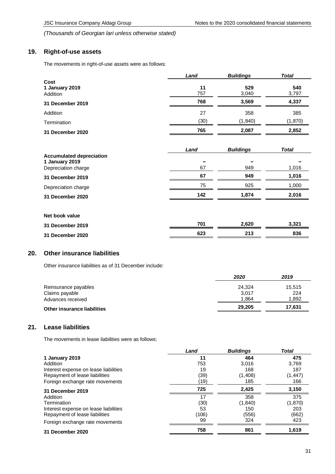# **19. Right-of-use assets**

The movements in right-of-use assets were as follows:

| <b>Total</b> |
|--------------|
| 540<br>3,797 |
| 4,337        |
| 385          |
| (1, 870)     |
| 2,852        |
|              |

|                                                   | Land   | <b>Buildings</b> | Total |
|---------------------------------------------------|--------|------------------|-------|
| <b>Accumulated depreciation</b><br>1 January 2019 | $\sim$ | $\sim$           |       |
| Depreciation charge                               | 67     | 949              | 1,016 |
| 31 December 2019                                  | 67     | 949              | 1,016 |
| Depreciation charge                               | 75     | 925              | 1,000 |
| 31 December 2020                                  | 142    | 1.874            | 2,016 |
|                                                   |        |                  |       |

| Net book value   |     |       |       |
|------------------|-----|-------|-------|
| 31 December 2019 | 701 | 2.620 | 3.321 |
| 31 December 2020 | 623 | 213   | 836   |

# **20. Other insurance liabilities**

Other insurance liabilities as of 31 December include:

|                                    | 2020   | 2019   |
|------------------------------------|--------|--------|
| Reinsurance payables               | 24,324 | 15,515 |
| Claims payable                     | 3,017  | 224    |
| Advances received                  | 1,864  | 1,892  |
| <b>Other insurance liabilities</b> | 29.205 | 17.631 |

# **21. Lease liabilities**

The movements in lease liabilities were as follows:

|                                       | Land  | <b>Buildinas</b> | <b>Total</b> |
|---------------------------------------|-------|------------------|--------------|
| 1 January 2019                        | 11    | 464              | 475          |
| Addition                              | 753   | 3,016            | 3,769        |
| Interest expense on lease liabilities | 19    | 168              | 187          |
| Repayment of lease liabilities        | (39)  | (1,408)          | (1, 447)     |
| Foreign exchange rate movements       | (19)  | 185              | 166          |
| 31 December 2019                      | 725   | 2,425            | 3,150        |
| Addition                              | 17    | 358              | 375          |
| Termination                           | (30)  | (1,840)          | (1,870)      |
| Interest expense on lease liabilities | 53    | 150              | 203          |
| Repayment of lease liabilities        | (106) | (556)            | (662)        |
| Foreign exchange rate movements       | 99    | 324              | 423          |
| 31 December 2020                      | 758   | 861              | 1,619        |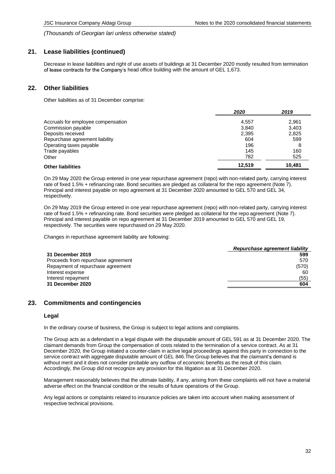# **21. Lease liabilities (continued)**

Decrease in lease liabilities and right of use assets of buildings at 31 December 2020 mostly resulted from termination of lease contracts for the Company's head office building with the amount of GEL 1,673.

### **22. Other liabilities**

Other liabilities as of 31 December comprise:

|                                    | 2020   | 2019   |
|------------------------------------|--------|--------|
| Accruals for employee compensation | 4.557  | 2,961  |
| Commission payable                 | 3,840  | 3,403  |
| Deposits received                  | 2,395  | 2,825  |
| Repurchase agreement liability     | 604    | 599    |
| Operating taxes payable            | 196    | 8      |
| Trade payables                     | 145    | 160    |
| Other                              | 782    | 525    |
| <b>Other liabilities</b>           | 12.519 | 10.481 |

On 29 May 2020 the Group entered in one year repurchase agreement (repo) with non-related party, carrying interest rate of fixed 1.5% + refinancing rate. Bond securities are pledged as collateral for the repo agreement (Note 7). Principal and interest payable on repo agreement at 31 December 2020 amounted to GEL 570 and GEL 34, respectively.

On 29 May 2019 the Group entered in one year repurchase agreement (repo) with non-related party, carrying interest rate of fixed 1.5% + refinancing rate. Bond securities were pledged as collateral for the repo agreement (Note 7). Principal and interest payable on repo agreement at 31 December 2019 amounted to GEL 570 and GEL 19, respectively. The securities were repurchased on 29 May 2020.

Changes in repurchase agreement liability are following:

|                                    | Repurchase agreement liability |
|------------------------------------|--------------------------------|
| 31 December 2019                   | 599                            |
| Proceeds from repurchase agreement | 570                            |
| Repayment of repurchase agreement  | (570)                          |
| Interest expense                   | 60                             |
| Interest repayment                 | (55)                           |
| 31 December 2020                   | 604                            |

### **23. Commitments and contingencies**

#### **Legal**

In the ordinary course of business, the Group is subject to legal actions and complaints.

The Group acts as a defendant in a legal dispute with the disputable amount of GEL 591 as at 31 December 2020. The claimant demands from Group the compensation of costs related to the termination of a service contract. As at 31 December 2020, the Group initiated a counter-claim in active legal proceedings against this party in connection to the service contract with aggregate disputable amount of GEL 846. The Group believes that the claimant's demand is without merit and it does not consider probable any outflow of economic benefits as the result of this claim. Accordingly, the Group did not recognize any provision for this litigation as at 31 December 2020.

Management reasonably believes that the ultimate liability, if any, arising from these complaints will not have a material adverse effect on the financial condition or the results of future operations of the Group.

Any legal actions or complaints related to insurance policies are taken into account when making assessment of respective technical provisions.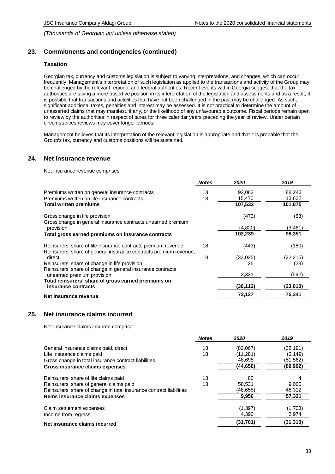# **23. Commitments and contingencies (continued)**

### **Taxation**

Georgian tax, currency and customs legislation is subject to varying interpretations, and changes, which can occur frequently. Management's interpretation of such legislation as applied to the transactions and activity of the Group may be challenged by the relevant regional and federal authorities. Recent events within Georgia suggest that the tax authorities are taking a more assertive position in its interpretation of the legislation and assessments and as a result, it is possible that transactions and activities that have not been challenged in the past may be challenged. As such, significant additional taxes, penalties and interest may be assessed. It is not practical to determine the amount of unasserted claims that may manifest, if any, or the likelihood of any unfavourable outcome. Fiscal periods remain open to review by the authorities in respect of taxes for three calendar years preceding the year of review. Under certain circumstances reviews may cover longer periods.

Management believes that its interpretation of the relevant legislation is appropriate and that it is probable that the Group's tax, currency and customs positions will be sustained.

### **24. Net insurance revenue**

Net insurance revenue comprises:

|                                                                                                                                     | <b>Notes</b> | 2020             | 2019             |
|-------------------------------------------------------------------------------------------------------------------------------------|--------------|------------------|------------------|
| Premiums written on general insurance contracts<br>Premiums written on life insurance contracts                                     | 18           | 92,062<br>15,470 | 88,243<br>13,632 |
| <b>Total written premiums</b>                                                                                                       | 18           | 107,532          | 101,875          |
| Gross change in life provision<br>Gross change in general insurance contracts unearned premium                                      |              | (473)            | (63)             |
| provision                                                                                                                           |              | (4,820)          | (3, 461)         |
| Total gross earned premiums on insurance contracts                                                                                  |              | 102,239          | 98,351           |
| Reinsurers' share of life insurance contracts premium revenue,<br>Reinsurers' share of general insurance contracts premium revenue, | 18           | (443)            | (180)            |
| direct                                                                                                                              | 18           | (33,025)         | (22, 215)        |
| Reinsurers' share of change in life provision<br>Reinsurers' share of change in general insurance contracts                         |              | 25               | (23)             |
| unearned premium provision                                                                                                          |              | 3,331            | (592)            |
| Total reinsurers' share of gross earned premiums on<br>insurance contracts                                                          |              | (30, 112)        | (23,010)         |
| Net insurance revenue                                                                                                               |              | 72,127           | 75,341           |

### **25. Net insurance claims incurred**

Net insurance claims incurred comprise:

|                                                                     | <b>Notes</b> | 2020     | 2019      |
|---------------------------------------------------------------------|--------------|----------|-----------|
| General insurance claims paid, direct                               | 18           | (82,067) | (32, 191) |
| Life insurance claims paid                                          | 18           | (11,281) | (6, 149)  |
| Gross change in total insurance contract liabilities                |              | 48,698   | (51,562)  |
| Gross insurance claims expenses                                     |              | (44,650) | (89,902)  |
| Reinsurers' share of life claims paid                               | 18           | 80       |           |
| Reinsurers' share of general claims paid                            | 18           | 58,531   | 9.005     |
| Reinsurers' share of change in total insurance contract liabilities |              | (48,655) | 48,312    |
| Reins insurance claims expenses                                     |              | 9,956    | 57,321    |
| Claim settlement expenses                                           |              | (1, 397) | (1,703)   |
| Income from regress                                                 |              | 4.390    | 2,974     |
| Net insurance claims incurred                                       |              | (31,701) | (31, 310) |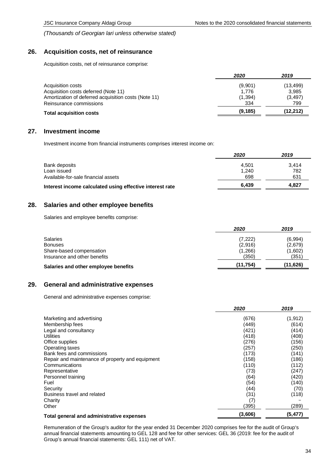# **26. Acquisition costs, net of reinsurance**

Acquisition costs, net of reinsurance comprise:

|                                                      | 2020     | 2019      |
|------------------------------------------------------|----------|-----------|
| Acquisition costs                                    | (9,901)  | (13, 499) |
| Acquisition costs deferred (Note 11)                 | 1.776    | 3.985     |
| Amortization of deferred acquisition costs (Note 11) | (1, 394) | (3, 497)  |
| Reinsurance commissions                              | 334      | 799       |
| <b>Total acquisition costs</b>                       | (9, 185) | (12, 212) |

### **27. Investment income**

Investment income from financial instruments comprises interest income on:

|                                                          | 2020  | 2019  |
|----------------------------------------------------------|-------|-------|
| Bank deposits                                            | 4.501 | 3.414 |
| Loan issued                                              | 1.240 | 782   |
| Available-for-sale financial assets                      | 698   | 631   |
| Interest income calculated using effective interest rate | 6.439 | 4.827 |

# **28. Salaries and other employee benefits**

Salaries and employee benefits comprise:

|                                      | 2020     | 2019     |
|--------------------------------------|----------|----------|
| <b>Salaries</b>                      | (7, 222) | (6,994)  |
| <b>Bonuses</b>                       | (2,916)  | (2,679)  |
| Share-based compensation             | (1,266)  | (1,602)  |
| Insurance and other benefits         | (350)    | (351     |
| Salaries and other employee benefits | (11,754) | (11,626) |

### **29. General and administrative expenses**

General and administrative expenses comprise:

|                                                  | 2020    | 2019     |
|--------------------------------------------------|---------|----------|
| Marketing and advertising                        | (676)   | (1, 912) |
| Membership fees                                  | (449)   | (614)    |
| Legal and consultancy                            | (421)   | (414)    |
| Utilities                                        | (418)   | (408)    |
| Office supplies                                  | (276)   | (156)    |
| Operating taxes                                  | (257)   | (250)    |
| Bank fees and commissions                        | (173)   | (141)    |
| Repair and maintenance of property and equipment | (158)   | (186)    |
| Communications                                   | (110)   | (112)    |
| Representative                                   | (73)    | (247)    |
| Personnel training                               | (64)    | (420)    |
| Fuel                                             | (54)    | (140)    |
| Security                                         | (44)    | (70)     |
| Business travel and related                      | (31)    | (118)    |
| Charity                                          | (7)     |          |
| Other                                            | (395)   | (289)    |
| Total general and administrative expenses        | (3,606) | (5, 477) |

Remuneration of the Group's auditor for the year ended 31 December 2020 comprises fee for the audit of Group's annual financial statements amounting to GEL 128 and fee for other services: GEL 36 (2019: fee for the audit of Group's annual financial statements: GEL 111) net of VAT.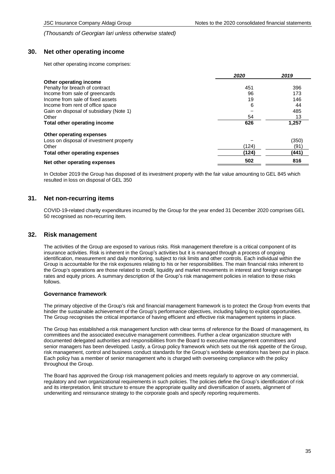## **30. Net other operating income**

Net other operating income comprises:

|                                         | 2020  | 2019  |
|-----------------------------------------|-------|-------|
| Other operating income                  |       |       |
| Penalty for breach of contract          | 451   | 396   |
| Income from sale of greencards          | 96    | 173   |
| Income from sale of fixed assets        | 19    | 146   |
| Income from rent of office space        | 6     | 44    |
| Gain on disposal of subsidiary (Note 1) |       | 485   |
| Other                                   | 54    | 13    |
| Total other operating income            | 626   | 1,257 |
| Other operating expenses                |       |       |
| Loss on disposal of investment property |       | (350) |
| Other                                   | (124) | (91)  |
| <b>Total other operating expenses</b>   | (124) | (441) |
| Net other operating expenses            | 502   | 816   |

In October 2019 the Group has disposed of its investment property with the fair value amounting to GEL 845 which resulted in loss on disposal of GEL 350

### **31. Net non-recurring items**

COVID-19-related charity expenditures incurred by the Group for the year ended 31 December 2020 comprises GEL 50 recognised as non-recurring item.

### **32. Risk management**

The activities of the Group are exposed to various risks. Risk management therefore is a critical component of its insurance activities. Risk is inherent in the Group's activities but it is managed through a process of ongoing identification, measurement and daily monitoring, subject to risk limits and other controls. Each individual within the Group is accountable for the risk exposures relating to his or her responsibilities. The main financial risks inherent to the Group's operations are those related to credit, liquidity and market movements in interest and foreign exchange rates and equity prices. A summary description of the Group's risk management policies in relation to those risks follows.

### **Governance framework**

The primary objective of the Group's risk and financial management framework is to protect the Group from events that hinder the sustainable achievement of the Group's performance objectives, including failing to exploit opportunities. The Group recognises the critical importance of having efficient and effective risk management systems in place.

The Group has established a risk management function with clear terms of reference for the Board of management, its committees and the associated executive management committees. Further a clear organization structure with documented delegated authorities and responsibilities from the Board to executive management committees and senior managers has been developed. Lastly, a Group policy framework which sets out the risk appetite of the Group, risk management, control and business conduct standards for the Group's worldwide operations has been put in place. Each policy has a member of senior management who is charged with overseeing compliance with the policy throughout the Group.

The Board has approved the Group risk management policies and meets regularly to approve on any commercial, regulatory and own organizational requirements in such policies. The policies define the Group's identification of risk and its interpretation, limit structure to ensure the appropriate quality and diversification of assets, alignment of underwriting and reinsurance strategy to the corporate goals and specify reporting requirements.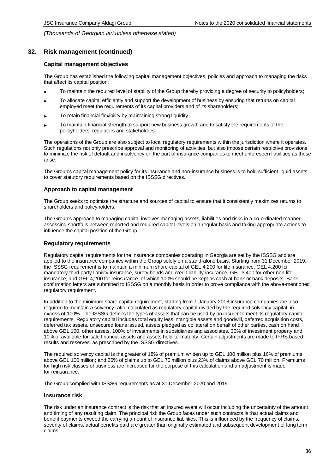# **32. Risk management (continued)**

### **Capital management objectives**

The Group has established the following capital management objectives, policies and approach to managing the risks that affect its capital position:

- To maintain the required level of stability of the Group thereby providing a degree of security to policyholders;
- To allocate capital efficiently and support the development of business by ensuring that returns on capital employed meet the requirements of its capital providers and of its shareholders;
- To retain financial flexibility by maintaining strong liquidity;
- To maintain financial strength to support new business growth and to satisfy the requirements of the policyholders, regulators and stakeholders.

The operations of the Group are also subject to local regulatory requirements within the jurisdiction where it operates. Such regulations not only prescribe approval and monitoring of activities, but also impose certain restrictive provisions to minimize the risk of default and insolvency on the part of insurance companies to meet unforeseen liabilities as these arise.

The Group's capital management policy for its insurance and non-insurance business is to hold sufficient liquid assets to cover statutory requirements based on the ISSSG directives.

### **Approach to capital management**

The Group seeks to optimize the structure and sources of capital to ensure that it consistently maximizes returns to shareholders and policyholders.

The Group's approach to managing capital involves managing assets, liabilities and risks in a co-ordinated manner, assessing shortfalls between reported and required capital levels on a regular basis and taking appropriate actions to influence the capital position of the Group.

### **Regulatory requirements**

Regulatory capital requirements for the insurance companies operating in Georgia are set by the ISSSG and are applied to the insurance companies within the Group solely on a stand-alone basis. Starting from 31 December 2019, the ISSSG requirement is to maintain a minimum share capital of GEL 4,200 for life insurance, GEL 4,200 for mandatory third party liability insurance, surety bonds and credit liability insurance, GEL 3,400 for other non-life insurance, and GEL 4,200 for reinsurance, of which 100% should be kept as cash at bank or bank deposits. Bank confirmation letters are submitted to ISSSG on a monthly basis in order to prove compliance with the above-mentioned regulatory requirement.

In addition to the minimum share capital requirement, starting from 1 January 2018 insurance companies are also required to maintain a solvency ratio, calculated as regulatory capital divided by the required solvency capital, in excess of 100%. The ISSSG defines the types of assets that can be used by an insurer to meet its regulatory capital requirements. Regulatory capital includes total equity less intangible assets and goodwill, deferred acquisition costs, deferred tax assets, unsecured loans issued, assets pledged as collateral on behalf of other parties, cash on hand above GEL 100, other assets, 100% of investments in subsidiaries and associates, 30% of investment property and 10% of available-for-sale financial assets and assets held-to-maturity. Certain adjustments are made to IFRS-based results and reserves, as prescribed by the ISSSG directives.

The required solvency capital is the greater of 18% of premium written up to GEL 100 million plus 16% of premiums above GEL 100 million; and 26% of claims up to GEL 70 million plus 23% of claims above GEL 70 million. Premiums for high risk classes of business are increased for the purpose of this calculation and an adjustment is made for reinsurance.

The Group complied with ISSSG requirements as at 31 December 2020 and 2019.

### **Insurance risk**

The risk under an insurance contract is the risk that an insured event will occur including the uncertainty of the amount and timing of any resulting claim. The principal risk the Group faces under such contracts is that actual claims and benefit payments exceed the carrying amount of insurance liabilities. This is influenced by the frequency of claims, severity of claims, actual benefits paid are greater than originally estimated and subsequent development of long term claims.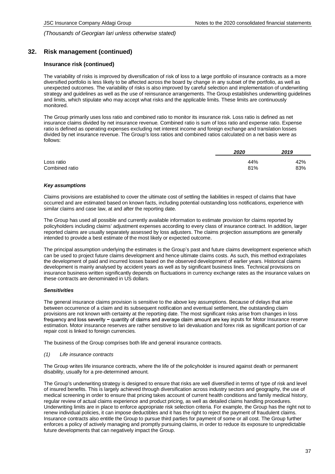# **32. Risk management (continued)**

### **Insurance risk (continued)**

The variability of risks is improved by diversification of risk of loss to a large portfolio of insurance contracts as a more diversified portfolio is less likely to be affected across the board by change in any subset of the portfolio, as well as unexpected outcomes. The variability of risks is also improved by careful selection and implementation of underwriting strategy and guidelines as well as the use of reinsurance arrangements. The Group establishes underwriting guidelines and limits, which stipulate who may accept what risks and the applicable limits. These limits are continuously monitored.

The Group primarily uses loss ratio and combined ratio to monitor its insurance risk. Loss ratio is defined as net insurance claims divided by net insurance revenue. Combined ratio is sum of loss ratio and expense ratio. Expense ratio is defined as operating expenses excluding net interest income and foreign exchange and translation losses divided by net insurance revenue. The Group's loss ratios and combined ratios calculated on a net basis were as follows:

|                | 2020 | 2019 |
|----------------|------|------|
| Loss ratio     | 44%  | 42%  |
| Combined ratio | 81%  | 83%  |

#### *Key assumptions*

Claims provisions are established to cover the ultimate cost of settling the liabilities in respect of claims that have occurred and are estimated based on known facts, including potential outstanding loss notifications, experience with similar claims and case law, at and after the reporting date.

The Group has used all possible and currently available information to estimate provision for claims reported by policyholders including claims' adjustment expenses according to every class of insurance contract. In addition, larger reported claims are usually separately assessed by loss adjusters. The claims projection assumptions are generally intended to provide a best estimate of the most likely or expected outcome.

The principal assumption underlying the estimates is the Group's past and future claims development experience which can be used to project future claims development and hence ultimate claims costs. As such, this method extrapolates the development of paid and incurred losses based on the observed development of earlier years. Historical claims development is mainly analysed by accident years as well as by significant business lines. Technical provisions on insurance business written significantly depends on fluctuations in currency exchange rates as the insurance values on these contracts are denominated in US dollars.

#### *Sensitivities*

The general insurance claims provision is sensitive to the above key assumptions. Because of delays that arise between occurrence of a claim and its subsequent notification and eventual settlement, the outstanding claim provisions are not known with certainty at the reporting date. The most significant risks arise from changes in loss frequency and loss severity - quantity of claims and average claim amount are key inputs for Motor Insurance reserve estimation. Motor insurance reserves are rather sensitive to lari devaluation and forex risk as significant portion of car repair cost is linked to foreign currencies.

The business of the Group comprises both life and general insurance contracts.

*(1) Life insurance contracts*

The Group writes life insurance contracts, where the life of the policyholder is insured against death or permanent disability, usually for a pre-determined amount.

The Group's underwriting strategy is designed to ensure that risks are well diversified in terms of type of risk and level of insured benefits. This is largely achieved through diversification across industry sectors and geography, the use of medical screening in order to ensure that pricing takes account of current health conditions and family medical history, regular review of actual claims experience and product pricing, as well as detailed claims handling procedures. Underwriting limits are in place to enforce appropriate risk selection criteria. For example, the Group has the right not to renew individual policies, it can impose deductibles and it has the right to reject the payment of fraudulent claims. Insurance contracts also entitle the Group to pursue third parties for payment of some or all cost. The Group further enforces a policy of actively managing and promptly pursuing claims, in order to reduce its exposure to unpredictable future developments that can negatively impact the Group.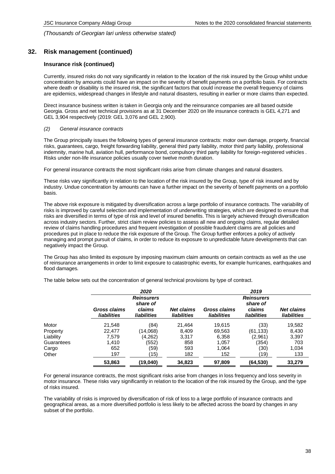# **32. Risk management (continued)**

### **Insurance risk (continued)**

Currently, insured risks do not vary significantly in relation to the location of the risk insured by the Group whilst undue concentration by amounts could have an impact on the severity of benefit payments on a portfolio basis. For contracts where death or disability is the insured risk, the significant factors that could increase the overall frequency of claims are epidemics, widespread changes in lifestyle and natural disasters, resulting in earlier or more claims than expected.

Direct insurance business written is taken in Georgia only and the reinsurance companies are all based outside Georgia. Gross and net technical provisions as at 31 December 2020 on life insurance contracts is GEL 4,271 and GEL 3,904 respectively (2019: GEL 3,076 and GEL 2,900).

#### *(2) General insurance contracts*

The Group principally issues the following types of general insurance contracts: motor own damage, property, financial risks, guarantees, cargo, freight forwarding liability, general third party liability, motor third party liability, professional indemnity, marine hull, aviation hull, performance bond, compulsory third party liability for foreign-registered vehicles . Risks under non-life insurance policies usually cover twelve month duration.

For general insurance contracts the most significant risks arise from climate changes and natural disasters.

These risks vary significantly in relation to the location of the risk insured by the Group, type of risk insured and by industry. Undue concentration by amounts can have a further impact on the severity of benefit payments on a portfolio basis.

The above risk exposure is mitigated by diversification across a large portfolio of insurance contracts. The variability of risks is improved by careful selection and implementation of underwriting strategies, which are designed to ensure that risks are diversified in terms of type of risk and level of insured benefits. This is largely achieved through diversification across industry sectors. Further, strict claim review policies to assess all new and ongoing claims, regular detailed review of claims handling procedures and frequent investigation of possible fraudulent claims are all policies and procedures put in place to reduce the risk exposure of the Group. The Group further enforces a policy of actively managing and prompt pursuit of claims, in order to reduce its exposure to unpredictable future developments that can negatively impact the Group.

The Group has also limited its exposure by imposing maximum claim amounts on certain contracts as well as the use of reinsurance arrangements in order to limit exposure to catastrophic events, for example hurricanes, earthquakes and flood damages.

|            |                             |                                                        |                                  | 2019                        |                                                        |                                  |  |
|------------|-----------------------------|--------------------------------------------------------|----------------------------------|-----------------------------|--------------------------------------------------------|----------------------------------|--|
|            | Gross claims<br>liabilities | <b>Reinsurers</b><br>share of<br>claims<br>liabilities | <b>Net claims</b><br>liabilities | Gross claims<br>liabilities | <b>Reinsurers</b><br>share of<br>claims<br>liabilities | <b>Net claims</b><br>liabilities |  |
| Motor      | 21,548                      | (84)                                                   | 21,464                           | 19,615                      | (33)                                                   | 19,582                           |  |
| Property   | 22,477                      | (14,068)                                               | 8,409                            | 69,563                      | (61, 133)                                              | 8,430                            |  |
| Liability  | 7,579                       | (4,262)                                                | 3,317                            | 6,358                       | (2,961)                                                | 3,397                            |  |
| Guarantees | 1,410                       | (552)                                                  | 858                              | 1,057                       | (354)                                                  | 703                              |  |
| Cargo      | 652                         | (59)                                                   | 593                              | 1,064                       | (30)                                                   | 1,034                            |  |
| Other      | 197                         | (15)                                                   | 182                              | 152                         | (19)                                                   | 133                              |  |
|            | 53,863                      | (19,040)                                               | 34,823                           | 97,809                      | (64,530)                                               | 33,279                           |  |

The table below sets out the concentration of general technical provisions by type of contract.

For general insurance contracts, the most significant risks arise from changes in loss frequency and loss severity in motor insurance. These risks vary significantly in relation to the location of the risk insured by the Group, and the type of risks insured.

The variability of risks is improved by diversification of risk of loss to a large portfolio of insurance contracts and geographical areas, as a more diversified portfolio is less likely to be affected across the board by changes in any subset of the portfolio.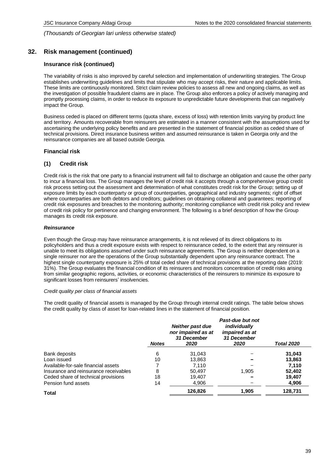# **32. Risk management (continued)**

### **Insurance risk (continued)**

The variability of risks is also improved by careful selection and implementation of underwriting strategies. The Group establishes underwriting guidelines and limits that stipulate who may accept risks, their nature and applicable limits. These limits are continuously monitored. Strict claim review policies to assess all new and ongoing claims, as well as the investigation of possible fraudulent claims are in place. The Group also enforces a policy of actively managing and promptly processing claims, in order to reduce its exposure to unpredictable future developments that can negatively impact the Group.

Business ceded is placed on different terms (quota share, excess of loss) with retention limits varying by product line and territory. Amounts recoverable from reinsurers are estimated in a manner consistent with the assumptions used for ascertaining the underlying policy benefits and are presented in the statement of financial position as ceded share of technical provisions. Direct insurance business written and assumed reinsurance is taken in Georgia only and the reinsurance companies are all based outside Georgia.

### **Financial risk**

### **(1) Credit risk**

Credit risk is the risk that one party to a financial instrument will fail to discharge an obligation and cause the other party to incur a financial loss. The Group manages the level of credit risk it accepts through a comprehensive group credit risk process setting out the assessment and determination of what constitutes credit risk for the Group; setting up of exposure limits by each counterparty or group of counterparties, geographical and industry segments; right of offset where counterparties are both debtors and creditors; guidelines on obtaining collateral and guarantees; reporting of credit risk exposures and breaches to the monitoring authority; monitoring compliance with credit risk policy and review of credit risk policy for pertinence and changing environment. The following is a brief description of how the Group manages its credit risk exposure.

### *Reinsurance*

Even though the Group may have reinsurance arrangements, it is not relieved of its direct obligations to its policyholders and thus a credit exposure exists with respect to reinsurance ceded, to the extent that any reinsurer is unable to meet its obligations assumed under such reinsurance agreements. The Group is neither dependent on a single reinsurer nor are the operations of the Group substantially dependent upon any reinsurance contract. The highest single counterparty exposure is 25% of total ceded share of technical provisions at the reporting date (2019: 31%). The Group evaluates the financial condition of its reinsurers and monitors concentration of credit risks arising from similar geographic regions, activities, or economic characteristics of the reinsurers to minimize its exposure to significant losses from reinsurers' insolvencies.

#### *Credit quality per class of financial assets*

The credit quality of financial assets is managed by the Group through internal credit ratings. The table below shows the credit quality by class of asset for loan-related lines in the statement of financial position.

|                                       | <b>Notes</b> | <b>Neither past due</b><br>nor impaired as at<br>31 December<br>2020 | Past-due but not<br>individually<br><i>impaired as at</i><br>31 December<br>2020 | <b>Total 2020</b> |
|---------------------------------------|--------------|----------------------------------------------------------------------|----------------------------------------------------------------------------------|-------------------|
| Bank deposits                         | 6            | 31,043                                                               |                                                                                  | 31,043            |
| Loan issued                           | 10           | 13,863                                                               |                                                                                  | 13,863            |
| Available-for-sale financial assets   |              | 7.110                                                                |                                                                                  | 7.110             |
| Insurance and reinsurance receivables | 8            | 50.497                                                               | 1,905                                                                            | 52,402            |
| Ceded share of technical provisions   | 18           | 19,407                                                               |                                                                                  | 19,407            |
| Pension fund assets                   | 14           | 4,906                                                                |                                                                                  | 4,906             |
| Total                                 |              | 126.826                                                              | 1.905                                                                            | 128.731           |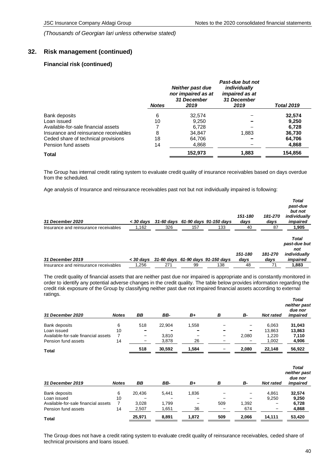# **32. Risk management (continued)**

# **Financial risk (continued)**

|                                       | <b>Notes</b> | <b>Neither past due</b><br>nor impaired as at<br>31 December<br>2019 | Past-due but not<br>individually<br><i>impaired as at</i><br>31 December<br>2019 | <b>Total 2019</b> |
|---------------------------------------|--------------|----------------------------------------------------------------------|----------------------------------------------------------------------------------|-------------------|
| Bank deposits                         | 6            | 32,574                                                               |                                                                                  | 32,574            |
| Loan issued                           | 10           | 9.250                                                                |                                                                                  | 9.250             |
| Available-for-sale financial assets   |              | 6.728                                                                | -                                                                                | 6.728             |
| Insurance and reinsurance receivables | 8            | 34,847                                                               | 1,883                                                                            | 36,730            |
| Ceded share of technical provisions   | 18           | 64.706                                                               |                                                                                  | 64.706            |
| Pension fund assets                   | 14           | 4,868                                                                |                                                                                  | 4,868             |
| Total                                 |              | 152,973                                                              | 1,883                                                                            | 154.856           |

The Group has internal credit rating system to evaluate credit quality of insurance receivables based on days overdue from the scheduled.

Age analysis of Insurance and reinsurance receivables past not but not individually impaired is following:

| <b>31 December 2020</b>               | < 30 davs |     |     | 31-60 days 61-90 days 91-150 days | 151-180<br>days | 181-270<br>days | Total<br>past-due<br>but not<br>individually<br><i>impaired</i> |
|---------------------------------------|-----------|-----|-----|-----------------------------------|-----------------|-----------------|-----------------------------------------------------------------|
| Insurance and reinsurance receivables | 1,162     | 326 | 157 | 133                               | 40              | 87              | 1,905                                                           |
| <b>31 December 2019</b>               | < 30 davs |     |     | 31-60 days 61-90 days 91-150 days | 151-180<br>days | 181-270<br>days | Total<br>past-due but<br>not<br>individually<br><i>impaired</i> |
| Insurance and reinsurance receivables | 1,256     | 271 | 99  | 138                               | 48              | 71              | 1,883                                                           |

The credit quality of financial assets that are neither past due nor impaired is appropriate and is constantly monitored in order to identify any potential adverse changes in the credit quality. The table below provides information regarding the credit risk exposure of the Group by classifying neither past due not impaired financial assets according to external ratings.

| <b>31 December 2020</b>             | <b>Notes</b> | ΒB                       | BB-    | B+    | в                        | В-    | <b>Not rated</b> | <b>Total</b><br>neither past<br>due nor<br>impaired |
|-------------------------------------|--------------|--------------------------|--------|-------|--------------------------|-------|------------------|-----------------------------------------------------|
|                                     |              |                          |        |       |                          |       |                  |                                                     |
| Bank deposits                       | 6            | 518                      | 22.904 | 1,558 |                          |       | 6.063            | 31,043                                              |
| Loan issued                         | 10           | $\qquad \qquad$          |        |       | <b>1979</b>              | -     | 13,863           | 13,863                                              |
| Available-for-sale financial assets |              | $\overline{\phantom{a}}$ | 3.810  |       |                          | 2.080 | 1,220            | 7,110                                               |
| Pension fund assets                 | 14           | $\overline{\phantom{a}}$ | 3,878  | 26    | $\overline{\phantom{0}}$ |       | 1,002            | 4,906                                               |
| <b>Total</b>                        |              | 518                      | 30.592 | 1.584 | $\blacksquare$           | 2.080 | 22.148           | 56,922                                              |

| <b>31 December 2019</b>             | <b>Notes</b> | ΒB     | BB-   | B+    | В               | В-    | <b>Not rated</b> | <b>Total</b><br>neither past<br>due nor<br><i>impaired</i> |
|-------------------------------------|--------------|--------|-------|-------|-----------------|-------|------------------|------------------------------------------------------------|
| Bank deposits                       | 6            | 20.436 | 5.441 | 1,836 |                 |       | 4.861            | 32,574                                                     |
| Loan issued                         | 10           | -      |       |       |                 |       | 9.250            | 9,250                                                      |
| Available-for-sale financial assets |              | 3.028  | 1.799 |       | 509             | 1.392 |                  | 6,728                                                      |
| Pension fund assets                 | 14           | 2,507  | 1,651 | 36    | $\qquad \qquad$ | 674   |                  | 4,868                                                      |
| <b>Total</b>                        |              | 25.971 | 8.891 | 1.872 | 509             | 2.066 | 14.111           | 53,420                                                     |

The Group does not have a credit rating system to evaluate credit quality of reinsurance receivables, ceded share of technical provisions and loans issued.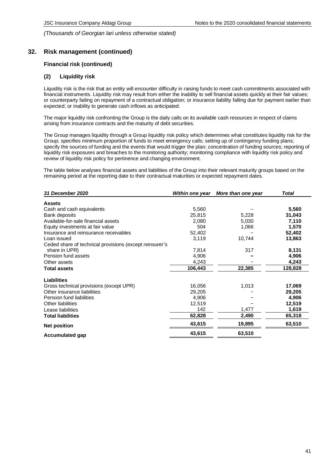# **32. Risk management (continued)**

### **Financial risk (continued)**

### **(2) Liquidity risk**

Liquidity risk is the risk that an entity will encounter difficulty in raising funds to meet cash commitments associated with financial instruments. Liquidity risk may result from either the inability to sell financial assets quickly at their fair values; or counterparty failing on repayment of a contractual obligation; or insurance liability falling due for payment earlier than expected; or inability to generate cash inflows as anticipated.

The major liquidity risk confronting the Group is the daily calls on its available cash resources in respect of claims arising from insurance contracts and the maturity of debt securities.

The Group manages liquidity through a Group liquidity risk policy which determines what constitutes liquidity risk for the Group; specifies minimum proportion of funds to meet emergency calls; setting up of contingency funding plans; specify the sources of funding and the events that would trigger the plan; concentration of funding sources; reporting of liquidity risk exposures and breaches to the monitoring authority; monitoring compliance with liquidity risk policy and review of liquidity risk policy for pertinence and changing environment.

The table below analyses financial assets and liabilities of the Group into their relevant maturity groups based on the remaining period at the reporting date to their contractual maturities or expected repayment dates.

| 31 December 2020                                        | Within one year | More than one year | Total   |  |
|---------------------------------------------------------|-----------------|--------------------|---------|--|
| <b>Assets</b>                                           |                 |                    |         |  |
| Cash and cash equivalents                               | 5,560           |                    | 5,560   |  |
| Bank deposits                                           | 25,815          | 5,228              | 31,043  |  |
| Available-for-sale financial assets                     | 2,080           | 5,030              | 7,110   |  |
| Equity investments at fair value                        | 504             | 1,066              | 1,570   |  |
| Insurance and reinsurance receivables                   | 52,402          |                    | 52,402  |  |
| Loan issued                                             | 3,119           | 10,744             | 13,863  |  |
| Ceded share of technical provisions (except reinsurer's |                 |                    |         |  |
| share in UPR)                                           | 7,814           | 317                | 8,131   |  |
| Pension fund assets                                     | 4,906           |                    | 4,906   |  |
| Other assets                                            | 4,243           |                    | 4,243   |  |
| <b>Total assets</b>                                     | 106,443         | 22,385             | 128,828 |  |
| Liabilities                                             |                 |                    |         |  |
| Gross technical provisions (except UPR)                 | 16,056          | 1,013              | 17,069  |  |
| Other insurance liabilities                             | 29,205          |                    | 29,205  |  |
| Pension fund liabilities                                | 4,906           |                    | 4,906   |  |
| Other liabilities                                       | 12,519          |                    | 12,519  |  |
| Lease liabilities                                       | 142             | 1,477              | 1,619   |  |
| <b>Total liabilities</b>                                | 62,828          | 2,490              | 65,318  |  |
| <b>Net position</b>                                     | 43,615          | 19,895             | 63,510  |  |
| <b>Accumulated gap</b>                                  | 43,615          | 63,510             |         |  |
|                                                         |                 |                    |         |  |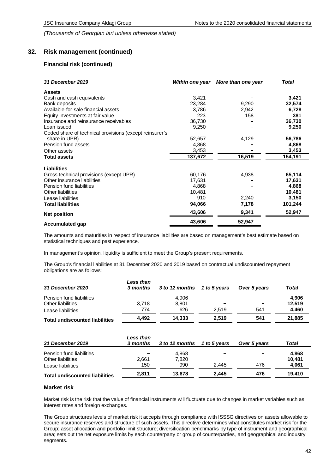## **32. Risk management (continued)**

### **Financial risk (continued)**

| 31 December 2019                                        | Within one year | More than one year | Total   |  |
|---------------------------------------------------------|-----------------|--------------------|---------|--|
| <b>Assets</b>                                           |                 |                    |         |  |
| Cash and cash equivalents                               | 3,421           |                    | 3,421   |  |
| <b>Bank deposits</b>                                    | 23,284          | 9,290              | 32,574  |  |
| Available-for-sale financial assets                     | 3,786           | 2,942              | 6,728   |  |
| Equity investments at fair value                        | 223             | 158                | 381     |  |
| Insurance and reinsurance receivables                   | 36,730          |                    | 36,730  |  |
| Loan issued                                             | 9,250           |                    | 9,250   |  |
| Ceded share of technical provisions (except reinsurer's |                 |                    |         |  |
| share in UPR)                                           | 52,657          | 4,129              | 56,786  |  |
| Pension fund assets                                     | 4,868           |                    | 4,868   |  |
| Other assets                                            | 3,453           |                    | 3,453   |  |
| <b>Total assets</b>                                     | 137,672         | 16,519             | 154,191 |  |
| <b>Liabilities</b>                                      |                 |                    |         |  |
| Gross technical provisions (except UPR)                 | 60,176          | 4,938              | 65,114  |  |
| Other insurance liabilities                             | 17,631          |                    | 17,631  |  |
| Pension fund liabilities                                | 4,868           |                    | 4,868   |  |
| <b>Other liabilities</b>                                | 10,481          |                    | 10,481  |  |
| Lease liabilities                                       | 910             | 2,240              | 3,150   |  |
| <b>Total liabilities</b>                                | 94,066          | 7,178              | 101,244 |  |
| <b>Net position</b>                                     | 43,606          | 9,341              | 52,947  |  |
| Accumulated gap                                         | 43,606          | 52,947             |         |  |

The amounts and maturities in respect of insurance liabilities are based on management's best estimate based on statistical techniques and past experience.

In management's opinion, liquidity is sufficient to meet the Group's present requirements.

The Group's financial liabilities at 31 December 2020 and 2019 based on contractual undiscounted repayment obligations are as follows:

| <b>31 December 2020</b>               | <b>Less than</b><br>3 months | 3 to 12 months | 1 to 5 years | Over 5 years | Total  |
|---------------------------------------|------------------------------|----------------|--------------|--------------|--------|
| Pension fund liabilities              | $\sim$                       | 4.906          | $\sim$       | $\sim$       | 4.906  |
| Other liabilities                     | 3.718                        | 8.801          | $\sim$       |              | 12,519 |
| Lease liabilities                     | 774                          | 626            | 2.519        | 541          | 4.460  |
| <b>Total undiscounted liabilities</b> | 4.492                        | 14.333         | 2.519        | 541          | 21.885 |

| 31 December 2019                      | <b>Less than</b><br>3 months | 3 to 12 months | 1 to 5 years | Over 5 years | Total  |
|---------------------------------------|------------------------------|----------------|--------------|--------------|--------|
| Pension fund liabilities              | $\sim$                       | 4.868          | $\sim$       | $\equiv$     | 4.868  |
| Other liabilities                     | 2.661                        | 7.820          | $\equiv$     | $\sim$       | 10.481 |
| Lease liabilities                     | 150                          | 990            | 2.445        | 476          | 4.061  |
| <b>Total undiscounted liabilities</b> | 2.811                        | 13.678         | 2.445        | 476          | 19.410 |

### **Market risk**

Market risk is the risk that the value of financial instruments will fluctuate due to changes in market variables such as interest rates and foreign exchanges.

The Group structures levels of market risk it accepts through compliance with ISSSG directives on assets allowable to secure insurance reserves and structure of such assets. This directive determines what constitutes market risk for the Group; asset allocation and portfolio limit structure; diversification benchmarks by type of instrument and geographical area; sets out the net exposure limits by each counterparty or group of counterparties, and geographical and industry segments.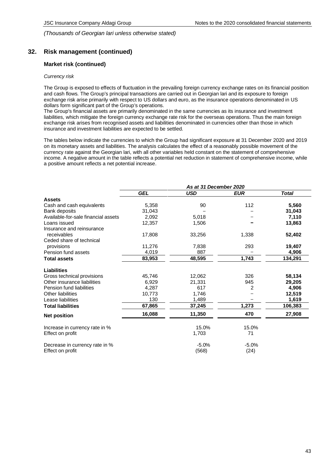# **32. Risk management (continued)**

### **Market risk (continued)**

#### *Currency risk*

The Group is exposed to effects of fluctuation in the prevailing foreign currency exchange rates on its financial position and cash flows. The Group's principal transactions are carried out in Georgian lari and its exposure to foreign exchange risk arise primarily with respect to US dollars and euro, as the insurance operations denominated in US dollars form significant part of the Group's operations.

The Group's financial assets are primarily denominated in the same currencies as its insurance and investment liabilities, which mitigate the foreign currency exchange rate risk for the overseas operations. Thus the main foreign exchange risk arises from recognised assets and liabilities denominated in currencies other than those in which insurance and investment liabilities are expected to be settled.

The tables below indicate the currencies to which the Group had significant exposure at 31 December 2020 and 2019 on its monetary assets and liabilities. The analysis calculates the effect of a reasonably possible movement of the currency rate against the Georgian lari, with all other variables held constant on the statement of comprehensive income. A negative amount in the table reflects a potential net reduction in statement of comprehensive income, while a positive amount reflects a net potential increase.

|                                     | As at 31 December 2020 |            |            |              |  |  |  |
|-------------------------------------|------------------------|------------|------------|--------------|--|--|--|
|                                     | <b>GEL</b>             | <b>USD</b> | <b>EUR</b> | <b>Total</b> |  |  |  |
| <b>Assets</b>                       |                        |            |            |              |  |  |  |
| Cash and cash equivalents           | 5,358                  | 90         | 112        | 5,560        |  |  |  |
| Bank deposits                       | 31,043                 |            |            | 31,043       |  |  |  |
| Available-for-sale financial assets | 2,092                  | 5,018      |            | 7,110        |  |  |  |
| Loans issued                        | 12,357                 | 1,506      |            | 13,863       |  |  |  |
| Insurance and reinsurance           |                        |            |            |              |  |  |  |
| receivables                         | 17,808                 | 33,256     | 1,338      | 52,402       |  |  |  |
| Ceded share of technical            |                        |            |            |              |  |  |  |
| provisions                          | 11,276                 | 7.838      | 293        | 19,407       |  |  |  |
| Pension fund assets                 | 4,019                  | 887        |            | 4,906        |  |  |  |
| <b>Total assets</b>                 | 83,953                 | 48,595     | 1,743      | 134,291      |  |  |  |
| <b>Liabilities</b>                  |                        |            |            |              |  |  |  |
| Gross technical provisions          | 45,746                 | 12,062     | 326        | 58,134       |  |  |  |
| Other insurance liabilities         | 6,929                  | 21,331     | 945        | 29,205       |  |  |  |
| <b>Pension fund liabilities</b>     | 4,287                  | 617        | 2          | 4,906        |  |  |  |
| <b>Other liabilities</b>            | 10,773                 | 1,746      |            | 12,519       |  |  |  |
| Lease liabilities                   | 130                    | 1,489      |            | 1,619        |  |  |  |
| <b>Total liabilities</b>            | 67,865                 | 37,245     | 1,273      | 106,383      |  |  |  |
| <b>Net position</b>                 | 16,088                 | 11,350     | 470        | 27,908       |  |  |  |
| Increase in currency rate in %      |                        | 15.0%      | 15.0%      |              |  |  |  |
| Effect on profit                    |                        | 1,703      | 71         |              |  |  |  |
| Decrease in currency rate in %      |                        | $-5.0%$    | $-5.0%$    |              |  |  |  |
| Effect on profit                    |                        | (568)      | (24)       |              |  |  |  |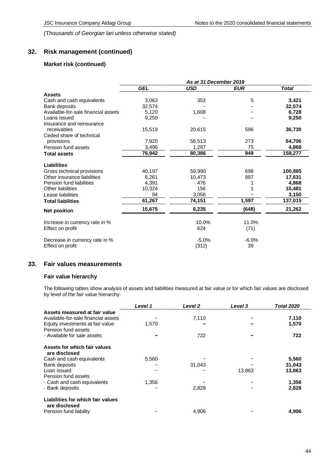# **32. Risk management (continued)**

# **Market risk (continued)**

|                                     | As at 31 December 2019 |            |            |              |  |  |  |
|-------------------------------------|------------------------|------------|------------|--------------|--|--|--|
|                                     | <b>GEL</b>             | <b>USD</b> | <b>EUR</b> | <b>Total</b> |  |  |  |
| <b>Assets</b>                       |                        |            |            |              |  |  |  |
| Cash and cash equivalents           | 3,063                  | 353        | 5          | 3,421        |  |  |  |
| Bank deposits                       | 32,574                 |            |            | 32,574       |  |  |  |
| Available-for-sale financial assets | 5,120                  | 1,608      |            | 6,728        |  |  |  |
| Loans issued                        | 9,250                  |            |            | 9,250        |  |  |  |
| Insurance and reinsurance           |                        |            |            |              |  |  |  |
| receivables                         | 15,519                 | 20,615     | 596        | 36,730       |  |  |  |
| Ceded share of technical            |                        |            |            |              |  |  |  |
| provisions                          | 7,920                  | 56,513     | 273        | 64,706       |  |  |  |
| Pension fund assets                 | 3,496                  | 1,297      | 75         | 4,868        |  |  |  |
| <b>Total assets</b>                 | 76,942                 | 80,386     | 949        | 158,277      |  |  |  |
| <b>Liabilities</b>                  |                        |            |            |              |  |  |  |
| Gross technical provisions          | 40,197                 | 59,990     | 698        | 100,885      |  |  |  |
| Other insurance liabilities         | 6,261                  | 10,473     | 897        | 17,631       |  |  |  |
| Pension fund liabilities            | 4,391                  | 476        |            | 4,868        |  |  |  |
| <b>Other liabilities</b>            | 10,324                 | 156        |            | 10,481       |  |  |  |
| Lease liabilities                   | 94                     | 3,056      |            | 3,150        |  |  |  |
| <b>Total liabilities</b>            | 61,267                 | 74,151     | 1,597      | 137,015      |  |  |  |
| <b>Net position</b>                 | 15,675                 | 6,235      | (648)      | 21,262       |  |  |  |
| Increase in currency rate in %      |                        | 10.0%      | 11.0%      |              |  |  |  |
| Effect on profit                    |                        | 624        | (71)       |              |  |  |  |
| Decrease in currency rate in %      |                        | $-5.0%$    | $-6.0%$    |              |  |  |  |
| Effect on profit                    |                        | (312)      | 39         |              |  |  |  |

# **33. Fair values measurements**

### **Fair value hierarchy**

The following tables show analysis of assets and liabilities measured at fair value or for which fair values are disclosed by level of the fair value hierarchy:

|                                                    | Level 1 | Level <sub>2</sub> | Level 3 | <b>Total 2020</b> |
|----------------------------------------------------|---------|--------------------|---------|-------------------|
| Assets measured at fair value                      |         |                    |         |                   |
| Available-for-sale financial assets                |         | 7,110              |         | 7,110             |
| Equity investments at fair value                   | 1.570   |                    |         | 1,570             |
| Pension fund assets                                |         |                    |         |                   |
| - Available for sale assets                        |         | 722                |         | 722               |
| Assets for which fair values                       |         |                    |         |                   |
| are disclosed                                      |         |                    |         |                   |
| Cash and cash equivalents                          | 5,560   |                    |         | 5,560             |
| <b>Bank deposits</b>                               |         | 31,043             |         | 31,043            |
| Loan issued                                        |         |                    | 13,863  | 13,863            |
| Pension fund assets                                |         |                    |         |                   |
| - Cash and cash equivalents                        | 1,356   |                    |         | 1,356             |
| - Bank deposits                                    |         | 2,828              |         | 2,828             |
| Liabilities for which fair values<br>are disclosed |         |                    |         |                   |
| Pension fund liability                             |         | 4.906              |         | 4.906             |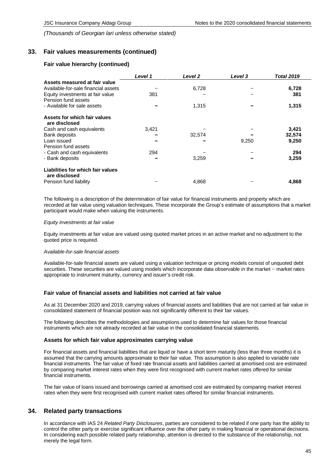## **33. Fair values measurements (continued)**

### **Fair value hierarchy (continued)**

|                                                    | Level 1 | Level <sub>2</sub> | Level 3 | <b>Total 2019</b> |
|----------------------------------------------------|---------|--------------------|---------|-------------------|
| Assets measured at fair value                      |         |                    |         |                   |
| Available-for-sale financial assets                |         | 6,728              |         | 6,728             |
| Equity investments at fair value                   | 381     |                    |         | 381               |
| Pension fund assets                                |         |                    |         |                   |
| - Available for sale assets                        |         | 1.315              |         | 1,315             |
| Assets for which fair values                       |         |                    |         |                   |
| are disclosed                                      |         |                    |         |                   |
| Cash and cash equivalents                          | 3,421   |                    |         | 3,421             |
| Bank deposits                                      |         | 32,574             |         | 32,574            |
| Loan issued                                        |         |                    | 9,250   | 9,250             |
| Pension fund assets                                |         |                    |         |                   |
| - Cash and cash equivalents                        | 294     |                    |         | 294               |
| - Bank deposits                                    |         | 3,259              |         | 3,259             |
| Liabilities for which fair values<br>are disclosed |         |                    |         |                   |
| Pension fund liability                             |         | 4.868              |         | 4,868             |

The following is a description of the determination of fair value for financial instruments and property which are recorded at fair value using valuation techniques. These incorporate the Group's estimate of assumptions that a market participant would make when valuing the instruments.

#### *Equity investments at fair value*

Equity investments at fair value are valued using quoted market prices in an active market and no adjustment to the quoted price is required.

#### *Available-for-sale financial assets*

Available-for-sale financial assets are valued using a valuation technique or pricing models consist of unquoted debt securities. These securities are valued using models which incorporate data observable in the market - market rates appropriate to instrument maturity, currency and issuer's credit risk.

### **Fair value of financial assets and liabilities not carried at fair value**

As at 31 December 2020 and 2019, carrying values of financial assets and liabilities that are not carried at fair value in consolidated statement of financial position was not significantly different to their fair values.

The following describes the methodologies and assumptions used to determine fair values for those financial instruments which are not already recorded at fair value in the consolidated financial statements.

#### **Assets for which fair value approximates carrying value**

For financial assets and financial liabilities that are liquid or have a short term maturity (less than three months) it is assumed that the carrying amounts approximate to their fair value. This assumption is also applied to variable rate financial instruments. The fair value of fixed rate financial assets and liabilities carried at amortised cost are estimated by comparing market interest rates when they were first recognised with current market rates offered for similar financial instruments.

The fair value of loans issued and borrowings carried at amortised cost are estimated by comparing market interest rates when they were first recognised with current market rates offered for similar financial instruments.

### **34. Related party transactions**

In accordance with IAS 24 *Related Party Disclosures*, parties are considered to be related if one party has the ability to control the other party or exercise significant influence over the other party in making financial or operational decisions. In considering each possible related party relationship, attention is directed to the substance of the relationship, not merely the legal form.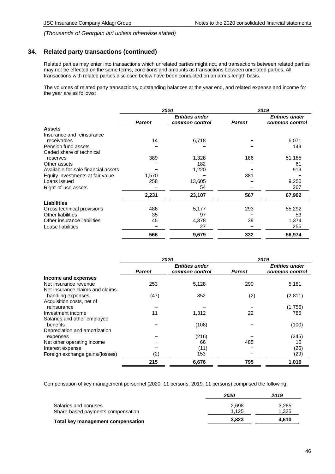## **34. Related party transactions (continued)**

Related parties may enter into transactions which unrelated parties might not, and transactions between related parties may not be effected on the same terms, conditions and amounts as transactions between unrelated parties. All transactions with related parties disclosed below have been conducted on an arm's-length basis.

The volumes of related party transactions, outstanding balances at the year end, and related expense and income for the year are as follows:

|                                     |               | 2020                  | 2019          |                       |  |
|-------------------------------------|---------------|-----------------------|---------------|-----------------------|--|
|                                     |               | <b>Entities under</b> |               | <b>Entities under</b> |  |
|                                     | <b>Parent</b> | common control        | <b>Parent</b> | common control        |  |
| <b>Assets</b>                       |               |                       |               |                       |  |
| Insurance and reinsurance           |               |                       |               |                       |  |
| receivables                         | 14            | 6,718                 |               | 6,071                 |  |
| Pension fund assets                 |               |                       |               | 149                   |  |
| Ceded share of technical            |               |                       |               |                       |  |
| reserves                            | 389           | 1,328                 | 186           | 51,185                |  |
| Other assets                        |               | 182                   |               | 61                    |  |
| Available-for-sale financial assets |               | 1,220                 |               | 919                   |  |
| Equity investments at fair value    | 1,570         |                       | 381           |                       |  |
| Loans issued                        | 258           | 13,605                |               | 9,250                 |  |
| Right-of-use assets                 |               | 54                    |               | 267                   |  |
|                                     | 2,231         | 23,107                | 567           | 67,902                |  |
| Liabilities                         |               |                       |               |                       |  |
| Gross technical provisions          | 486           | 5,177                 | 293           | 55,292                |  |
| Other liabilities                   | 35            | 97                    |               | 53                    |  |
| Other insurance liabilities         | 45            | 4,378                 | 39            | 1,374                 |  |
| Lease liabilities                   |               | 27                    |               | 255                   |  |
|                                     | 566           | 9,679                 | 332           | 56,974                |  |

|                                 |               | 2020                  |               | 2019                  |  |  |
|---------------------------------|---------------|-----------------------|---------------|-----------------------|--|--|
|                                 |               | <b>Entities under</b> |               | <b>Entities under</b> |  |  |
|                                 | <b>Parent</b> | common control        | <b>Parent</b> | common control        |  |  |
| Income and expenses             |               |                       |               |                       |  |  |
| Net insurance revenue           | 253           | 5,128                 | 290           | 5,181                 |  |  |
| Net insurance claims and claims |               |                       |               |                       |  |  |
| handling expenses               | (47)          | 352                   | (2)           | (2,811)               |  |  |
| Acquisition costs, net of       |               |                       |               |                       |  |  |
| reinsurance                     |               |                       |               | (1,755)               |  |  |
| Investment income               | 11            | 1,312                 | 22            | 785                   |  |  |
| Salaries and other employee     |               |                       |               |                       |  |  |
| benefits                        |               | (108)                 |               | (100)                 |  |  |
| Depreciation and amortization   |               |                       |               |                       |  |  |
| expenses                        |               | (216)                 |               | (245)                 |  |  |
| Net other operating income      |               | 66                    | 485           | 10                    |  |  |
| Interest expense                |               | (11)                  |               | (26)                  |  |  |
| Foreign exchange gains/(losses) |               | 153                   |               | (29)                  |  |  |
|                                 | 215           | 6,676                 | 795           | 1,010                 |  |  |

Compensation of key management personnel (2020: 11 persons; 2019: 11 persons) comprised the following:

|                                   | 2020  | 2019  |
|-----------------------------------|-------|-------|
| Salaries and bonuses              | 2.698 | 3.285 |
| Share-based payments compensation | 1.125 | 1.325 |
| Total key management compensation | 3.823 | 4.610 |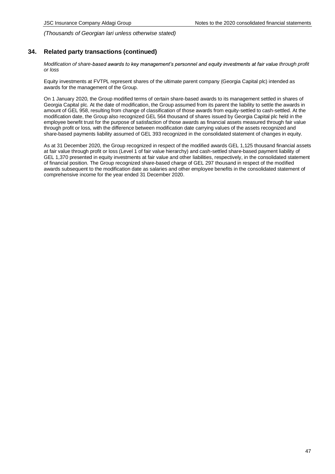# **34. Related party transactions (continued)**

*Modification of share-based awards to key management's personnel and equity investments at fair value through profit or loss*

Equity investments at FVTPL represent shares of the ultimate parent company (Georgia Capital plc) intended as awards for the management of the Group.

On 1 January 2020, the Group modified terms of certain share-based awards to its management settled in shares of Georgia Capital plc. At the date of modification, the Group assumed from its parent the liability to settle the awards in amount of GEL 958, resulting from change of classification of those awards from equity-settled to cash-settled. At the modification date, the Group also recognized GEL 564 thousand of shares issued by Georgia Capital plc held in the employee benefit trust for the purpose of satisfaction of those awards as financial assets measured through fair value through profit or loss, with the difference between modification date carrying values of the assets recognized and share-based payments liability assumed of GEL 393 recognized in the consolidated statement of changes in equity.

As at 31 December 2020, the Group recognized in respect of the modified awards GEL 1,125 thousand financial assets at fair value through profit or loss (Level 1 of fair value hierarchy) and cash-settled share-based payment liability of GEL 1,370 presented in equity investments at fair value and other liabilities, respectively, in the consolidated statement of financial position. The Group recognized share-based charge of GEL 297 thousand in respect of the modified awards subsequent to the modification date as salaries and other employee benefits in the consolidated statement of comprehensive income for the year ended 31 December 2020.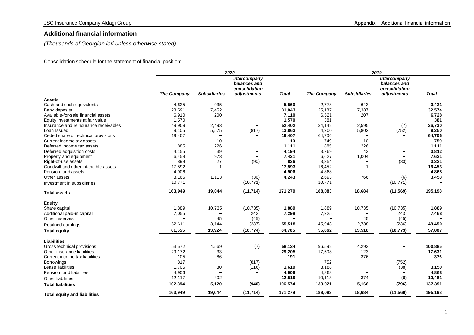# **Additional financial information**

*(Thousands of Georgian lari unless otherwise stated)*

Consolidation schedule for the statement of financial position:

|                                       |                    | 2020                |                                               |              |                    |                          | 2019                                          |              |  |  |
|---------------------------------------|--------------------|---------------------|-----------------------------------------------|--------------|--------------------|--------------------------|-----------------------------------------------|--------------|--|--|
|                                       |                    |                     | Intercompany<br>balances and<br>consolidation |              |                    |                          | Intercompany<br>balances and<br>consolidation |              |  |  |
|                                       | <b>The Company</b> | <b>Subsidiaries</b> | adjustments                                   | <b>Total</b> | <b>The Company</b> | <b>Subsidiaries</b>      | adjustments                                   | <b>Total</b> |  |  |
| <b>Assets</b>                         |                    |                     |                                               |              |                    |                          |                                               |              |  |  |
| Cash and cash equivalents             | 4,625              | 935                 |                                               | 5,560        | 2,778              | 643                      |                                               | 3,421        |  |  |
| Bank deposits                         | 23,591             | 7,452               |                                               | 31,043       | 25,187             | 7,387                    |                                               | 32,574       |  |  |
| Available-for-sale financial assets   | 6,910              | 200                 | $\equiv$                                      | 7,110        | 6,521              | 207                      |                                               | 6,728        |  |  |
| Equity investments at fair value      | 1,570              |                     | $\overline{\phantom{0}}$                      | 1,570        | 381                | $\overline{\phantom{a}}$ |                                               | 381          |  |  |
| Insurance and reinsurance receivables | 49,909             | 2,493               |                                               | 52,402       | 34,142             | 2,595                    | (7)                                           | 36,730       |  |  |
| Loan Issued                           | 9,105              | 5,575               | (817)                                         | 13,863       | 4,200              | 5,802                    | (752)                                         | 9,250        |  |  |
| Ceded share of technical provisions   | 19,407             |                     |                                               | 19,407       | 64,706             |                          |                                               | 64,706       |  |  |
| Current income tax assets             |                    | 10                  |                                               | 10           | 749                | 10                       |                                               | 759          |  |  |
| Deferred income tax assets            | 885                | 226                 |                                               | 1,111        | 885                | 226                      |                                               | 1,111        |  |  |
| Deferred acquisition costs            | 4,155              | 39                  |                                               | 4,194        | 3,769              | 43                       |                                               | 3,812        |  |  |
| Property and equipment                | 6,458              | 973                 | $\hspace{0.05cm}$                             | 7,431        | 6,627              | 1,004                    | $\overline{\phantom{a}}$                      | 7,631        |  |  |
| Right-of-use assets                   | 899                | 27                  | (90)                                          | 836          | 3,354              |                          | (33)                                          | 3,321        |  |  |
| Goodwill and other intangible assets  | 17,592             | -1                  | $\overline{\phantom{0}}$                      | 17,593       | 16,452             | -1                       | $\sim$                                        | 16,453       |  |  |
| Pension fund assets                   | 4,906              |                     | $\equiv$                                      | 4,906        | 4,868              |                          |                                               | 4,868        |  |  |
| Other assets                          | 3,166              | 1,113               | (36)                                          | 4,243        | 2,693              | 766                      | (6)                                           | 3,453        |  |  |
| Investment in subsidiaries            | 10,771             |                     | (10, 771)                                     |              | 10,771             |                          | (10, 771)                                     |              |  |  |
| <b>Total assets</b>                   | 163,949            | 19,044              | (11, 714)                                     | 171,279      | 188,083            | 18,684                   | (11, 569)                                     | 195,198      |  |  |
| <b>Equity</b>                         |                    |                     |                                               |              |                    |                          |                                               |              |  |  |
| Share capital                         | 1,889              | 10,735              | (10, 735)                                     | 1,889        | 1,889              | 10,735                   | (10, 735)                                     | 1,889        |  |  |
| Additional paid-in capital            | 7,055              |                     | 243                                           | 7,298        | 7,225              |                          | 243                                           | 7,468        |  |  |
| Other reserves                        |                    | 45                  | (45)                                          |              |                    | 45                       | (45)                                          |              |  |  |
| Retained earnings                     | 52,611             | 3,144               | (237)                                         | 55,518       | 45,948             | 2,738                    | (236)                                         | 48,450       |  |  |
| <b>Total equity</b>                   | 61,555             | 13,924              | (10, 774)                                     | 64,705       | 55,062             | 13,518                   | (10, 773)                                     | 57,807       |  |  |
| <b>Liabilities</b>                    |                    |                     |                                               |              |                    |                          |                                               |              |  |  |
| Gross technical provisions            | 53,572             | 4,569               | (7)                                           | 58,134       | 96,592             | 4,293                    |                                               | 100,885      |  |  |
| Other insurance liabilities           | 29,172             | 33                  |                                               | 29,205       | 17,508             | 123                      |                                               | 17,631       |  |  |
| Current income tax liabilities        | 105                | 86                  | $\overline{\phantom{a}}$                      | 191          |                    | 376                      |                                               | 376          |  |  |
| <b>Borrowings</b>                     | 817                |                     | (817)                                         |              | 752                |                          | (752)                                         |              |  |  |
| Lease liabilities                     | 1,705              | 30                  | (116)                                         | 1,619        | 3,188              |                          | (38)                                          | 3,150        |  |  |
| Pension fund liabilities              | 4,906              |                     |                                               | 4,906        | 4,868              |                          | $\overline{\phantom{a}}$                      | 4,868        |  |  |
| Other liabilities                     | 12,117             | 402                 | $\overline{\phantom{a}}$                      | 12,519       | 10,113             | 374                      | (6)                                           | 10,481       |  |  |
| <b>Total liabilities</b>              | 102,394            | 5,120               | (940)                                         | 106,574      | 133,021            | 5,166                    | (796)                                         | 137,391      |  |  |
| <b>Total equity and liabilities</b>   | 163,949            | 19,044              | (11, 714)                                     | 171,279      | 188,083            | 18,684                   | (11, 569)                                     | 195,198      |  |  |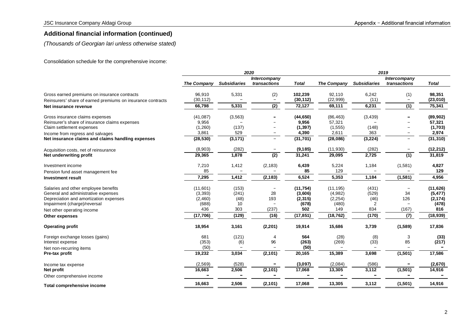*(Thousands of Georgian lari unless otherwise stated)*

Consolidation schedule for the comprehensive income:

|                                                             | 2020               |                     |                          |           | 2019               |                     |                  |              |  |
|-------------------------------------------------------------|--------------------|---------------------|--------------------------|-----------|--------------------|---------------------|------------------|--------------|--|
|                                                             |                    | Intercompany        |                          |           |                    | Intercompany        |                  |              |  |
|                                                             | <b>The Company</b> | <b>Subsidiaries</b> | transactions             | Total     | <b>The Company</b> | <b>Subsidiaries</b> | transactions     | <b>Total</b> |  |
| Gross earned premiums on insurance contracts                | 96,910             | 5,331               | (2)                      | 102,239   | 92,110             | 6,242               | (1)              | 98,351       |  |
| Reinsurers' share of earned premiums on insurance contracts | (30, 112)          |                     | $\overline{\phantom{a}}$ | (30, 112) | (22, 999)          | (11)                | $\sim$           | (23,010)     |  |
| Net insurance revenue                                       | 66,798             | 5,331               | (2)                      | 72,127    | 69,111             | 6,231               | $\overline{(1)}$ | 75,341       |  |
| Gross insurance claims expenses                             | (41,087)           | (3, 563)            |                          | (44, 650) | (86, 463)          | (3, 439)            |                  | (89, 902)    |  |
| Reinsurer's share of insurance claims expenses              | 9,956              |                     |                          | 9,956     | 57,321             |                     |                  | 57,321       |  |
| Claim settlement expenses                                   | (1,260)            | (137)               |                          | (1, 397)  | (1, 555)           | (148)               |                  | (1,703)      |  |
| Income from regress and salvages                            | 3,861              | 529                 |                          | 4,390     | 2,611              | 363                 |                  | 2,974        |  |
| Net insurance claims and claims handling expenses           | (28, 530)          | (3, 171)            |                          | (31,701)  | (28, 086)          | (3, 224)            | $\blacksquare$   | (31, 310)    |  |
| Acquisition costs, net of reinsurance                       | (8,903)            | (282)               |                          | (9, 185)  | (11, 930)          | (282)               |                  | (12, 212)    |  |
| Net underwriting profit                                     | 29,365             | 1,878               | $\overline{(2)}$         | 31,241    | 29,095             | 2,725               | $\overline{(1)}$ | 31,819       |  |
| Investment income                                           | 7,210              | 1,412               | (2, 183)                 | 6,439     | 5,224              | 1,184               | (1,581)          | 4,827        |  |
| Pension fund asset management fee                           | 85                 |                     |                          | 85        | 129                |                     |                  | 129          |  |
| <b>Investment result</b>                                    | 7,295              | 1,412               | (2, 183)                 | 6,524     | 5,353              | 1,184               | (1,581)          | 4,956        |  |
| Salaries and other employee benefits                        | (11,601)           | (153)               |                          | (11, 754) | (11, 195)          | (431)               |                  | (11, 626)    |  |
| General and administrative expenses                         | (3, 393)           | (241)               | 28                       | (3,606)   | (4,982)            | (529)               | 34               | (5, 477)     |  |
| Depreciation and amortization expenses                      | (2,460)            | (48)                | 193                      | (2, 315)  | (2, 254)           | (46)                | 126              | (2, 174)     |  |
| Impairment (charge)/reversal                                | (688)              | 10                  |                          | (678)     | (480)              | 2                   |                  | (478)        |  |
| Net other operating income                                  | 436                | 303                 | (237)                    | 502       | 149                | 834                 | (167)            | 816          |  |
| Other expenses                                              | (17, 706)          | (129)               | (16)                     | (17, 851) | (18, 762)          | (170)               | (7)              | (18, 939)    |  |
| <b>Operating profit</b>                                     | 18,954             | 3,161               | (2, 201)                 | 19,914    | 15,686             | 3,739               | (1,589)          | 17,836       |  |
| Foreign exchange losses (gains)                             | 681                | (121)               | 4                        | 564       | (28)               | (8)                 | 3                | (33)         |  |
| Interest expense                                            | (353)              | (6)                 | 96                       | (263)     | (269)              | (33)                | 85               | (217)        |  |
| Net non-recurring items                                     | (50)               |                     |                          | (50)      |                    |                     |                  |              |  |
| Pre-tax profit                                              | 19,232             | 3,034               | (2, 101)                 | 20,165    | 15,389             | 3,698               | (1,501)          | 17,586       |  |
| Income tax expense                                          | (2,569)            | (528)               |                          | (3,097)   | (2,084)            | (586)               |                  | (2,670)      |  |
| Net profit                                                  | 16,663             | 2,506               | (2,101)                  | 17,068    | 13,305             | 3,112               | (1,501)          | 14,916       |  |
| Other comprehensive income                                  |                    |                     |                          |           |                    |                     |                  |              |  |
| <b>Total comprehensive income</b>                           | 16,663             | 2,506               | (2, 101)                 | 17,068    | 13,305             | 3,112               | (1,501)          | 14,916       |  |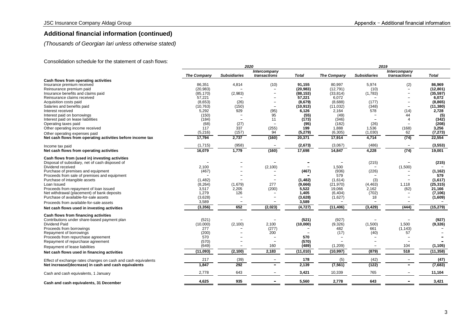*(Thousands of Georgian lari unless otherwise stated)*

Consolidation schedule for the statement of cash flows:

|                                                               | 2020               |                     |                          | 2019         |                    |                          |                       |                   |
|---------------------------------------------------------------|--------------------|---------------------|--------------------------|--------------|--------------------|--------------------------|-----------------------|-------------------|
|                                                               |                    |                     | Intercompany             |              |                    |                          | Intercompany          |                   |
|                                                               | <b>The Company</b> | <b>Subsidiaries</b> | transactions             | <b>Total</b> | <b>The Company</b> | <b>Subsidiaries</b>      | transactions          | <b>Total</b>      |
| Cash flows from operating activities                          |                    |                     |                          |              |                    |                          |                       |                   |
| Insurance premium received                                    | 86,351             | 4,814               | (10)                     | 91,155       | 80,997             | 5,974                    | (2)                   | 86.969            |
| Reinsurance premium paid                                      | (20, 983)          |                     |                          | (20, 983)    | (12, 791)          | (10)                     |                       | (12, 801)         |
| Insurance benefits and claims paid                            | (85, 170)          | (2,983)             |                          | (88, 153)    | (33, 814)          | (1,783)                  |                       | (35, 597)         |
| Reinsurance claims received                                   | 57,221             |                     |                          | 57,221       | 6,072              |                          |                       | 6.072             |
| Acquisition costs paid                                        | (8,653)            | (26)                |                          | (8,679)      | (8,688)            | (177)                    |                       | (8, 865)          |
| Salaries and benefits paid                                    | (10, 763)          | (150)               | $\overline{\phantom{a}}$ | (10, 913)    | (11, 032)          | (348)                    |                       | (11, 380)         |
| Interest received                                             | 5,292              | 929                 | (95)                     | 6,126        | 2,164              | 578                      | (14)                  | 2,728             |
| Interest paid on borrowings                                   | (150)              |                     | 95                       | (55)         | (49)               |                          | 44                    | (5)               |
| Interest paid on lease liabilities                            | (184)              |                     | 11                       | (173)        | (346)              |                          | $\boldsymbol{\Delta}$ | (342)             |
| Operating taxes paid                                          | (68)<br>117        | (27)<br>337         |                          | (95)         | (182)              | (26)                     |                       | (208)             |
| Other operating income received                               |                    | (157)               | (255)<br>94              | 199          | 1,888              | 1,536<br>(1,030)         | (168)<br>62           | 3,256<br>(7, 273) |
| Other operating expenses paid                                 | (5,216)            |                     |                          | (5,279)      | (6, 305)           |                          |                       |                   |
| Net cash flows from operating activities before income tax    | 17,794             | 2,737               | (160)                    | 20,371       | 17,914             | 4,714                    | (74)                  | 22,554            |
| Income tax paid                                               | (1,715)            | (958)               |                          | (2,673)      | (3,067)            | (486)                    |                       | (3, 553)          |
| Net cash flows from operating activities                      | 16,079             | 1,779               | (160)                    | 17,698       | 14,847             | 4,228                    | (74)                  | 19,001            |
| Cash flows from (used in) investing activities                |                    |                     |                          |              |                    |                          |                       |                   |
| Disposal of subsidiary, net of cash disposed of               |                    |                     |                          |              |                    | (215)                    |                       | (215)             |
| Dividend received                                             | 2,100              |                     | (2, 100)                 |              | 1,500              |                          | (1,500)               |                   |
| Purchase of premises and equipment                            | (467)              |                     |                          | (467)        | (936)              | (226)                    |                       | (1, 162)          |
| Proceeds from sale of premises and equipment                  |                    |                     |                          |              | 579                |                          |                       | 579               |
| Purchase of intangible assets                                 | (1, 482)           |                     |                          | (1, 482)     | (1,614)            | (3)                      |                       | (1,617)           |
| Loan Issued                                                   | (8, 264)           | (1,679)             | 277                      | (9,666)      | (21, 970)          | (4, 463)                 | 1,118                 | (25, 315)         |
| Proceeds from repayment of loan issued                        | 3,517              | 2,205               | (200)                    | 5,522        | 19,066             | 2,162                    | (62)                  | 21,166            |
| Net withdrawal (placement) of bank deposits                   | 1,279              | 126                 |                          | 1,405        | (6, 404)           | (702)                    |                       | (7, 106)          |
| Purchase of available-for-sale assets                         | (3,628)            |                     |                          | (3,628)      | (1,627)            | 18                       |                       | (1,609)           |
| Proceeds from available-for-sale assets                       | 3,589              |                     |                          | 3,589        |                    |                          |                       |                   |
| Net cash flows used in investing activities                   | (3,356)            | 652                 | (2,023)                  | (4, 727)     | (11, 406)          | (3, 429)                 | (444)                 | (15, 279)         |
| Cash flows from financing activities                          |                    |                     |                          |              |                    |                          |                       |                   |
| Contributions under share-based payment plan                  | (521)              |                     |                          | (521)        | (927)              |                          |                       | (927)             |
| Dividend Paid                                                 | (10,000)           | (2, 100)            | 2,100                    | (10,000)     | (9,326)            | (1,500)                  | 1,500                 | (9, 326)          |
| Proceeds from borrowings                                      | 277                |                     | (277)                    |              | 482                | 661                      | (1, 143)              |                   |
| Repayment of borrowings                                       | (200)              |                     | 200                      |              | (17)               | (40)                     | 57                    |                   |
| Proceeds from repurchase agreement                            | 570                |                     |                          | 570          |                    |                          |                       |                   |
| Repayment of repurchase agreement                             | (570)              |                     |                          | (570)        |                    |                          |                       |                   |
| Repayment of lease liabilities                                | (649)              |                     | 160                      | (489)        | (1,209)            | $\overline{\phantom{a}}$ | 104                   | (1, 105)          |
| Net cash flows used in financing activities                   | (11,093)           | (2, 100)            | 2,183                    | (11,010)     | (10, 997)          | (879)                    | 518                   | (11, 358)         |
|                                                               |                    |                     |                          |              |                    |                          |                       |                   |
| Effect of exchange rates changes on cash and cash equivalents | 217                | (39)                |                          | 178          | (5)                | (42)                     |                       | (47)              |
| Net increase/(decrease) in cash and cash equivalents          | 1,847              | 292                 |                          | 2,139        | (7, 561)           | (122)                    |                       | (7,683)           |
| Cash and cash equivalents, 1 January                          | 2,778              | 643                 |                          | 3,421        | 10,339             | 765                      |                       | 11,104            |
| Cash and cash equivalents, 31 December                        | 4,625              | 935                 |                          | 5,560        | 2,778              | 643                      |                       | 3,421             |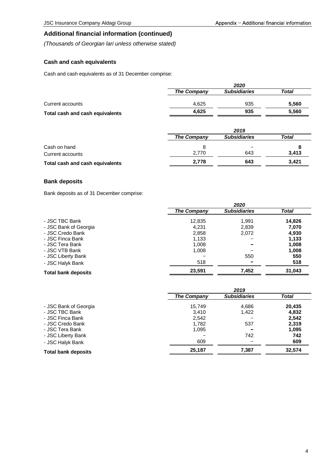*(Thousands of Georgian lari unless otherwise stated)*

### **Cash and cash equivalents**

Cash and cash equivalents as of 31 December comprise:

|                                 | 2020               |                     |       |  |  |  |
|---------------------------------|--------------------|---------------------|-------|--|--|--|
|                                 | <b>The Company</b> | <b>Subsidiaries</b> | Total |  |  |  |
| Current accounts                | 4.625              | 935                 | 5.560 |  |  |  |
| Total cash and cash equivalents | 4.625              | 935                 | 5.560 |  |  |  |

|                                 | 2019               |                     |              |  |
|---------------------------------|--------------------|---------------------|--------------|--|
|                                 | <b>The Company</b> | <b>Subsidiaries</b> | <b>Total</b> |  |
| Cash on hand                    |                    | $\equiv$            |              |  |
| Current accounts                | 2.770              | 643                 | 3.413        |  |
| Total cash and cash equivalents | 2,778              | 643                 | 3.421        |  |

### **Bank deposits**

Bank deposits as of 31 December comprise:

|                            | 2020               |                     |              |  |  |
|----------------------------|--------------------|---------------------|--------------|--|--|
|                            | <b>The Company</b> | <b>Subsidiaries</b> | <b>Total</b> |  |  |
| - JSC TBC Bank             | 12,835             | 1,991               | 14,826       |  |  |
| - JSC Bank of Georgia      | 4.231              | 2,839               | 7,070        |  |  |
| - JSC Credo Bank           | 2,858              | 2,072               | 4,930        |  |  |
| - JSC Finca Bank           | 1,133              |                     | 1,133        |  |  |
| - JSC Tera Bank            | 1.008              |                     | 1,008        |  |  |
| - JSC VTB Bank             | 1,008              |                     | 1,008        |  |  |
| - JSC Liberty Bank         |                    | 550                 | 550          |  |  |
| - JSC Halyk Bank           | 518                |                     | 518          |  |  |
| <b>Total bank deposits</b> | 23,591             | 7,452               | 31,043       |  |  |

|                            | 2019               |                     |              |  |
|----------------------------|--------------------|---------------------|--------------|--|
|                            | <b>The Company</b> | <b>Subsidiaries</b> | <b>Total</b> |  |
| - JSC Bank of Georgia      | 15.749             | 4,686               | 20.435       |  |
| - JSC TBC Bank             | 3.410              | 1,422               | 4,832        |  |
| - JSC Finca Bank           | 2,542              |                     | 2,542        |  |
| - JSC Credo Bank           | 1,782              | 537                 | 2,319        |  |
| - JSC Tera Bank            | 1,095              |                     | 1,095        |  |
| - JSC Liberty Bank         |                    | 742                 | 742          |  |
| - JSC Halyk Bank           | 609                | $\equiv$            | 609          |  |
| <b>Total bank deposits</b> | 25,187             | 7,387               | 32,574       |  |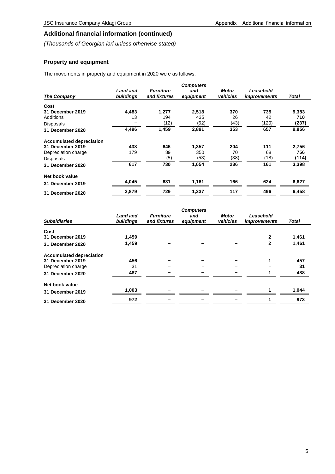*(Thousands of Georgian lari unless otherwise stated)*

### **Property and equipment**

The movements in property and equipment in 2020 were as follows:

|                                 | <b>Computers</b>      |                                  |                  |                          |                                  |              |
|---------------------------------|-----------------------|----------------------------------|------------------|--------------------------|----------------------------------|--------------|
| <b>The Company</b>              | Land and<br>buildings | <b>Furniture</b><br>and fixtures | and<br>equipment | <b>Motor</b><br>vehicles | Leasehold<br><i>improvements</i> | <b>Total</b> |
| Cost                            |                       |                                  |                  |                          |                                  |              |
| 31 December 2019                | 4,483                 | 1,277                            | 2,518            | 370                      | 735                              | 9,383        |
| Additions                       | 13                    | 194                              | 435              | 26                       | 42                               | 710          |
| Disposals                       |                       | (12)                             | (62)             | (43)                     | (120)                            | (237)        |
| 31 December 2020                | 4,496                 | 1,459                            | 2,891            | 353                      | 657                              | 9,856        |
| <b>Accumulated depreciation</b> |                       |                                  |                  |                          |                                  |              |
| 31 December 2019                | 438                   | 646                              | 1,357            | 204                      | 111                              | 2,756        |
| Depreciation charge             | 179                   | 89                               | 350              | 70                       | 68                               | 756          |
| Disposals                       |                       | (5)                              | (53)             | (38)                     | (18)                             | (114)        |
| 31 December 2020                | 617                   | 730                              | 1,654            | 236                      | 161                              | 3,398        |
| Net book value                  |                       |                                  |                  |                          |                                  |              |
| 31 December 2019                | 4,045                 | 631                              | 1,161            | 166                      | 624                              | 6,627        |
| 31 December 2020                | 3,879                 | 729                              | 1,237            | 117                      | 496                              | 6,458        |

| <b>Subsidiaries</b>             | <b>Land and</b><br>buildings | <b>Furniture</b><br>and fixtures | <b>Computers</b><br>and<br>equipment | <b>Motor</b><br>vehicles | Leasehold<br><i>improvements</i> | <b>Total</b> |
|---------------------------------|------------------------------|----------------------------------|--------------------------------------|--------------------------|----------------------------------|--------------|
| Cost                            |                              |                                  |                                      |                          |                                  |              |
| 31 December 2019                | 1,459                        |                                  |                                      |                          | 2                                | 1,461        |
| 31 December 2020                | 1,459                        |                                  |                                      |                          | $\overline{2}$                   | 1,461        |
| <b>Accumulated depreciation</b> |                              |                                  |                                      |                          |                                  |              |
| 31 December 2019                | 456                          |                                  |                                      |                          |                                  | 457          |
| Depreciation charge             | 31                           |                                  |                                      |                          |                                  | 31           |
| 31 December 2020                | 487                          |                                  |                                      |                          |                                  | 488          |
| Net book value                  |                              |                                  |                                      |                          |                                  |              |
| 31 December 2019                | 1,003                        |                                  |                                      |                          |                                  | 1,044        |
| 31 December 2020                | 972                          |                                  |                                      |                          |                                  | 973          |